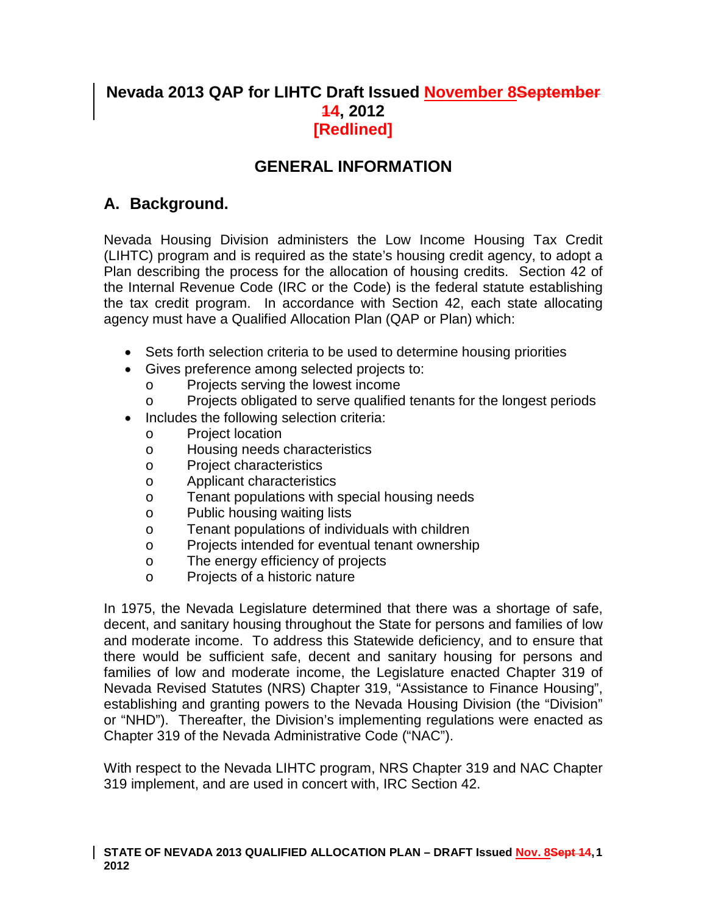# **Nevada 2013 QAP for LIHTC Draft Issued November 8September 14, 2012 [Redlined]**

# **GENERAL INFORMATION**

# **A. Background.**

Nevada Housing Division administers the Low Income Housing Tax Credit (LIHTC) program and is required as the state's housing credit agency, to adopt a Plan describing the process for the allocation of housing credits. Section 42 of the Internal Revenue Code (IRC or the Code) is the federal statute establishing the tax credit program. In accordance with Section 42, each state allocating agency must have a Qualified Allocation Plan (QAP or Plan) which:

- Sets forth selection criteria to be used to determine housing priorities
- Gives preference among selected projects to:
	- o Projects serving the lowest income
	- o Projects obligated to serve qualified tenants for the longest periods
- Includes the following selection criteria:
	- o Project location
	- o Housing needs characteristics
	- o Project characteristics
	- o Applicant characteristics
	- o Tenant populations with special housing needs
	- o Public housing waiting lists
	- o Tenant populations of individuals with children<br>
	o Proiects intended for eventual tenant ownershire
	- Projects intended for eventual tenant ownership
	- o The energy efficiency of projects
	- o Projects of a historic nature

In 1975, the Nevada Legislature determined that there was a shortage of safe, decent, and sanitary housing throughout the State for persons and families of low and moderate income. To address this Statewide deficiency, and to ensure that there would be sufficient safe, decent and sanitary housing for persons and families of low and moderate income, the Legislature enacted Chapter 319 of Nevada Revised Statutes (NRS) Chapter 319, "Assistance to Finance Housing", establishing and granting powers to the Nevada Housing Division (the "Division" or "NHD"). Thereafter, the Division's implementing regulations were enacted as Chapter 319 of the Nevada Administrative Code ("NAC").

<span id="page-0-0"></span>With respect to the Nevada LIHTC program, NRS Chapter 319 and NAC Chapter 319 implement, and are used in concert with, IRC Section 42.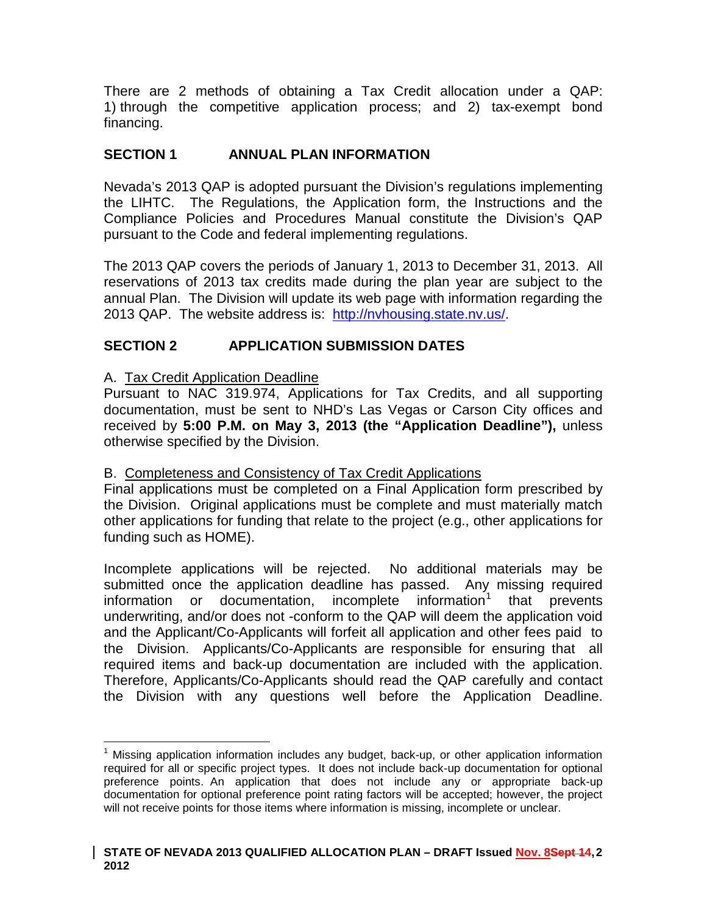There are 2 methods of obtaining a Tax Credit allocation under a QAP: 1) through the competitive application process; and 2) tax-exempt bond financing.

# **SECTION 1 ANNUAL PLAN INFORMATION**

Nevada's 2013 QAP is adopted pursuant the Division's regulations implementing the LIHTC. The Regulations, the Application form, the Instructions and the Compliance Policies and Procedures Manual constitute the Division's QAP pursuant to the Code and federal implementing regulations.

The 2013 QAP covers the periods of January 1, 2013 to December 31, 2013. All reservations of 2013 tax credits made during the plan year are subject to the annual Plan. The Division will update its web page with information regarding the 2013 QAP. The website address is: [http://nvhousing.state.nv.us/.](http://nvhousing.state.nv.us/)

# **SECTION 2 APPLICATION SUBMISSION DATES**

### A. Tax Credit Application Deadline

Pursuant to NAC 319.974, Applications for Tax Credits, and all supporting documentation, must be sent to NHD's Las Vegas or Carson City offices and received by **5:00 P.M. on May 3, 2013 (the "Application Deadline"),** unless otherwise specified by the Division.

### B. Completeness and Consistency of Tax Credit Applications

Final applications must be completed on a Final Application form prescribed by the Division. Original applications must be complete and must materially match other applications for funding that relate to the project (e.g., other applications for funding such as HOME).

Incomplete applications will be rejected. No additional materials may be submitted once the application deadline has passed. Any missing required information or documentation, incomplete information<sup>[1](#page-0-0)</sup> that prevents underwriting, and/or does not -conform to the QAP will deem the application void and the Applicant/Co-Applicants will forfeit all application and other fees paid to the Division. Applicants/Co-Applicants are responsible for ensuring that all required items and back-up documentation are included with the application. Therefore, Applicants/Co-Applicants should read the QAP carefully and contact the Division with any questions well before the Application Deadline.

<span id="page-1-0"></span> $<sup>1</sup>$  Missing application information includes any budget, back-up, or other application information</sup> required for all or specific project types. It does not include back-up documentation for optional preference points. An application that does not include any or appropriate back-up documentation for optional preference point rating factors will be accepted; however, the project will not receive points for those items where information is missing, incomplete or unclear.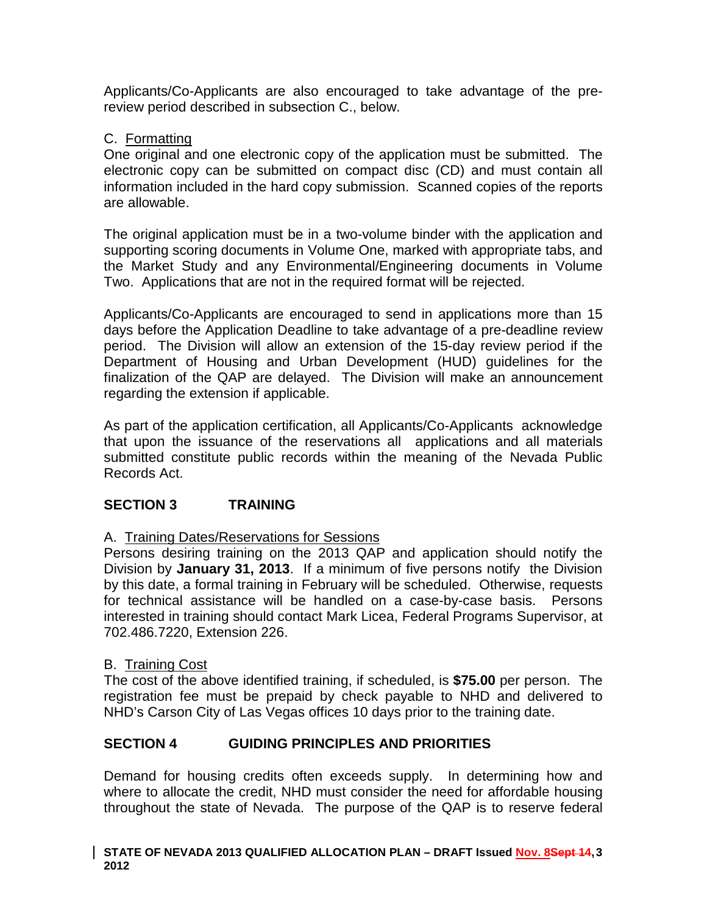Applicants/Co-Applicants are also encouraged to take advantage of the prereview period described in subsection C., below.

### C. Formatting

One original and one electronic copy of the application must be submitted. The electronic copy can be submitted on compact disc (CD) and must contain all information included in the hard copy submission. Scanned copies of the reports are allowable.

The original application must be in a two-volume binder with the application and supporting scoring documents in Volume One, marked with appropriate tabs, and the Market Study and any Environmental/Engineering documents in Volume Two. Applications that are not in the required format will be rejected.

Applicants/Co-Applicants are encouraged to send in applications more than 15 days before the Application Deadline to take advantage of a pre-deadline review period. The Division will allow an extension of the 15-day review period if the Department of Housing and Urban Development (HUD) guidelines for the finalization of the QAP are delayed. The Division will make an announcement regarding the extension if applicable.

As part of the application certification, all Applicants/Co-Applicants acknowledge that upon the issuance of the reservations all applications and all materials submitted constitute public records within the meaning of the Nevada Public Records Act.

# **SECTION 3 TRAINING**

# A. Training Dates/Reservations for Sessions

Persons desiring training on the 2013 QAP and application should notify the Division by **January 31, 2013**. If a minimum of five persons notify the Division by this date, a formal training in February will be scheduled. Otherwise, requests for technical assistance will be handled on a case-by-case basis. Persons interested in training should contact Mark Licea, Federal Programs Supervisor, at 702.486.7220, Extension 226.

### B. Training Cost

The cost of the above identified training, if scheduled, is **\$75.00** per person. The registration fee must be prepaid by check payable to NHD and delivered to NHD's Carson City of Las Vegas offices 10 days prior to the training date.

### **SECTION 4 GUIDING PRINCIPLES AND PRIORITIES**

Demand for housing credits often exceeds supply. In determining how and where to allocate the credit, NHD must consider the need for affordable housing throughout the state of Nevada. The purpose of the QAP is to reserve federal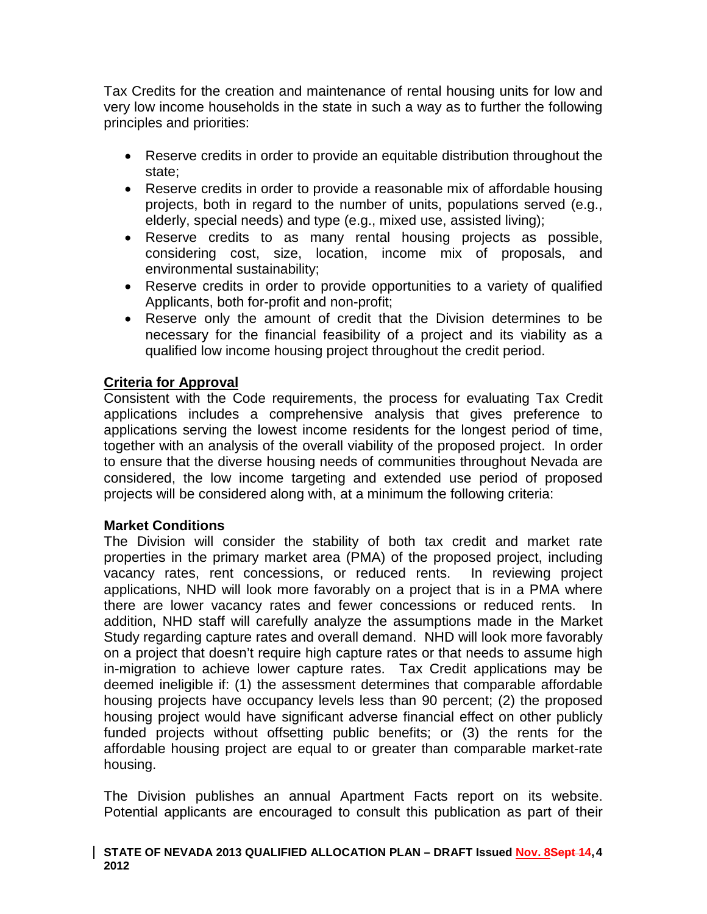Tax Credits for the creation and maintenance of rental housing units for low and very low income households in the state in such a way as to further the following principles and priorities:

- Reserve credits in order to provide an equitable distribution throughout the state;
- Reserve credits in order to provide a reasonable mix of affordable housing projects, both in regard to the number of units, populations served (e.g., elderly, special needs) and type (e.g., mixed use, assisted living);
- Reserve credits to as many rental housing projects as possible, considering cost, size, location, income mix of proposals, and environmental sustainability;
- Reserve credits in order to provide opportunities to a variety of qualified Applicants, both for-profit and non-profit;
- Reserve only the amount of credit that the Division determines to be necessary for the financial feasibility of a project and its viability as a qualified low income housing project throughout the credit period.

# **Criteria for Approval**

Consistent with the Code requirements, the process for evaluating Tax Credit applications includes a comprehensive analysis that gives preference to applications serving the lowest income residents for the longest period of time, together with an analysis of the overall viability of the proposed project. In order to ensure that the diverse housing needs of communities throughout Nevada are considered, the low income targeting and extended use period of proposed projects will be considered along with, at a minimum the following criteria:

# **Market Conditions**

The Division will consider the stability of both tax credit and market rate properties in the primary market area (PMA) of the proposed project, including vacancy rates, rent concessions, or reduced rents. In reviewing project applications, NHD will look more favorably on a project that is in a PMA where there are lower vacancy rates and fewer concessions or reduced rents. In addition, NHD staff will carefully analyze the assumptions made in the Market Study regarding capture rates and overall demand. NHD will look more favorably on a project that doesn't require high capture rates or that needs to assume high in-migration to achieve lower capture rates. Tax Credit applications may be deemed ineligible if: (1) the assessment determines that comparable affordable housing projects have occupancy levels less than 90 percent; (2) the proposed housing project would have significant adverse financial effect on other publicly funded projects without offsetting public benefits; or (3) the rents for the affordable housing project are equal to or greater than comparable market-rate housing.

The Division publishes an annual Apartment Facts report on its website. Potential applicants are encouraged to consult this publication as part of their

#### **STATE OF NEVADA 2013 QUALIFIED ALLOCATION PLAN – DRAFT Issued Nov. 8Sept 14, 4 2012**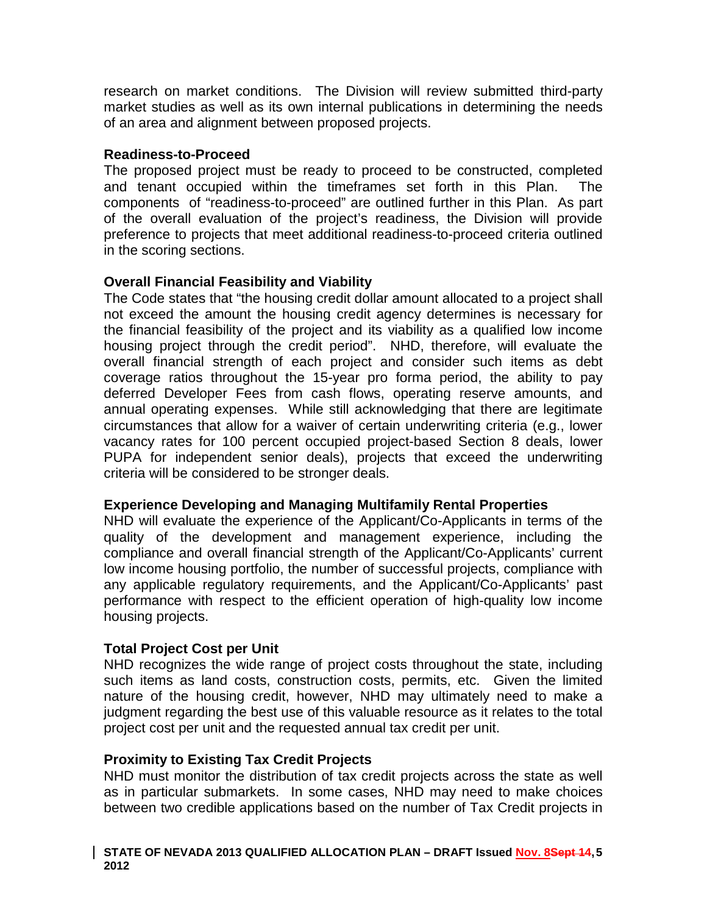research on market conditions. The Division will review submitted third-party market studies as well as its own internal publications in determining the needs of an area and alignment between proposed projects.

### **Readiness-to-Proceed**

The proposed project must be ready to proceed to be constructed, completed and tenant occupied within the timeframes set forth in this Plan. The components of "readiness-to-proceed" are outlined further in this Plan. As part of the overall evaluation of the project's readiness, the Division will provide preference to projects that meet additional readiness-to-proceed criteria outlined in the scoring sections.

# **Overall Financial Feasibility and Viability**

The Code states that "the housing credit dollar amount allocated to a project shall not exceed the amount the housing credit agency determines is necessary for the financial feasibility of the project and its viability as a qualified low income housing project through the credit period". NHD, therefore, will evaluate the overall financial strength of each project and consider such items as debt coverage ratios throughout the 15-year pro forma period, the ability to pay deferred Developer Fees from cash flows, operating reserve amounts, and annual operating expenses. While still acknowledging that there are legitimate circumstances that allow for a waiver of certain underwriting criteria (e.g., lower vacancy rates for 100 percent occupied project-based Section 8 deals, lower PUPA for independent senior deals), projects that exceed the underwriting criteria will be considered to be stronger deals.

# **Experience Developing and Managing Multifamily Rental Properties**

NHD will evaluate the experience of the Applicant/Co-Applicants in terms of the quality of the development and management experience, including the compliance and overall financial strength of the Applicant/Co-Applicants' current low income housing portfolio, the number of successful projects, compliance with any applicable regulatory requirements, and the Applicant/Co-Applicants' past performance with respect to the efficient operation of high-quality low income housing projects.

# **Total Project Cost per Unit**

NHD recognizes the wide range of project costs throughout the state, including such items as land costs, construction costs, permits, etc. Given the limited nature of the housing credit, however, NHD may ultimately need to make a judgment regarding the best use of this valuable resource as it relates to the total project cost per unit and the requested annual tax credit per unit.

# **Proximity to Existing Tax Credit Projects**

NHD must monitor the distribution of tax credit projects across the state as well as in particular submarkets. In some cases, NHD may need to make choices between two credible applications based on the number of Tax Credit projects in

#### **STATE OF NEVADA 2013 QUALIFIED ALLOCATION PLAN – DRAFT Issued Nov. 8Sept 14, 5 2012**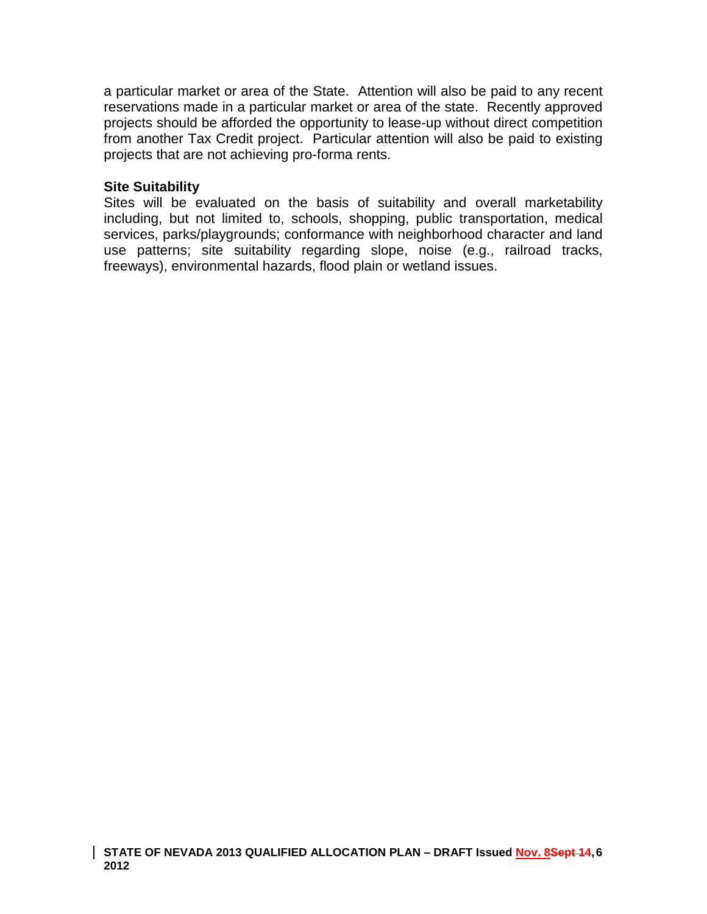a particular market or area of the State. Attention will also be paid to any recent reservations made in a particular market or area of the state. Recently approved projects should be afforded the opportunity to lease-up without direct competition from another Tax Credit project. Particular attention will also be paid to existing projects that are not achieving pro-forma rents.

### **Site Suitability**

Sites will be evaluated on the basis of suitability and overall marketability including, but not limited to, schools, shopping, public transportation, medical services, parks/playgrounds; conformance with neighborhood character and land use patterns; site suitability regarding slope, noise (e.g., railroad tracks, freeways), environmental hazards, flood plain or wetland issues.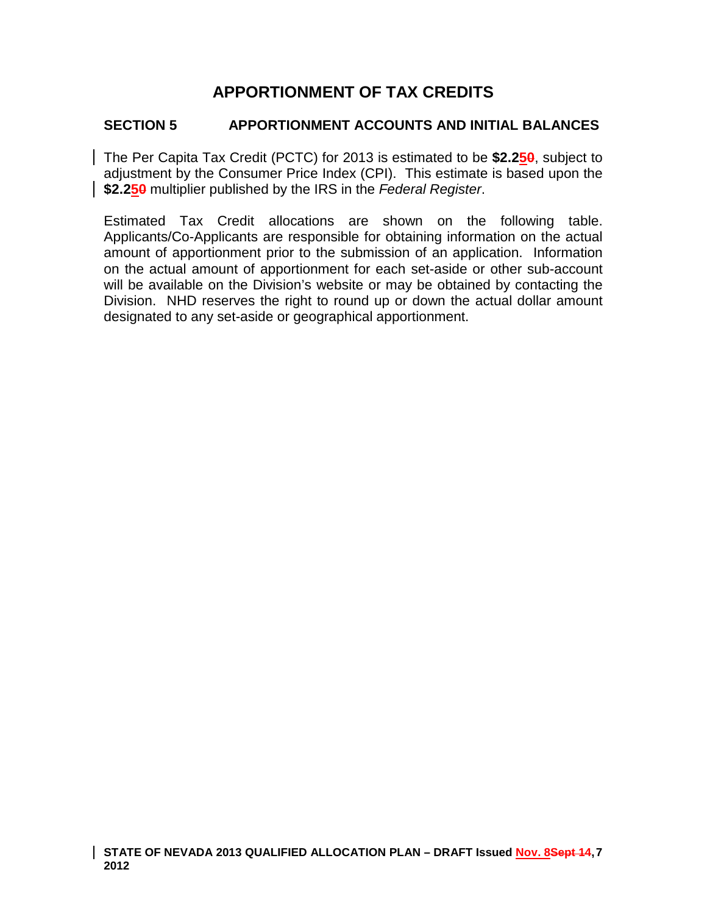# **APPORTIONMENT OF TAX CREDITS**

## **SECTION 5 APPORTIONMENT ACCOUNTS AND INITIAL BALANCES**

The Per Capita Tax Credit (PCTC) for 2013 is estimated to be **\$2.250**, subject to adjustment by the Consumer Price Index (CPI). This estimate is based upon the **\$2.250** multiplier published by the IRS in the *Federal Register*.

Estimated Tax Credit allocations are shown on the following table. Applicants/Co-Applicants are responsible for obtaining information on the actual amount of apportionment prior to the submission of an application. Information on the actual amount of apportionment for each set-aside or other sub-account will be available on the Division's website or may be obtained by contacting the Division. NHD reserves the right to round up or down the actual dollar amount designated to any set-aside or geographical apportionment.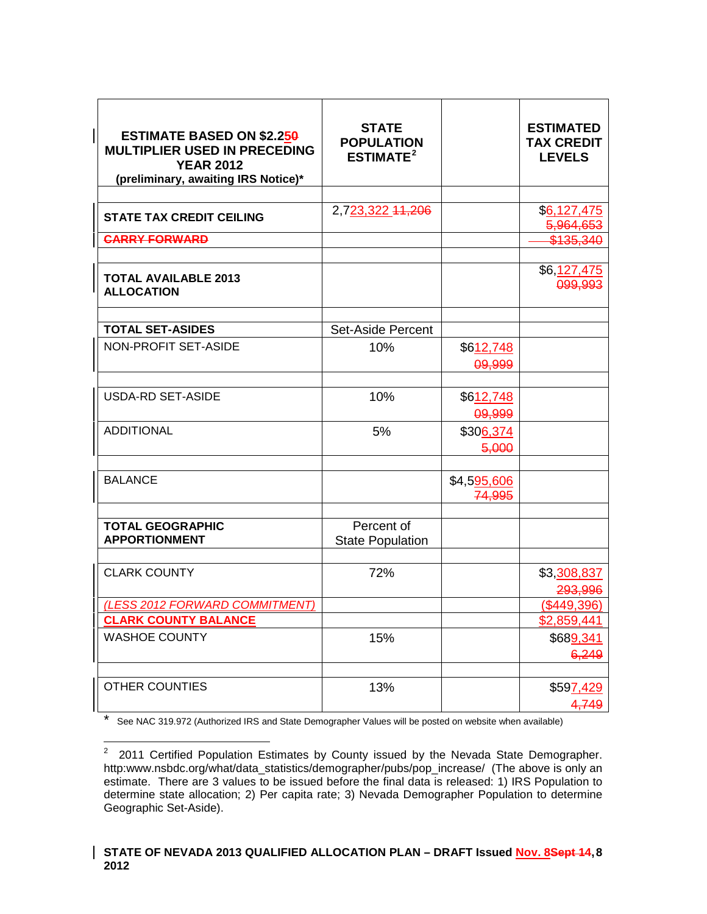| <b>ESTIMATE BASED ON \$2.250</b><br><b>MULTIPLIER USED IN PRECEDING</b><br><b>YEAR 2012</b><br>(preliminary, awaiting IRS Notice)* | <b>STATE</b><br><b>POPULATION</b><br><b>ESTIMATE<sup>2</sup></b> |             | <b>ESTIMATED</b><br><b>TAX CREDIT</b><br><b>LEVELS</b> |
|------------------------------------------------------------------------------------------------------------------------------------|------------------------------------------------------------------|-------------|--------------------------------------------------------|
|                                                                                                                                    |                                                                  |             |                                                        |
| <b>STATE TAX CREDIT CEILING</b>                                                                                                    | 2,723,322 44,206                                                 |             | \$6,127,475<br>5,964,653                               |
| <b>CARRY FORWARD</b>                                                                                                               |                                                                  |             | <del>\$135.340</del>                                   |
|                                                                                                                                    |                                                                  |             |                                                        |
| <b>TOTAL AVAILABLE 2013</b><br><b>ALLOCATION</b>                                                                                   |                                                                  |             | \$6, <u>127,475</u><br>099,993                         |
|                                                                                                                                    |                                                                  |             |                                                        |
| <b>TOTAL SET-ASIDES</b>                                                                                                            | <b>Set-Aside Percent</b>                                         |             |                                                        |
| NON-PROFIT SET-ASIDE                                                                                                               | 10%                                                              | \$612,748   |                                                        |
|                                                                                                                                    |                                                                  | 09,999      |                                                        |
|                                                                                                                                    |                                                                  |             |                                                        |
| <b>USDA-RD SET-ASIDE</b>                                                                                                           | 10%                                                              | \$612,748   |                                                        |
|                                                                                                                                    |                                                                  | 09,999      |                                                        |
| <b>ADDITIONAL</b>                                                                                                                  | 5%                                                               | \$306,374   |                                                        |
|                                                                                                                                    |                                                                  | 5,000       |                                                        |
|                                                                                                                                    |                                                                  |             |                                                        |
| <b>BALANCE</b>                                                                                                                     |                                                                  | \$4,595,606 |                                                        |
|                                                                                                                                    |                                                                  | 74,995      |                                                        |
|                                                                                                                                    | Percent of                                                       |             |                                                        |
| <b>TOTAL GEOGRAPHIC</b><br><b>APPORTIONMENT</b>                                                                                    | <b>State Population</b>                                          |             |                                                        |
|                                                                                                                                    |                                                                  |             |                                                        |
| <b>CLARK COUNTY</b>                                                                                                                | 72%                                                              |             | \$3,308,837                                            |
|                                                                                                                                    |                                                                  |             | 293,996                                                |
| (LESS 2012 FORWARD COMMITMENT)                                                                                                     |                                                                  |             | $($ \$449,396)                                         |
| <b>CLARK COUNTY BALANCE</b>                                                                                                        |                                                                  |             | \$2,859,441                                            |
| <b>WASHOE COUNTY</b>                                                                                                               | 15%                                                              |             | \$68 <u>9,341</u>                                      |
|                                                                                                                                    |                                                                  |             | 6,249                                                  |
|                                                                                                                                    |                                                                  |             |                                                        |
| OTHER COUNTIES                                                                                                                     | 13%                                                              |             | \$597,429                                              |
|                                                                                                                                    |                                                                  |             | 4,749                                                  |

\* See NAC 319.972 (Authorized IRS and State Demographer Values will be posted on website when available)

<span id="page-7-0"></span><sup>2&</sup>lt;br>2 2011 Certified Population Estimates by County issued by the Nevada State Demographer. http:www.nsbdc.org/what/data\_statistics/demographer/pubs/pop\_increase/ (The above is only an estimate. There are 3 values to be issued before the final data is released: 1) IRS Population to determine state allocation; 2) Per capita rate; 3) Nevada Demographer Population to determine Geographic Set-Aside).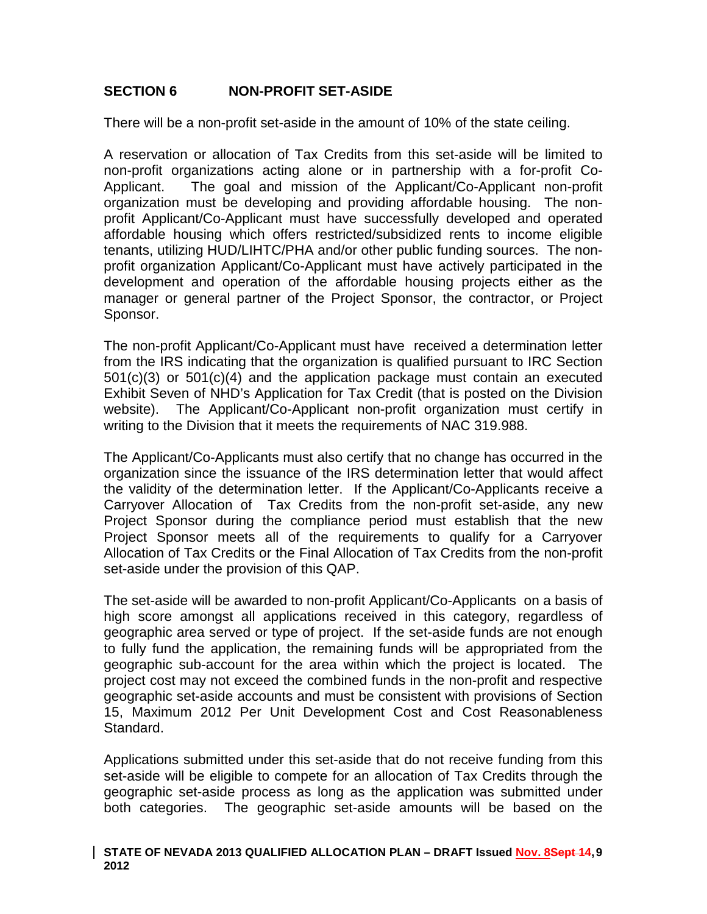# **SECTION 6 NON-PROFIT SET-ASIDE**

There will be a non-profit set-aside in the amount of 10% of the state ceiling.

A reservation or allocation of Tax Credits from this set-aside will be limited to non-profit organizations acting alone or in partnership with a for-profit Co-Applicant. The goal and mission of the Applicant/Co-Applicant non-profit organization must be developing and providing affordable housing. The nonprofit Applicant/Co-Applicant must have successfully developed and operated affordable housing which offers restricted/subsidized rents to income eligible tenants, utilizing HUD/LIHTC/PHA and/or other public funding sources. The nonprofit organization Applicant/Co-Applicant must have actively participated in the development and operation of the affordable housing projects either as the manager or general partner of the Project Sponsor, the contractor, or Project Sponsor.

The non-profit Applicant/Co-Applicant must have received a determination letter from the IRS indicating that the organization is qualified pursuant to IRC Section 501(c)(3) or 501(c)(4) and the application package must contain an executed Exhibit Seven of NHD's Application for Tax Credit (that is posted on the Division website). The Applicant/Co-Applicant non-profit organization must certify in writing to the Division that it meets the requirements of NAC 319.988.

The Applicant/Co-Applicants must also certify that no change has occurred in the organization since the issuance of the IRS determination letter that would affect the validity of the determination letter. If the Applicant/Co-Applicants receive a Carryover Allocation of Tax Credits from the non-profit set-aside, any new Project Sponsor during the compliance period must establish that the new Project Sponsor meets all of the requirements to qualify for a Carryover Allocation of Tax Credits or the Final Allocation of Tax Credits from the non-profit set-aside under the provision of this QAP.

The set-aside will be awarded to non-profit Applicant/Co-Applicants on a basis of high score amongst all applications received in this category, regardless of geographic area served or type of project. If the set-aside funds are not enough to fully fund the application, the remaining funds will be appropriated from the geographic sub-account for the area within which the project is located. The project cost may not exceed the combined funds in the non-profit and respective geographic set-aside accounts and must be consistent with provisions of Section 15, Maximum 2012 Per Unit Development Cost and Cost Reasonableness Standard.

Applications submitted under this set-aside that do not receive funding from this set-aside will be eligible to compete for an allocation of Tax Credits through the geographic set-aside process as long as the application was submitted under both categories. The geographic set-aside amounts will be based on the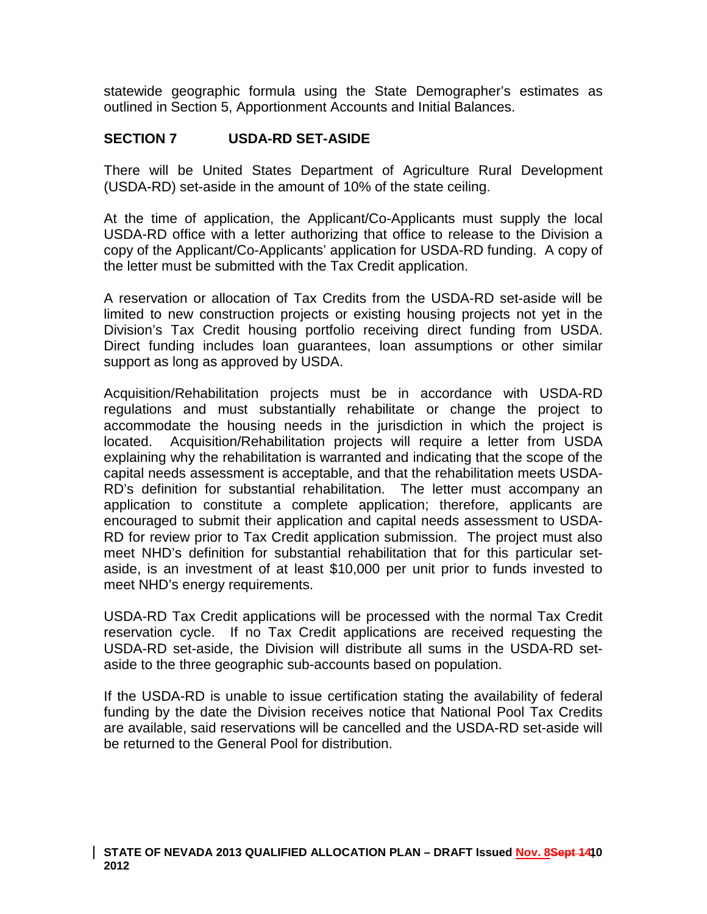statewide geographic formula using the State Demographer's estimates as outlined in Section 5, Apportionment Accounts and Initial Balances.

## **SECTION 7 USDA-RD SET-ASIDE**

There will be United States Department of Agriculture Rural Development (USDA-RD) set-aside in the amount of 10% of the state ceiling.

At the time of application, the Applicant/Co-Applicants must supply the local USDA-RD office with a letter authorizing that office to release to the Division a copy of the Applicant/Co-Applicants' application for USDA-RD funding. A copy of the letter must be submitted with the Tax Credit application.

A reservation or allocation of Tax Credits from the USDA-RD set-aside will be limited to new construction projects or existing housing projects not yet in the Division's Tax Credit housing portfolio receiving direct funding from USDA. Direct funding includes loan guarantees, loan assumptions or other similar support as long as approved by USDA.

Acquisition/Rehabilitation projects must be in accordance with USDA-RD regulations and must substantially rehabilitate or change the project to accommodate the housing needs in the jurisdiction in which the project is located. Acquisition/Rehabilitation projects will require a letter from USDA explaining why the rehabilitation is warranted and indicating that the scope of the capital needs assessment is acceptable, and that the rehabilitation meets USDA-RD's definition for substantial rehabilitation. The letter must accompany an application to constitute a complete application; therefore, applicants are encouraged to submit their application and capital needs assessment to USDA-RD for review prior to Tax Credit application submission. The project must also meet NHD's definition for substantial rehabilitation that for this particular setaside, is an investment of at least \$10,000 per unit prior to funds invested to meet NHD's energy requirements.

USDA-RD Tax Credit applications will be processed with the normal Tax Credit reservation cycle. If no Tax Credit applications are received requesting the USDA-RD set-aside, the Division will distribute all sums in the USDA-RD setaside to the three geographic sub-accounts based on population.

If the USDA-RD is unable to issue certification stating the availability of federal funding by the date the Division receives notice that National Pool Tax Credits are available, said reservations will be cancelled and the USDA-RD set-aside will be returned to the General Pool for distribution.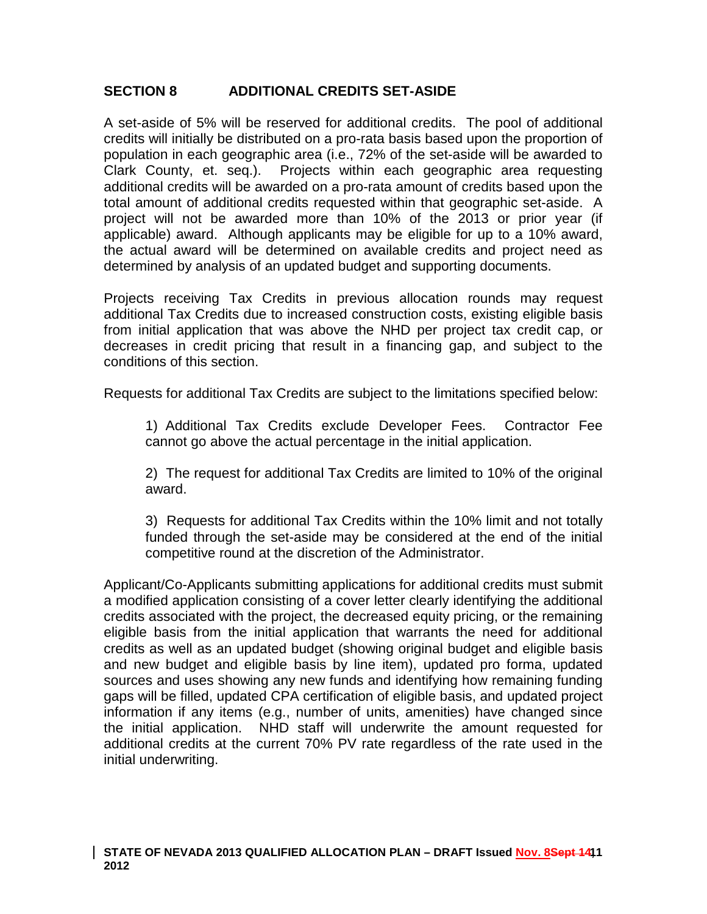# **SECTION 8 ADDITIONAL CREDITS SET-ASIDE**

A set-aside of 5% will be reserved for additional credits. The pool of additional credits will initially be distributed on a pro-rata basis based upon the proportion of population in each geographic area (i.e., 72% of the set-aside will be awarded to Clark County, et. seq.). Projects within each geographic area requesting additional credits will be awarded on a pro-rata amount of credits based upon the total amount of additional credits requested within that geographic set-aside. A project will not be awarded more than 10% of the 2013 or prior year (if applicable) award. Although applicants may be eligible for up to a 10% award, the actual award will be determined on available credits and project need as determined by analysis of an updated budget and supporting documents.

Projects receiving Tax Credits in previous allocation rounds may request additional Tax Credits due to increased construction costs, existing eligible basis from initial application that was above the NHD per project tax credit cap, or decreases in credit pricing that result in a financing gap, and subject to the conditions of this section.

Requests for additional Tax Credits are subject to the limitations specified below:

1) Additional Tax Credits exclude Developer Fees. Contractor Fee cannot go above the actual percentage in the initial application.

2) The request for additional Tax Credits are limited to 10% of the original award.

3) Requests for additional Tax Credits within the 10% limit and not totally funded through the set-aside may be considered at the end of the initial competitive round at the discretion of the Administrator.

Applicant/Co-Applicants submitting applications for additional credits must submit a modified application consisting of a cover letter clearly identifying the additional credits associated with the project, the decreased equity pricing, or the remaining eligible basis from the initial application that warrants the need for additional credits as well as an updated budget (showing original budget and eligible basis and new budget and eligible basis by line item), updated pro forma, updated sources and uses showing any new funds and identifying how remaining funding gaps will be filled, updated CPA certification of eligible basis, and updated project information if any items (e.g., number of units, amenities) have changed since the initial application. NHD staff will underwrite the amount requested for additional credits at the current 70% PV rate regardless of the rate used in the initial underwriting.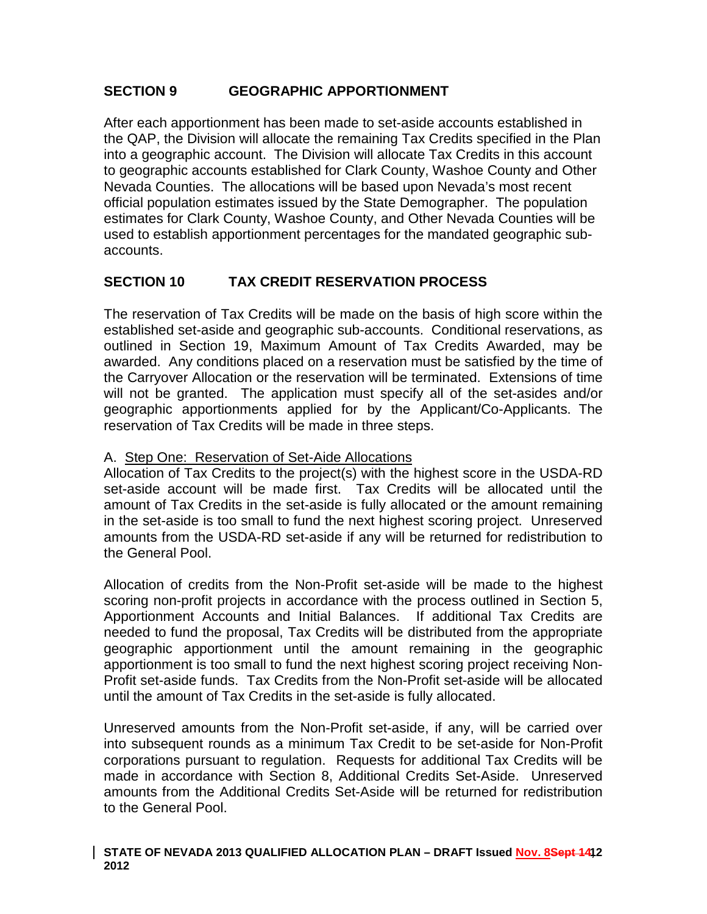# **SECTION 9 GEOGRAPHIC APPORTIONMENT**

After each apportionment has been made to set-aside accounts established in the QAP, the Division will allocate the remaining Tax Credits specified in the Plan into a geographic account. The Division will allocate Tax Credits in this account to geographic accounts established for Clark County, Washoe County and Other Nevada Counties. The allocations will be based upon Nevada's most recent official population estimates issued by the State Demographer. The population estimates for Clark County, Washoe County, and Other Nevada Counties will be used to establish apportionment percentages for the mandated geographic subaccounts.

# **SECTION 10 TAX CREDIT RESERVATION PROCESS**

The reservation of Tax Credits will be made on the basis of high score within the established set-aside and geographic sub-accounts. Conditional reservations, as outlined in Section 19, Maximum Amount of Tax Credits Awarded, may be awarded. Any conditions placed on a reservation must be satisfied by the time of the Carryover Allocation or the reservation will be terminated. Extensions of time will not be granted. The application must specify all of the set-asides and/or geographic apportionments applied for by the Applicant/Co-Applicants. The reservation of Tax Credits will be made in three steps.

### A. Step One: Reservation of Set-Aide Allocations

Allocation of Tax Credits to the project(s) with the highest score in the USDA-RD set-aside account will be made first. Tax Credits will be allocated until the amount of Tax Credits in the set-aside is fully allocated or the amount remaining in the set-aside is too small to fund the next highest scoring project. Unreserved amounts from the USDA-RD set-aside if any will be returned for redistribution to the General Pool.

Allocation of credits from the Non-Profit set-aside will be made to the highest scoring non-profit projects in accordance with the process outlined in Section 5, Apportionment Accounts and Initial Balances. If additional Tax Credits are needed to fund the proposal, Tax Credits will be distributed from the appropriate geographic apportionment until the amount remaining in the geographic apportionment is too small to fund the next highest scoring project receiving Non-Profit set-aside funds. Tax Credits from the Non-Profit set-aside will be allocated until the amount of Tax Credits in the set-aside is fully allocated.

Unreserved amounts from the Non-Profit set-aside, if any, will be carried over into subsequent rounds as a minimum Tax Credit to be set-aside for Non-Profit corporations pursuant to regulation. Requests for additional Tax Credits will be made in accordance with Section 8, Additional Credits Set-Aside. Unreserved amounts from the Additional Credits Set-Aside will be returned for redistribution to the General Pool.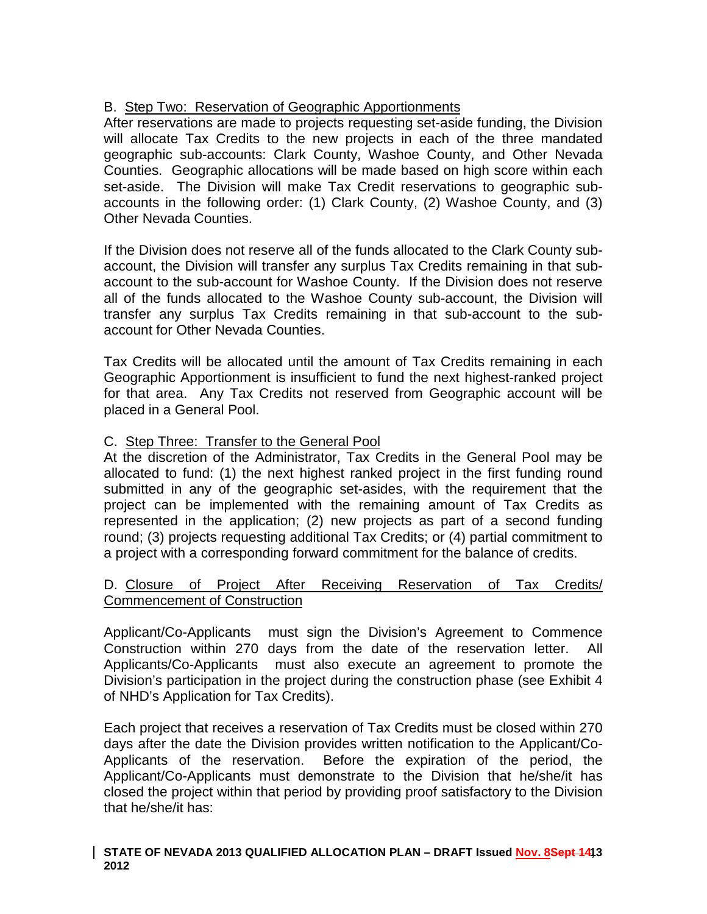# B. Step Two: Reservation of Geographic Apportionments

After reservations are made to projects requesting set-aside funding, the Division will allocate Tax Credits to the new projects in each of the three mandated geographic sub-accounts: Clark County, Washoe County, and Other Nevada Counties. Geographic allocations will be made based on high score within each set-aside. The Division will make Tax Credit reservations to geographic subaccounts in the following order: (1) Clark County, (2) Washoe County, and (3) Other Nevada Counties.

If the Division does not reserve all of the funds allocated to the Clark County subaccount, the Division will transfer any surplus Tax Credits remaining in that subaccount to the sub-account for Washoe County. If the Division does not reserve all of the funds allocated to the Washoe County sub-account, the Division will transfer any surplus Tax Credits remaining in that sub-account to the subaccount for Other Nevada Counties.

Tax Credits will be allocated until the amount of Tax Credits remaining in each Geographic Apportionment is insufficient to fund the next highest-ranked project for that area. Any Tax Credits not reserved from Geographic account will be placed in a General Pool.

# C. Step Three: Transfer to the General Pool

At the discretion of the Administrator, Tax Credits in the General Pool may be allocated to fund: (1) the next highest ranked project in the first funding round submitted in any of the geographic set-asides, with the requirement that the project can be implemented with the remaining amount of Tax Credits as represented in the application; (2) new projects as part of a second funding round; (3) projects requesting additional Tax Credits; or (4) partial commitment to a project with a corresponding forward commitment for the balance of credits.

### D. Closure of Project After Receiving Reservation of Tax Credits/ Commencement of Construction

Applicant/Co-Applicants must sign the Division's Agreement to Commence Construction within 270 days from the date of the reservation letter. All Applicants/Co-Applicants must also execute an agreement to promote the Division's participation in the project during the construction phase (see Exhibit 4 of NHD's Application for Tax Credits).

Each project that receives a reservation of Tax Credits must be closed within 270 days after the date the Division provides written notification to the Applicant/Co-Applicants of the reservation. Before the expiration of the period, the Applicant/Co-Applicants must demonstrate to the Division that he/she/it has closed the project within that period by providing proof satisfactory to the Division that he/she/it has:

#### **STATE OF NEVADA 2013 QUALIFIED ALLOCATION PLAN – DRAFT Issued Nov. 8Sept 14, 13 2012**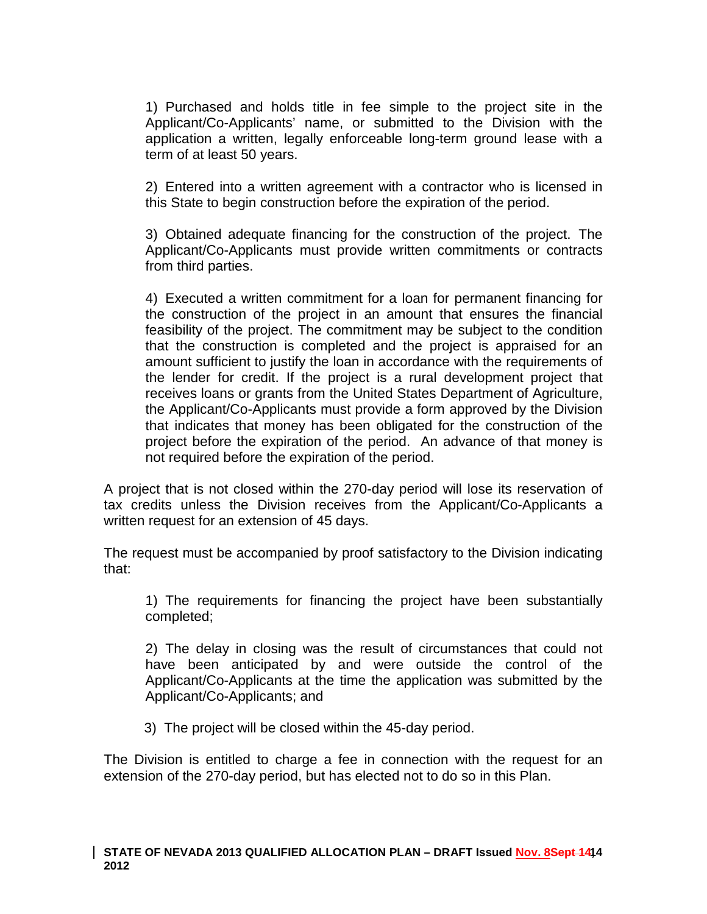1) Purchased and holds title in fee simple to the project site in the Applicant/Co-Applicants' name, or submitted to the Division with the application a written, legally enforceable long-term ground lease with a term of at least 50 years.

2) Entered into a written agreement with a contractor who is licensed in this State to begin construction before the expiration of the period.

3) Obtained adequate financing for the construction of the project. The Applicant/Co-Applicants must provide written commitments or contracts from third parties.

4) Executed a written commitment for a loan for permanent financing for the construction of the project in an amount that ensures the financial feasibility of the project. The commitment may be subject to the condition that the construction is completed and the project is appraised for an amount sufficient to justify the loan in accordance with the requirements of the lender for credit. If the project is a rural development project that receives loans or grants from the United States Department of Agriculture, the Applicant/Co-Applicants must provide a form approved by the Division that indicates that money has been obligated for the construction of the project before the expiration of the period. An advance of that money is not required before the expiration of the period.

A project that is not closed within the 270-day period will lose its reservation of tax credits unless the Division receives from the Applicant/Co-Applicants a written request for an extension of 45 days.

The request must be accompanied by proof satisfactory to the Division indicating that:

1) The requirements for financing the project have been substantially completed;

2) The delay in closing was the result of circumstances that could not have been anticipated by and were outside the control of the Applicant/Co-Applicants at the time the application was submitted by the Applicant/Co-Applicants; and

3) The project will be closed within the 45-day period.

The Division is entitled to charge a fee in connection with the request for an extension of the 270-day period, but has elected not to do so in this Plan.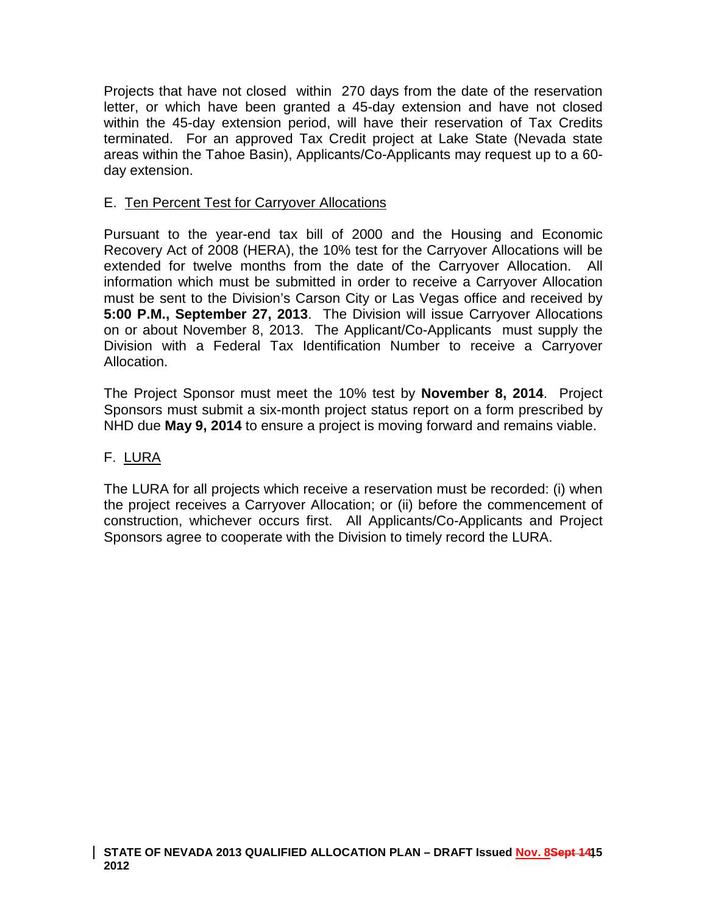Projects that have not closed within 270 days from the date of the reservation letter, or which have been granted a 45-day extension and have not closed within the 45-day extension period, will have their reservation of Tax Credits terminated. For an approved Tax Credit project at Lake State (Nevada state areas within the Tahoe Basin), Applicants/Co-Applicants may request up to a 60 day extension.

## E. Ten Percent Test for Carryover Allocations

Pursuant to the year-end tax bill of 2000 and the Housing and Economic Recovery Act of 2008 (HERA), the 10% test for the Carryover Allocations will be extended for twelve months from the date of the Carryover Allocation. All information which must be submitted in order to receive a Carryover Allocation must be sent to the Division's Carson City or Las Vegas office and received by **5:00 P.M., September 27, 2013**. The Division will issue Carryover Allocations on or about November 8, 2013. The Applicant/Co-Applicants must supply the Division with a Federal Tax Identification Number to receive a Carryover Allocation.

The Project Sponsor must meet the 10% test by **November 8, 2014**. Project Sponsors must submit a six-month project status report on a form prescribed by NHD due **May 9, 2014** to ensure a project is moving forward and remains viable.

# F. LURA

The LURA for all projects which receive a reservation must be recorded: (i) when the project receives a Carryover Allocation; or (ii) before the commencement of construction, whichever occurs first. All Applicants/Co-Applicants and Project Sponsors agree to cooperate with the Division to timely record the LURA.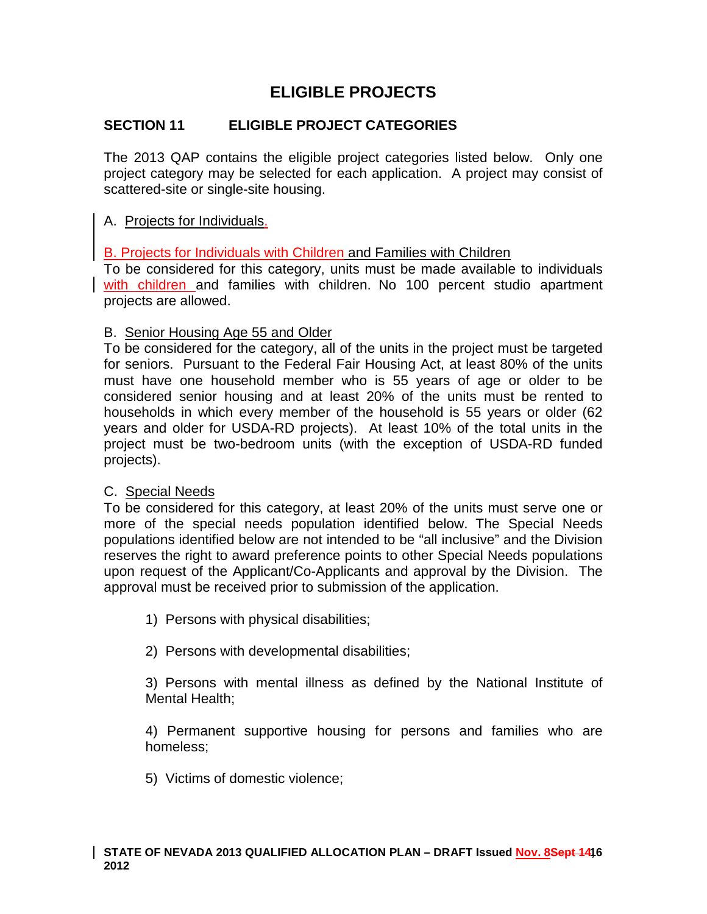# **ELIGIBLE PROJECTS**

# **SECTION 11 ELIGIBLE PROJECT CATEGORIES**

The 2013 QAP contains the eligible project categories listed below. Only one project category may be selected for each application. A project may consist of scattered-site or single-site housing.

## A. Projects for Individuals.

B. Projects for Individuals with Children and Families with Children

To be considered for this category, units must be made available to individuals with children and families with children. No 100 percent studio apartment projects are allowed.

### B. Senior Housing Age 55 and Older

To be considered for the category, all of the units in the project must be targeted for seniors. Pursuant to the Federal Fair Housing Act, at least 80% of the units must have one household member who is 55 years of age or older to be considered senior housing and at least 20% of the units must be rented to households in which every member of the household is 55 years or older (62 years and older for USDA-RD projects). At least 10% of the total units in the project must be two-bedroom units (with the exception of USDA-RD funded projects).

### C. Special Needs

To be considered for this category, at least 20% of the units must serve one or more of the special needs population identified below. The Special Needs populations identified below are not intended to be "all inclusive" and the Division reserves the right to award preference points to other Special Needs populations upon request of the Applicant/Co-Applicants and approval by the Division. The approval must be received prior to submission of the application.

- 1) Persons with physical disabilities;
- 2) Persons with developmental disabilities;

3) Persons with mental illness as defined by the National Institute of Mental Health;

4) Permanent supportive housing for persons and families who are homeless;

5) Victims of domestic violence;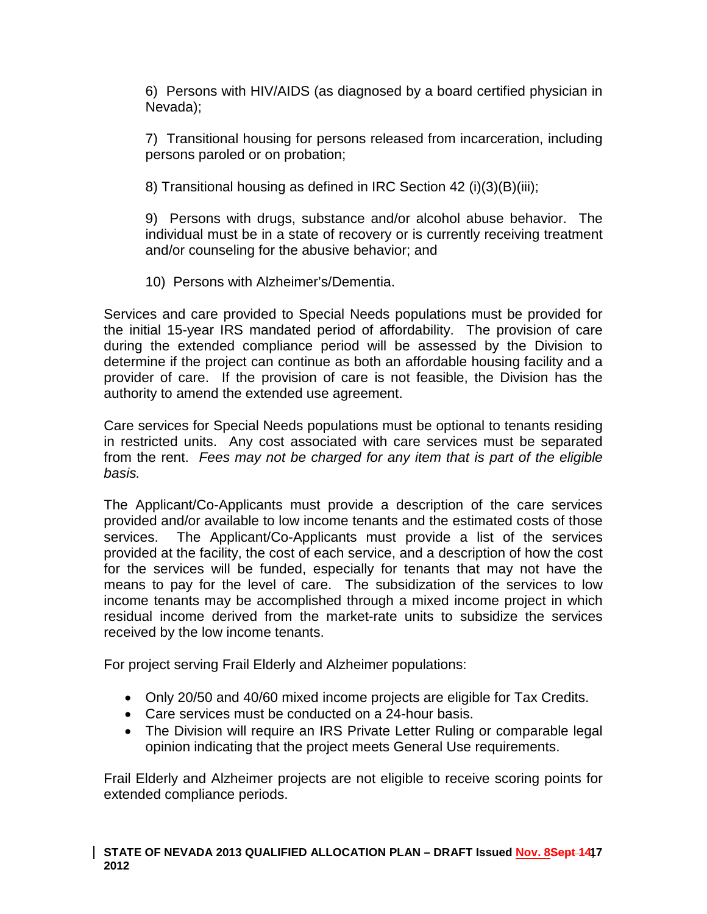6) Persons with HIV/AIDS (as diagnosed by a board certified physician in Nevada);

7) Transitional housing for persons released from incarceration, including persons paroled or on probation;

8) Transitional housing as defined in IRC Section 42 (i)(3)(B)(iii);

9) Persons with drugs, substance and/or alcohol abuse behavior. The individual must be in a state of recovery or is currently receiving treatment and/or counseling for the abusive behavior; and

10) Persons with Alzheimer's/Dementia.

Services and care provided to Special Needs populations must be provided for the initial 15-year IRS mandated period of affordability. The provision of care during the extended compliance period will be assessed by the Division to determine if the project can continue as both an affordable housing facility and a provider of care. If the provision of care is not feasible, the Division has the authority to amend the extended use agreement.

Care services for Special Needs populations must be optional to tenants residing in restricted units. Any cost associated with care services must be separated from the rent. *Fees may not be charged for any item that is part of the eligible basis.*

The Applicant/Co-Applicants must provide a description of the care services provided and/or available to low income tenants and the estimated costs of those services. The Applicant/Co-Applicants must provide a list of the services provided at the facility, the cost of each service, and a description of how the cost for the services will be funded, especially for tenants that may not have the means to pay for the level of care. The subsidization of the services to low income tenants may be accomplished through a mixed income project in which residual income derived from the market-rate units to subsidize the services received by the low income tenants.

For project serving Frail Elderly and Alzheimer populations:

- Only 20/50 and 40/60 mixed income projects are eligible for Tax Credits.
- Care services must be conducted on a 24-hour basis.
- The Division will require an IRS Private Letter Ruling or comparable legal opinion indicating that the project meets General Use requirements.

Frail Elderly and Alzheimer projects are not eligible to receive scoring points for extended compliance periods.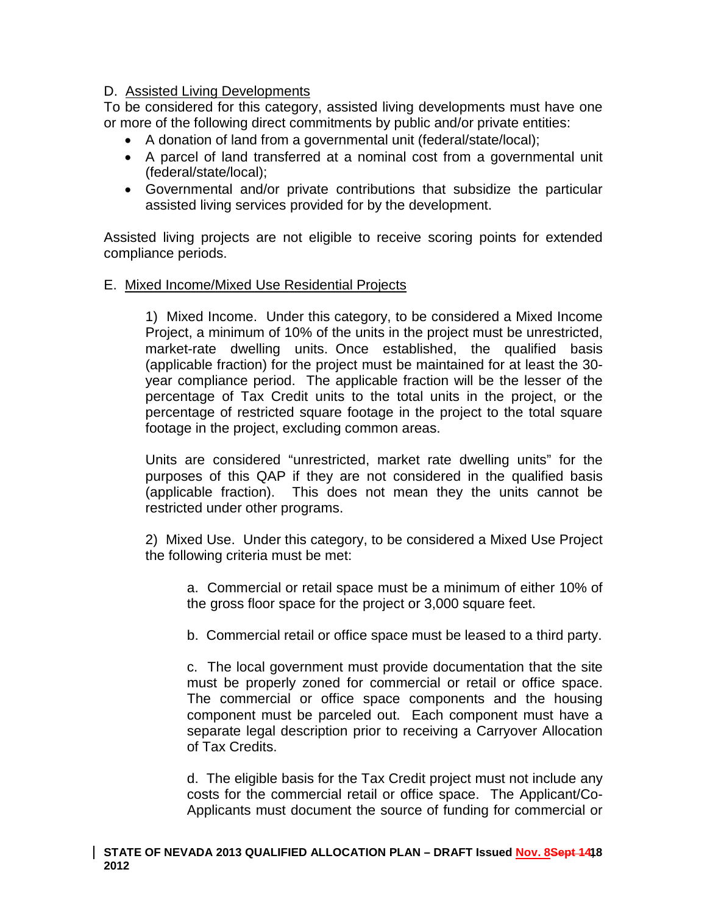### D. Assisted Living Developments

To be considered for this category, assisted living developments must have one or more of the following direct commitments by public and/or private entities:

- A donation of land from a governmental unit (federal/state/local);
- A parcel of land transferred at a nominal cost from a governmental unit (federal/state/local);
- Governmental and/or private contributions that subsidize the particular assisted living services provided for by the development.

Assisted living projects are not eligible to receive scoring points for extended compliance periods.

### E. Mixed Income/Mixed Use Residential Projects

1) Mixed Income. Under this category, to be considered a Mixed Income Project, a minimum of 10% of the units in the project must be unrestricted, market-rate dwelling units. Once established, the qualified basis (applicable fraction) for the project must be maintained for at least the 30 year compliance period. The applicable fraction will be the lesser of the percentage of Tax Credit units to the total units in the project, or the percentage of restricted square footage in the project to the total square footage in the project, excluding common areas.

Units are considered "unrestricted, market rate dwelling units" for the purposes of this QAP if they are not considered in the qualified basis (applicable fraction). This does not mean they the units cannot be restricted under other programs.

2) Mixed Use. Under this category, to be considered a Mixed Use Project the following criteria must be met:

a. Commercial or retail space must be a minimum of either 10% of the gross floor space for the project or 3,000 square feet.

b. Commercial retail or office space must be leased to a third party.

c. The local government must provide documentation that the site must be properly zoned for commercial or retail or office space. The commercial or office space components and the housing component must be parceled out. Each component must have a separate legal description prior to receiving a Carryover Allocation of Tax Credits.

d. The eligible basis for the Tax Credit project must not include any costs for the commercial retail or office space. The Applicant/Co-Applicants must document the source of funding for commercial or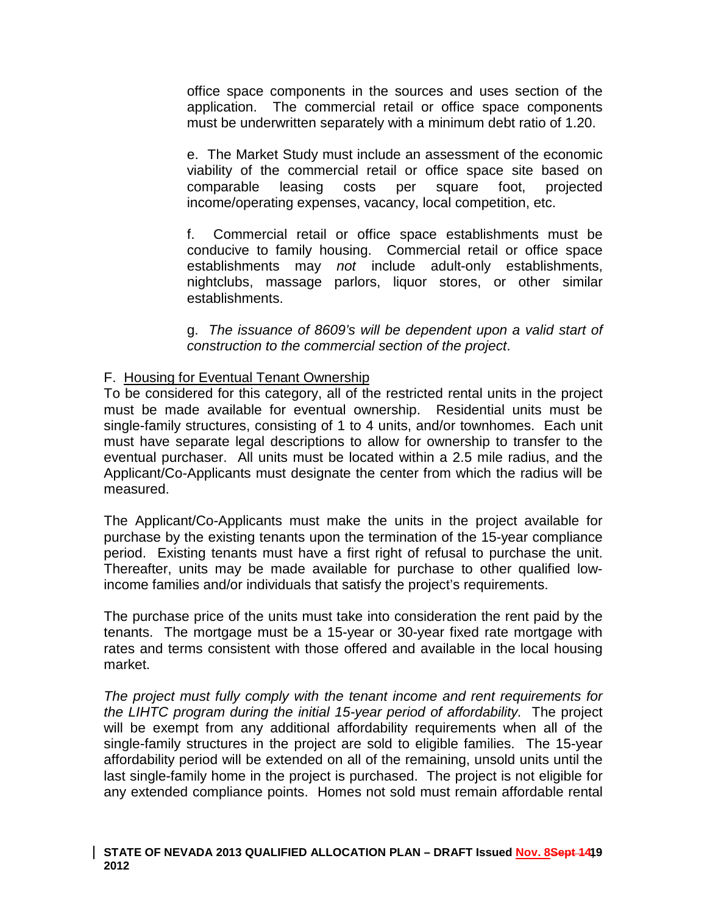office space components in the sources and uses section of the application. The commercial retail or office space components must be underwritten separately with a minimum debt ratio of 1.20.

e. The Market Study must include an assessment of the economic viability of the commercial retail or office space site based on comparable leasing costs per square foot, projected income/operating expenses, vacancy, local competition, etc.

f. Commercial retail or office space establishments must be conducive to family housing. Commercial retail or office space establishments may *not* include adult-only establishments, nightclubs, massage parlors, liquor stores, or other similar establishments.

g. *The issuance of 8609's will be dependent upon a valid start of construction to the commercial section of the project*.

### F. Housing for Eventual Tenant Ownership

To be considered for this category, all of the restricted rental units in the project must be made available for eventual ownership. Residential units must be single-family structures, consisting of 1 to 4 units, and/or townhomes. Each unit must have separate legal descriptions to allow for ownership to transfer to the eventual purchaser. All units must be located within a 2.5 mile radius, and the Applicant/Co-Applicants must designate the center from which the radius will be measured.

The Applicant/Co-Applicants must make the units in the project available for purchase by the existing tenants upon the termination of the 15-year compliance period. Existing tenants must have a first right of refusal to purchase the unit. Thereafter, units may be made available for purchase to other qualified lowincome families and/or individuals that satisfy the project's requirements.

The purchase price of the units must take into consideration the rent paid by the tenants. The mortgage must be a 15-year or 30-year fixed rate mortgage with rates and terms consistent with those offered and available in the local housing market.

*The project must fully comply with the tenant income and rent requirements for the LIHTC program during the initial 15-year period of affordability.* The project will be exempt from any additional affordability requirements when all of the single-family structures in the project are sold to eligible families. The 15-year affordability period will be extended on all of the remaining, unsold units until the last single-family home in the project is purchased. The project is not eligible for any extended compliance points. Homes not sold must remain affordable rental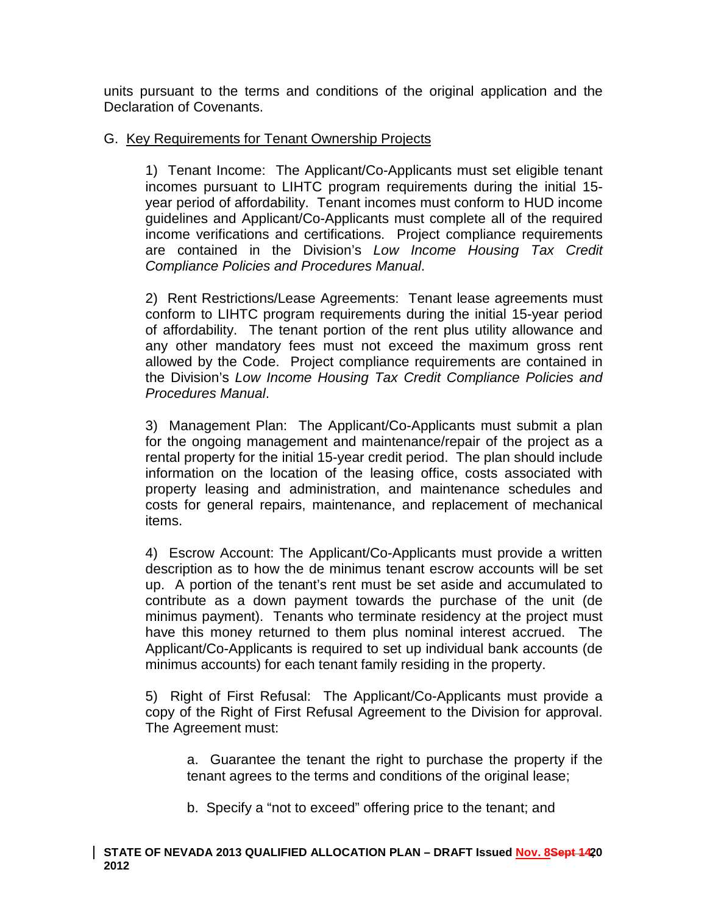units pursuant to the terms and conditions of the original application and the Declaration of Covenants.

# G. Key Requirements for Tenant Ownership Projects

1) Tenant Income: The Applicant/Co-Applicants must set eligible tenant incomes pursuant to LIHTC program requirements during the initial 15 year period of affordability. Tenant incomes must conform to HUD income guidelines and Applicant/Co-Applicants must complete all of the required income verifications and certifications. Project compliance requirements are contained in the Division's *Low Income Housing Tax Credit Compliance Policies and Procedures Manual*.

2) Rent Restrictions/Lease Agreements: Tenant lease agreements must conform to LIHTC program requirements during the initial 15-year period of affordability. The tenant portion of the rent plus utility allowance and any other mandatory fees must not exceed the maximum gross rent allowed by the Code. Project compliance requirements are contained in the Division's *Low Income Housing Tax Credit Compliance Policies and Procedures Manual*.

3) Management Plan: The Applicant/Co-Applicants must submit a plan for the ongoing management and maintenance/repair of the project as a rental property for the initial 15-year credit period. The plan should include information on the location of the leasing office, costs associated with property leasing and administration, and maintenance schedules and costs for general repairs, maintenance, and replacement of mechanical items.

4) Escrow Account: The Applicant/Co-Applicants must provide a written description as to how the de minimus tenant escrow accounts will be set up. A portion of the tenant's rent must be set aside and accumulated to contribute as a down payment towards the purchase of the unit (de minimus payment). Tenants who terminate residency at the project must have this money returned to them plus nominal interest accrued. The Applicant/Co-Applicants is required to set up individual bank accounts (de minimus accounts) for each tenant family residing in the property.

5) Right of First Refusal: The Applicant/Co-Applicants must provide a copy of the Right of First Refusal Agreement to the Division for approval. The Agreement must:

a. Guarantee the tenant the right to purchase the property if the tenant agrees to the terms and conditions of the original lease;

b. Specify a "not to exceed" offering price to the tenant; and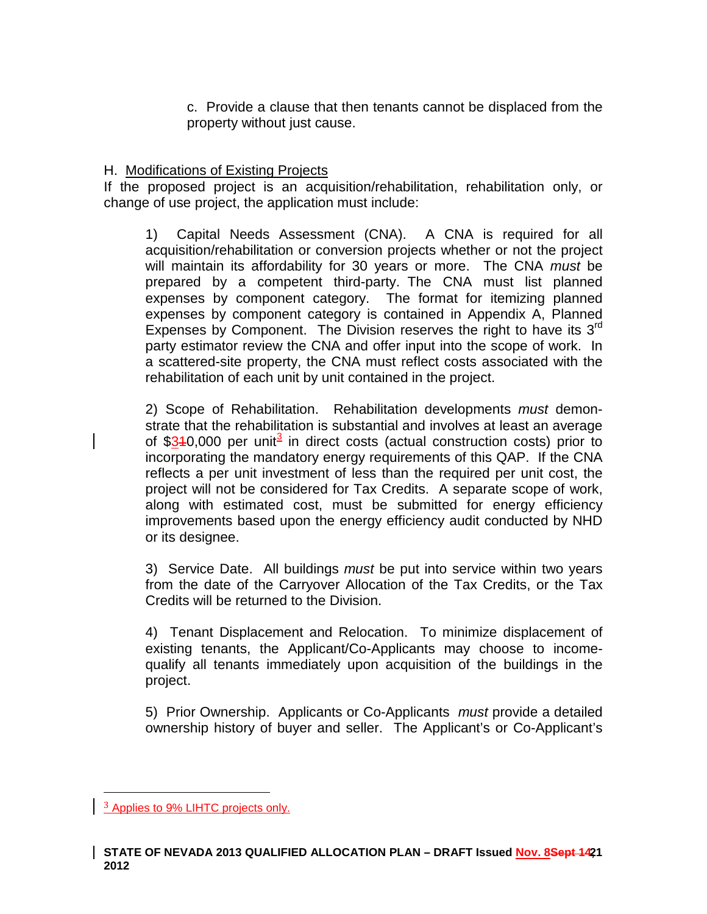c. Provide a clause that then tenants cannot be displaced from the property without just cause.

### H. Modifications of Existing Projects

If the proposed project is an acquisition/rehabilitation, rehabilitation only, or change of use project, the application must include:

1) Capital Needs Assessment (CNA). A CNA is required for all acquisition/rehabilitation or conversion projects whether or not the project will maintain its affordability for 30 years or more. The CNA *must* be prepared by a competent third-party. The CNA must list planned expenses by component category. The format for itemizing planned expenses by component category is contained in Appendix A, Planned Expenses by Component. The Division reserves the right to have its  $3<sup>rd</sup>$ party estimator review the CNA and offer input into the scope of work. In a scattered-site property, the CNA must reflect costs associated with the rehabilitation of each unit by unit contained in the project.

2) Scope of Rehabilitation. Rehabilitation developments *must* demonstrate that the rehabilitation is substantial and involves at least an average of \$[3](#page-7-0)40,000 per unit<sup>3</sup> in direct costs (actual construction costs) prior to incorporating the mandatory energy requirements of this QAP. If the CNA reflects a per unit investment of less than the required per unit cost, the project will not be considered for Tax Credits. A separate scope of work, along with estimated cost, must be submitted for energy efficiency improvements based upon the energy efficiency audit conducted by NHD or its designee.

3) Service Date. All buildings *must* be put into service within two years from the date of the Carryover Allocation of the Tax Credits, or the Tax Credits will be returned to the Division.

4) Tenant Displacement and Relocation. To minimize displacement of existing tenants, the Applicant/Co-Applicants may choose to incomequalify all tenants immediately upon acquisition of the buildings in the project.

5) Prior Ownership. Applicants or Co-Applicants *must* provide a detailed ownership history of buyer and seller. The Applicant's or Co-Applicant's

<span id="page-20-0"></span><sup>&</sup>lt;sup>3</sup> Applies to 9% LIHTC projects only.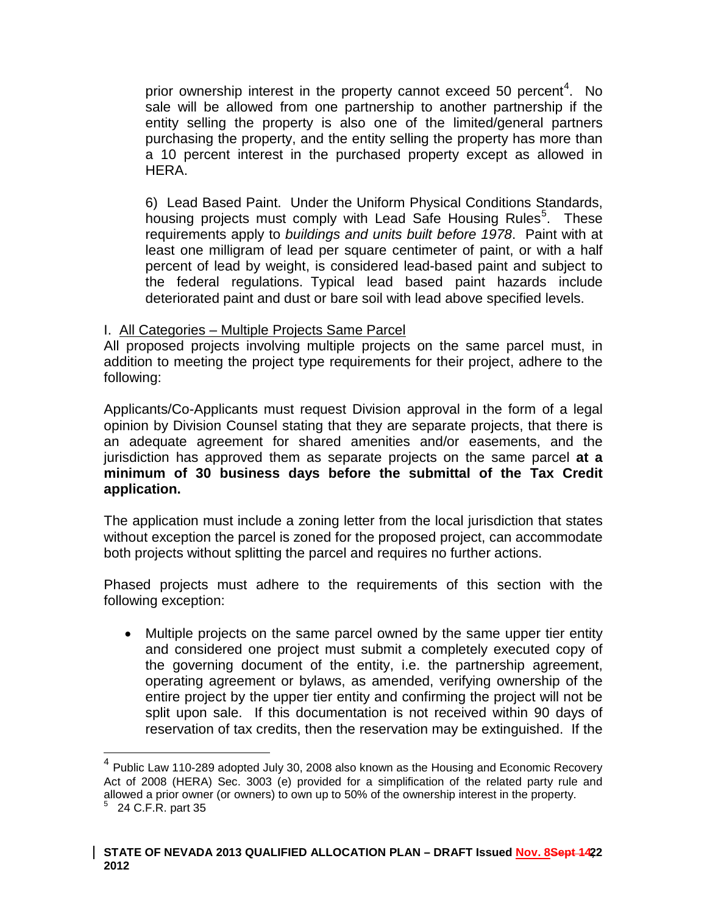prior ownership interest in the property cannot exceed 50 percent<sup>[4](#page-20-0)</sup>. No sale will be allowed from one partnership to another partnership if the entity selling the property is also one of the limited/general partners purchasing the property, and the entity selling the property has more than a 10 percent interest in the purchased property except as allowed in HERA.

6) Lead Based Paint. Under the Uniform Physical Conditions Standards, housing projects must comply with Lead Safe Housing Rules<sup>[5](#page-21-0)</sup>. These requirements apply to *buildings and units built before 1978*. Paint with at least one milligram of lead per square centimeter of paint, or with a half percent of lead by weight, is considered lead-based paint and subject to the federal regulations. Typical lead based paint hazards include deteriorated paint and dust or bare soil with lead above specified levels.

### I. All Categories – Multiple Projects Same Parcel

All proposed projects involving multiple projects on the same parcel must, in addition to meeting the project type requirements for their project, adhere to the following:

Applicants/Co-Applicants must request Division approval in the form of a legal opinion by Division Counsel stating that they are separate projects, that there is an adequate agreement for shared amenities and/or easements, and the jurisdiction has approved them as separate projects on the same parcel **at a minimum of 30 business days before the submittal of the Tax Credit application.**

The application must include a zoning letter from the local jurisdiction that states without exception the parcel is zoned for the proposed project, can accommodate both projects without splitting the parcel and requires no further actions.

Phased projects must adhere to the requirements of this section with the following exception:

• Multiple projects on the same parcel owned by the same upper tier entity and considered one project must submit a completely executed copy of the governing document of the entity, i.e. the partnership agreement, operating agreement or bylaws, as amended, verifying ownership of the entire project by the upper tier entity and confirming the project will not be split upon sale. If this documentation is not received within 90 days of reservation of tax credits, then the reservation may be extinguished. If the

<span id="page-21-1"></span><sup>&</sup>lt;sup>4</sup> Public Law 110-289 adopted July 30, 2008 also known as the Housing and Economic Recovery Act of 2008 (HERA) Sec. 3003 (e) provided for a simplification of the related party rule and allowed a prior owner (or owners) to own up to 50% of the ownership interest in the property.<br>  $5$  24 C.F.R. part 35

<span id="page-21-0"></span>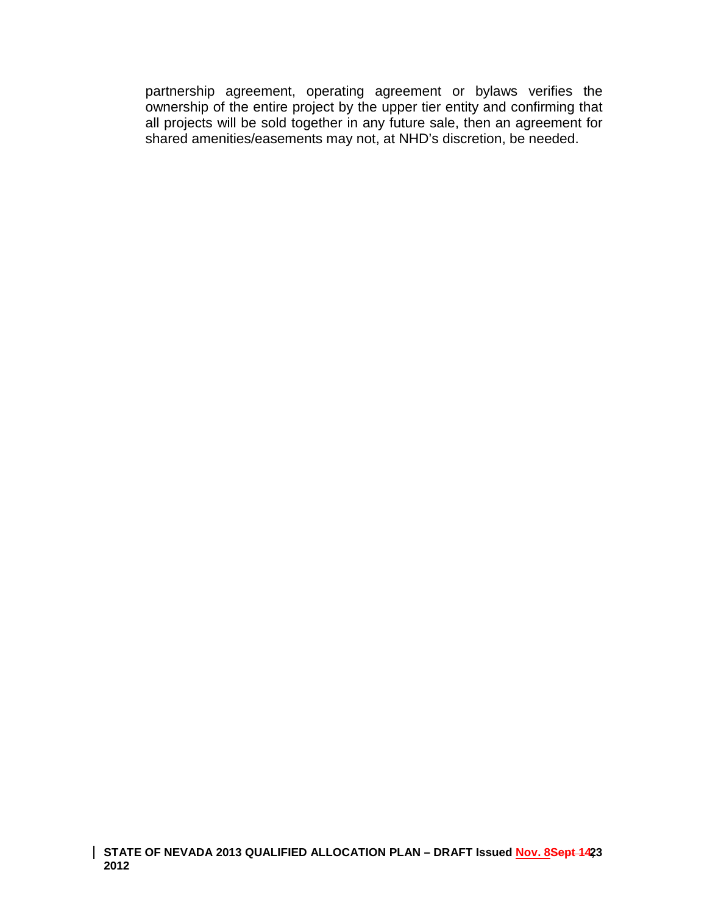partnership agreement, operating agreement or bylaws verifies the ownership of the entire project by the upper tier entity and confirming that all projects will be sold together in any future sale, then an agreement for shared amenities/easements may not, at NHD's discretion, be needed.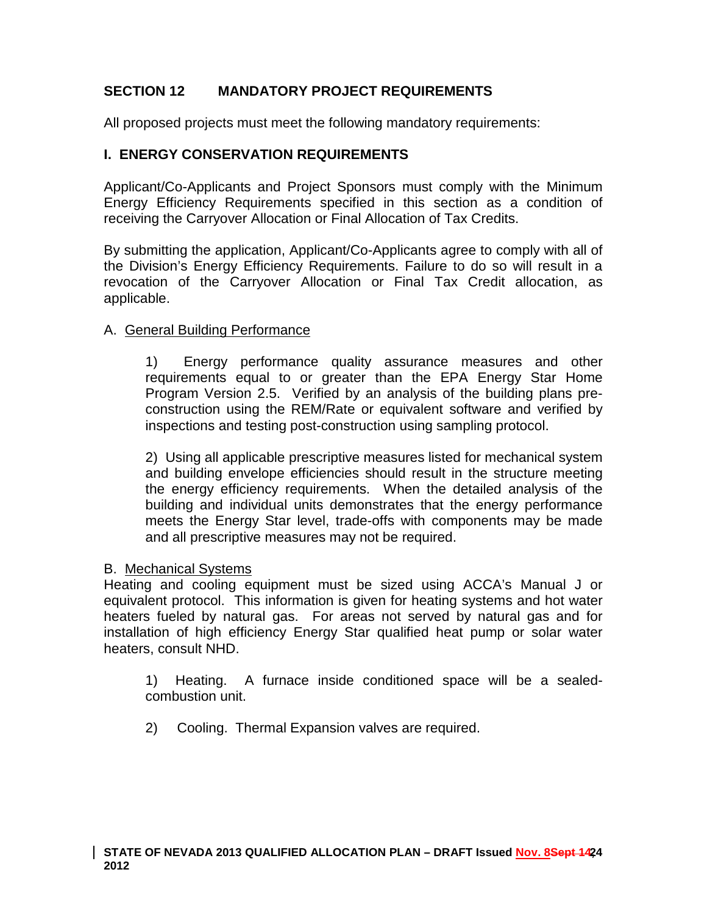# **SECTION 12 MANDATORY PROJECT REQUIREMENTS**

All proposed projects must meet the following mandatory requirements:

## **I. ENERGY CONSERVATION REQUIREMENTS**

Applicant/Co-Applicants and Project Sponsors must comply with the Minimum Energy Efficiency Requirements specified in this section as a condition of receiving the Carryover Allocation or Final Allocation of Tax Credits.

By submitting the application, Applicant/Co-Applicants agree to comply with all of the Division's Energy Efficiency Requirements. Failure to do so will result in a revocation of the Carryover Allocation or Final Tax Credit allocation, as applicable.

### A. General Building Performance

1) Energy performance quality assurance measures and other requirements equal to or greater than the EPA Energy Star Home Program Version 2.5. Verified by an analysis of the building plans preconstruction using the REM/Rate or equivalent software and verified by inspections and testing post-construction using sampling protocol.

2) Using all applicable prescriptive measures listed for mechanical system and building envelope efficiencies should result in the structure meeting the energy efficiency requirements. When the detailed analysis of the building and individual units demonstrates that the energy performance meets the Energy Star level, trade-offs with components may be made and all prescriptive measures may not be required.

### B. Mechanical Systems

Heating and cooling equipment must be sized using ACCA's Manual J or equivalent protocol. This information is given for heating systems and hot water heaters fueled by natural gas. For areas not served by natural gas and for installation of high efficiency Energy Star qualified heat pump or solar water heaters, consult NHD.

1) Heating. A furnace inside conditioned space will be a sealedcombustion unit.

2) Cooling. Thermal Expansion valves are required.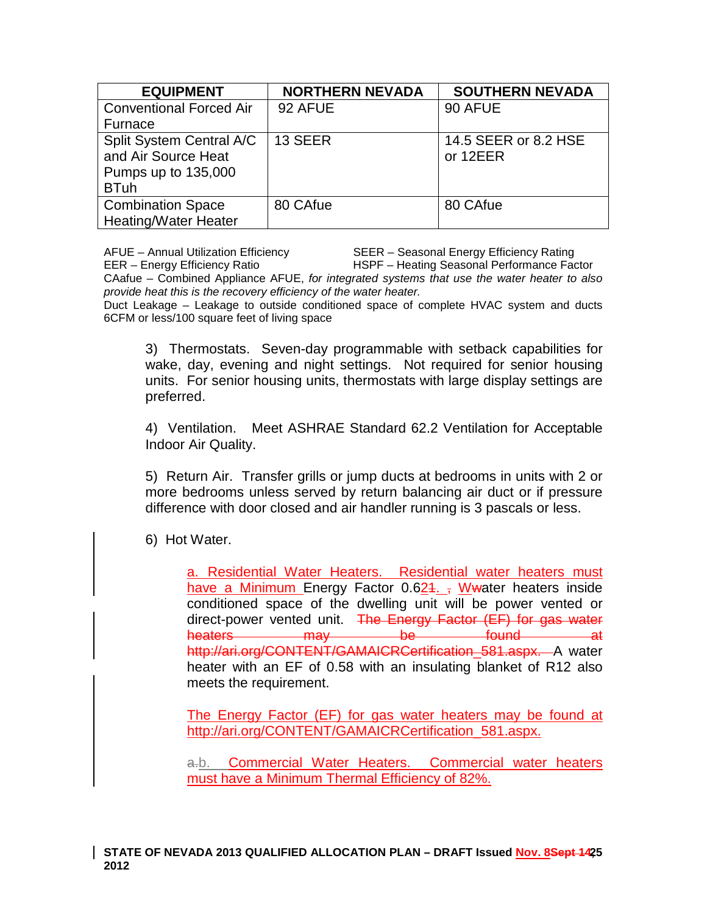| <b>EQUIPMENT</b>               | <b>NORTHERN NEVADA</b> | <b>SOUTHERN NEVADA</b> |
|--------------------------------|------------------------|------------------------|
| <b>Conventional Forced Air</b> | 92 AFUE                | 90 AFUE                |
| Furnace                        |                        |                        |
| Split System Central A/C       | 13 SEER                | 14.5 SEER or 8.2 HSE   |
| and Air Source Heat            |                        | or 12EER               |
| Pumps up to 135,000            |                        |                        |
| <b>BTuh</b>                    |                        |                        |
| <b>Combination Space</b>       | 80 CAfue               | 80 CAfue               |
| <b>Heating/Water Heater</b>    |                        |                        |

AFUE – Annual Utilization Efficiency SEER – Seasonal Energy Efficiency Rating EER – Energy Efficiency Ratio HSPF – Heating Seasonal Performance Factor CAafue – Combined Appliance AFUE, *for integrated systems that use the water heater to also provide heat this is the recovery efficiency of the water heater.*

Duct Leakage – Leakage to outside conditioned space of complete HVAC system and ducts 6CFM or less/100 square feet of living space

3) Thermostats. Seven-day programmable with setback capabilities for wake, day, evening and night settings. Not required for senior housing units. For senior housing units, thermostats with large display settings are preferred.

4) Ventilation. Meet ASHRAE Standard 62.2 Ventilation for Acceptable Indoor Air Quality.

5) Return Air. Transfer grills or jump ducts at bedrooms in units with 2 or more bedrooms unless served by return balancing air duct or if pressure difference with door closed and air handler running is 3 pascals or less.

6) Hot Water.

a. Residential Water Heaters. Residential water heaters must have a Minimum Energy Factor  $0.624$ . , Wwater heaters inside conditioned space of the dwelling unit will be power vented or direct-power vented unit. The Energy Factor (EF) for gas water heaters may be found at http://ari.org/CONTENT/GAMAICRCertification 581.aspx. A water heater with an EF of 0.58 with an insulating blanket of R12 also meets the requirement.

The Energy Factor (EF) for gas water heaters may be found at [http://ari.org/CONTENT/GAMAICRCertification\\_581.aspx.](http://ari.org/CONTENT/GAMAICRCertification_581.aspx)

a.b. Commercial Water Heaters. Commercial water heaters must have a Minimum Thermal Efficiency of 82%.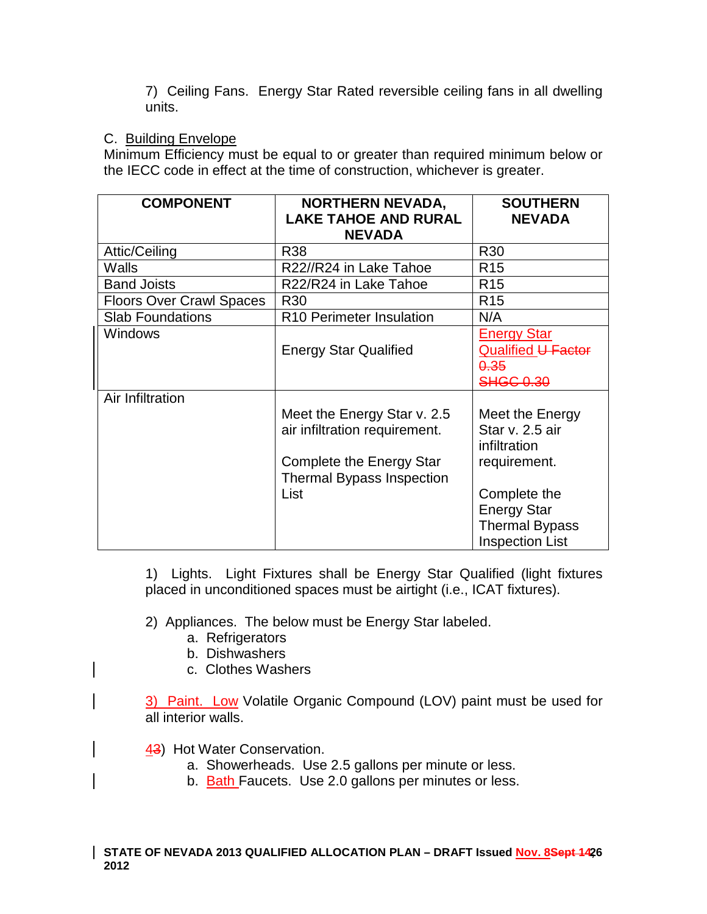7) Ceiling Fans. Energy Star Rated reversible ceiling fans in all dwelling units.

# C. Building Envelope

Minimum Efficiency must be equal to or greater than required minimum below or the IECC code in effect at the time of construction, whichever is greater.

| <b>COMPONENT</b>                | <b>NORTHERN NEVADA,</b><br><b>LAKE TAHOE AND RURAL</b>                                                                       | <b>SOUTHERN</b><br><b>NEVADA</b>                                                      |
|---------------------------------|------------------------------------------------------------------------------------------------------------------------------|---------------------------------------------------------------------------------------|
|                                 | <b>NEVADA</b>                                                                                                                |                                                                                       |
| Attic/Ceiling                   | R38                                                                                                                          | R <sub>30</sub>                                                                       |
| Walls                           | R22//R24 in Lake Tahoe                                                                                                       | R <sub>15</sub>                                                                       |
| <b>Band Joists</b>              | R22/R24 in Lake Tahoe                                                                                                        | R <sub>15</sub>                                                                       |
| <b>Floors Over Crawl Spaces</b> | R <sub>30</sub>                                                                                                              | R <sub>15</sub>                                                                       |
| <b>Slab Foundations</b>         | R10 Perimeter Insulation                                                                                                     | N/A                                                                                   |
| <b>Windows</b>                  | <b>Energy Star Qualified</b>                                                                                                 | <b>Energy Star</b><br>Qualified U Factor<br>0.35                                      |
| Air Infiltration                |                                                                                                                              | <b>SHGC 0.30</b>                                                                      |
|                                 | Meet the Energy Star v. 2.5<br>air infiltration requirement.<br>Complete the Energy Star<br><b>Thermal Bypass Inspection</b> | Meet the Energy<br>Star v. 2.5 air<br>infiltration<br>requirement.                    |
|                                 | List                                                                                                                         | Complete the<br><b>Energy Star</b><br><b>Thermal Bypass</b><br><b>Inspection List</b> |

1) Lights. Light Fixtures shall be Energy Star Qualified (light fixtures placed in unconditioned spaces must be airtight (i.e., ICAT fixtures).

2) Appliances. The below must be Energy Star labeled.

- a. Refrigerators
- b. Dishwashers
- c. Clothes Washers

3) Paint. Low Volatile Organic Compound (LOV) paint must be used for all interior walls.

- 43) Hot Water Conservation.
	- a. Showerheads. Use 2.5 gallons per minute or less.
	- b. Bath Faucets. Use 2.0 gallons per minutes or less.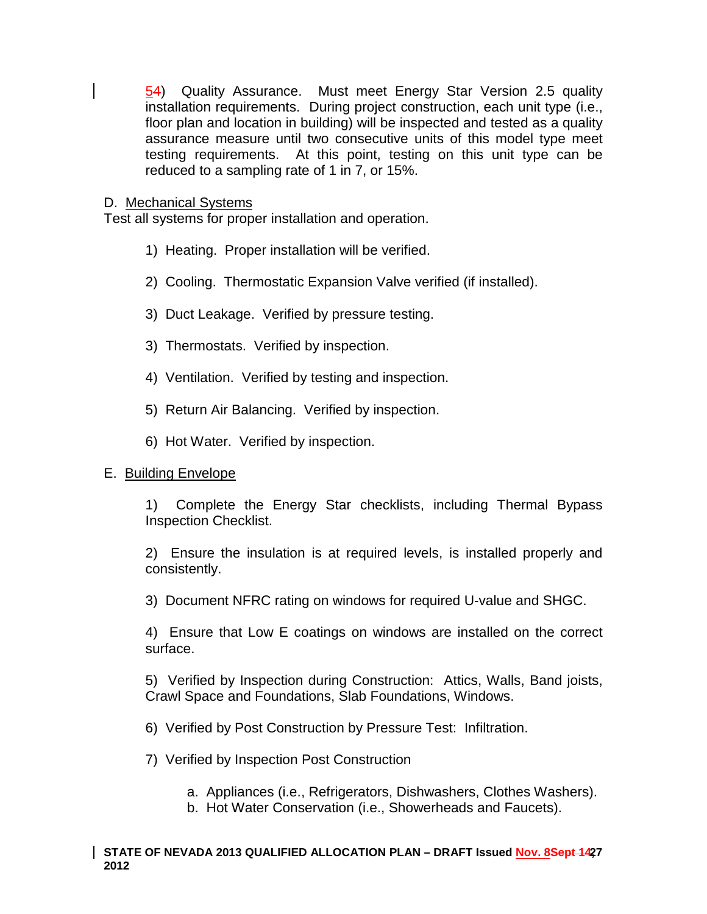54) Quality Assurance. Must meet Energy Star Version 2.5 quality installation requirements. During project construction, each unit type (i.e., floor plan and location in building) will be inspected and tested as a quality assurance measure until two consecutive units of this model type meet testing requirements. At this point, testing on this unit type can be reduced to a sampling rate of 1 in 7, or 15%.

#### D. Mechanical Systems

Test all systems for proper installation and operation.

- 1) Heating. Proper installation will be verified.
- 2) Cooling. Thermostatic Expansion Valve verified (if installed).
- 3) Duct Leakage. Verified by pressure testing.
- 3) Thermostats. Verified by inspection.
- 4) Ventilation. Verified by testing and inspection.
- 5) Return Air Balancing. Verified by inspection.
- 6) Hot Water. Verified by inspection.

### E. Building Envelope

1) Complete the Energy Star checklists, including Thermal Bypass Inspection Checklist.

2) Ensure the insulation is at required levels, is installed properly and consistently.

3) Document NFRC rating on windows for required U-value and SHGC.

4) Ensure that Low E coatings on windows are installed on the correct surface.

5) Verified by Inspection during Construction: Attics, Walls, Band joists, Crawl Space and Foundations, Slab Foundations, Windows.

6) Verified by Post Construction by Pressure Test: Infiltration.

7) Verified by Inspection Post Construction

a. Appliances (i.e., Refrigerators, Dishwashers, Clothes Washers).

b. Hot Water Conservation (i.e., Showerheads and Faucets).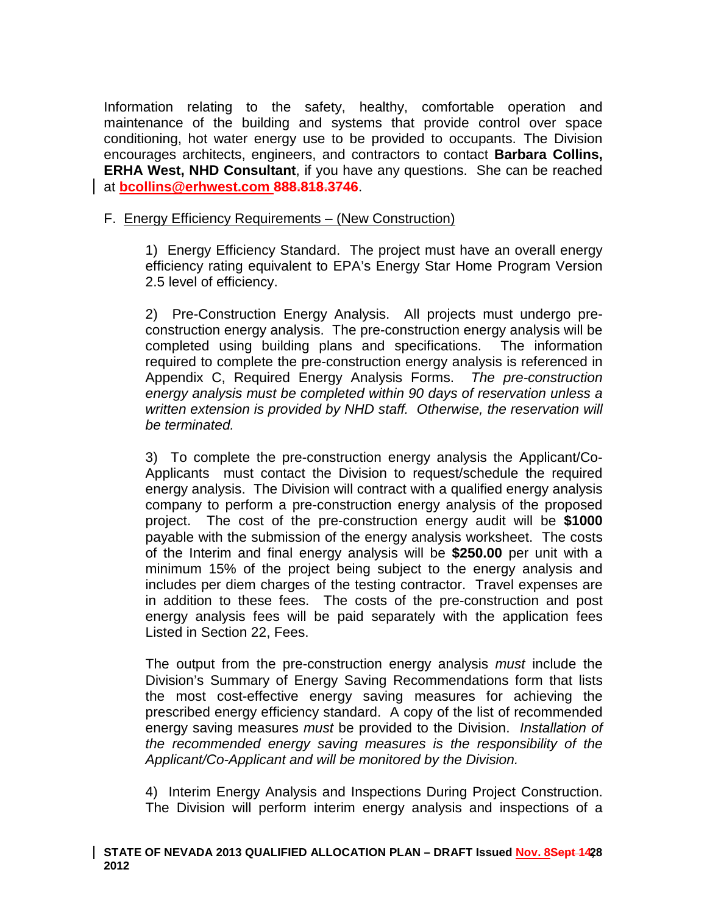Information relating to the safety, healthy, comfortable operation and maintenance of the building and systems that provide control over space conditioning, hot water energy use to be provided to occupants. The Division encourages architects, engineers, and contractors to contact **Barbara Collins, ERHA West, NHD Consultant**, if you have any questions. She can be reached at **[bcollins@erhwest.com](mailto:bcollins@erhwest.com) 888.818.3746**.

## F. Energy Efficiency Requirements – (New Construction)

1) Energy Efficiency Standard. The project must have an overall energy efficiency rating equivalent to EPA's Energy Star Home Program Version 2.5 level of efficiency.

2) Pre-Construction Energy Analysis. All projects must undergo preconstruction energy analysis. The pre-construction energy analysis will be completed using building plans and specifications. The information required to complete the pre-construction energy analysis is referenced in Appendix C, Required Energy Analysis Forms. *The pre-construction energy analysis must be completed within 90 days of reservation unless a written extension is provided by NHD staff. Otherwise, the reservation will be terminated.* 

3) To complete the pre-construction energy analysis the Applicant/Co-Applicants must contact the Division to request/schedule the required energy analysis. The Division will contract with a qualified energy analysis company to perform a pre-construction energy analysis of the proposed project. The cost of the pre-construction energy audit will be **\$1000**  payable with the submission of the energy analysis worksheet. The costs of the Interim and final energy analysis will be **\$250.00** per unit with a minimum 15% of the project being subject to the energy analysis and includes per diem charges of the testing contractor. Travel expenses are in addition to these fees. The costs of the pre-construction and post energy analysis fees will be paid separately with the application fees Listed in Section 22, Fees.

The output from the pre-construction energy analysis *must* include the Division's Summary of Energy Saving Recommendations form that lists the most cost-effective energy saving measures for achieving the prescribed energy efficiency standard. A copy of the list of recommended energy saving measures *must* be provided to the Division. *Installation of the recommended energy saving measures is the responsibility of the Applicant/Co-Applicant and will be monitored by the Division.* 

4) Interim Energy Analysis and Inspections During Project Construction. The Division will perform interim energy analysis and inspections of a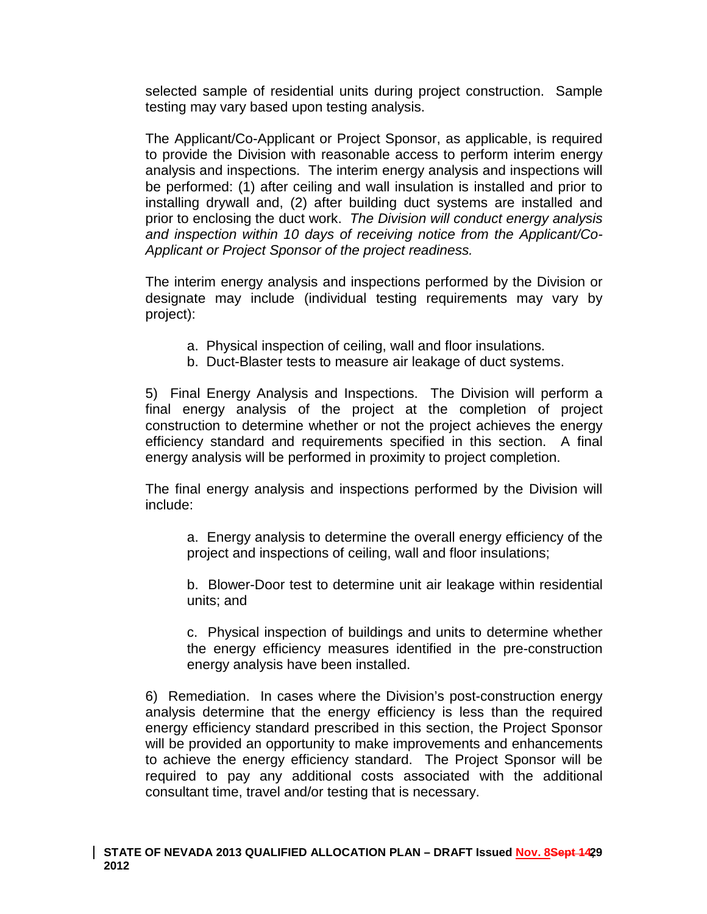selected sample of residential units during project construction. Sample testing may vary based upon testing analysis.

The Applicant/Co-Applicant or Project Sponsor, as applicable, is required to provide the Division with reasonable access to perform interim energy analysis and inspections. The interim energy analysis and inspections will be performed: (1) after ceiling and wall insulation is installed and prior to installing drywall and, (2) after building duct systems are installed and prior to enclosing the duct work. *The Division will conduct energy analysis and inspection within 10 days of receiving notice from the Applicant/Co-Applicant or Project Sponsor of the project readiness.*

The interim energy analysis and inspections performed by the Division or designate may include (individual testing requirements may vary by project):

- a. Physical inspection of ceiling, wall and floor insulations.
- b. Duct-Blaster tests to measure air leakage of duct systems.

5) Final Energy Analysis and Inspections. The Division will perform a final energy analysis of the project at the completion of project construction to determine whether or not the project achieves the energy efficiency standard and requirements specified in this section. A final energy analysis will be performed in proximity to project completion.

The final energy analysis and inspections performed by the Division will include:

a. Energy analysis to determine the overall energy efficiency of the project and inspections of ceiling, wall and floor insulations;

b. Blower-Door test to determine unit air leakage within residential units; and

c. Physical inspection of buildings and units to determine whether the energy efficiency measures identified in the pre-construction energy analysis have been installed.

6) Remediation. In cases where the Division's post-construction energy analysis determine that the energy efficiency is less than the required energy efficiency standard prescribed in this section, the Project Sponsor will be provided an opportunity to make improvements and enhancements to achieve the energy efficiency standard. The Project Sponsor will be required to pay any additional costs associated with the additional consultant time, travel and/or testing that is necessary.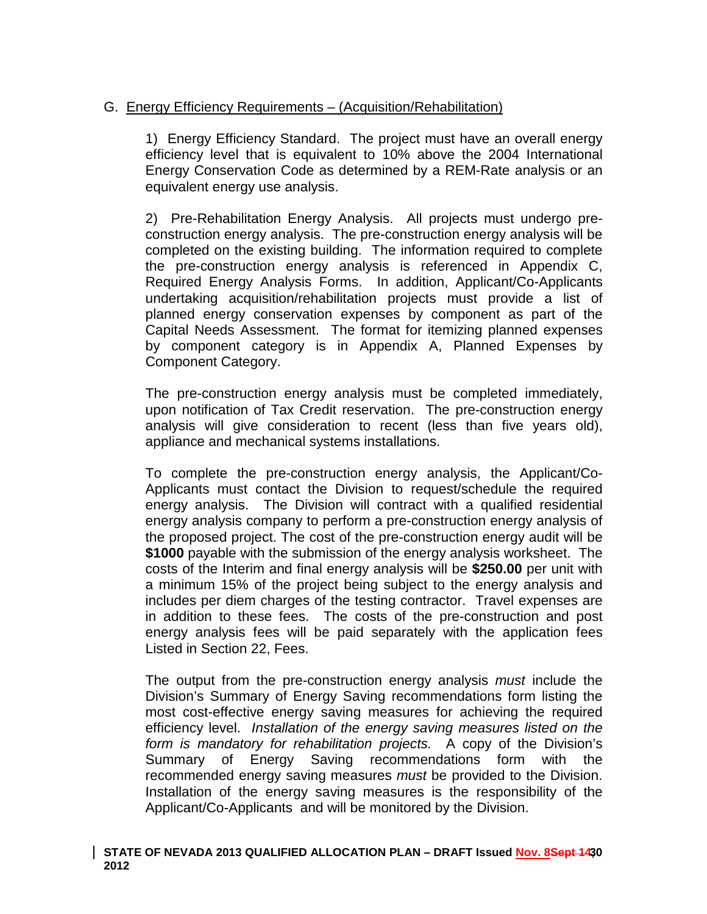# G. Energy Efficiency Requirements – (Acquisition/Rehabilitation)

1) Energy Efficiency Standard. The project must have an overall energy efficiency level that is equivalent to 10% above the 2004 International Energy Conservation Code as determined by a REM-Rate analysis or an equivalent energy use analysis.

2) Pre-Rehabilitation Energy Analysis. All projects must undergo preconstruction energy analysis. The pre-construction energy analysis will be completed on the existing building. The information required to complete the pre-construction energy analysis is referenced in Appendix C, Required Energy Analysis Forms. In addition, Applicant/Co-Applicants undertaking acquisition/rehabilitation projects must provide a list of planned energy conservation expenses by component as part of the Capital Needs Assessment. The format for itemizing planned expenses by component category is in Appendix A, Planned Expenses by Component Category.

The pre-construction energy analysis must be completed immediately, upon notification of Tax Credit reservation. The pre-construction energy analysis will give consideration to recent (less than five years old), appliance and mechanical systems installations.

To complete the pre-construction energy analysis, the Applicant/Co-Applicants must contact the Division to request/schedule the required energy analysis. The Division will contract with a qualified residential energy analysis company to perform a pre-construction energy analysis of the proposed project. The cost of the pre-construction energy audit will be **\$1000** payable with the submission of the energy analysis worksheet. The costs of the Interim and final energy analysis will be **\$250.00** per unit with a minimum 15% of the project being subject to the energy analysis and includes per diem charges of the testing contractor. Travel expenses are in addition to these fees. The costs of the pre-construction and post energy analysis fees will be paid separately with the application fees Listed in Section 22, Fees.

The output from the pre-construction energy analysis *must* include the Division's Summary of Energy Saving recommendations form listing the most cost-effective energy saving measures for achieving the required efficiency level. *Installation of the energy saving measures listed on the form is mandatory for rehabilitation projects.* A copy of the Division's Summary of Energy Saving recommendations form with the recommended energy saving measures *must* be provided to the Division. Installation of the energy saving measures is the responsibility of the Applicant/Co-Applicants and will be monitored by the Division.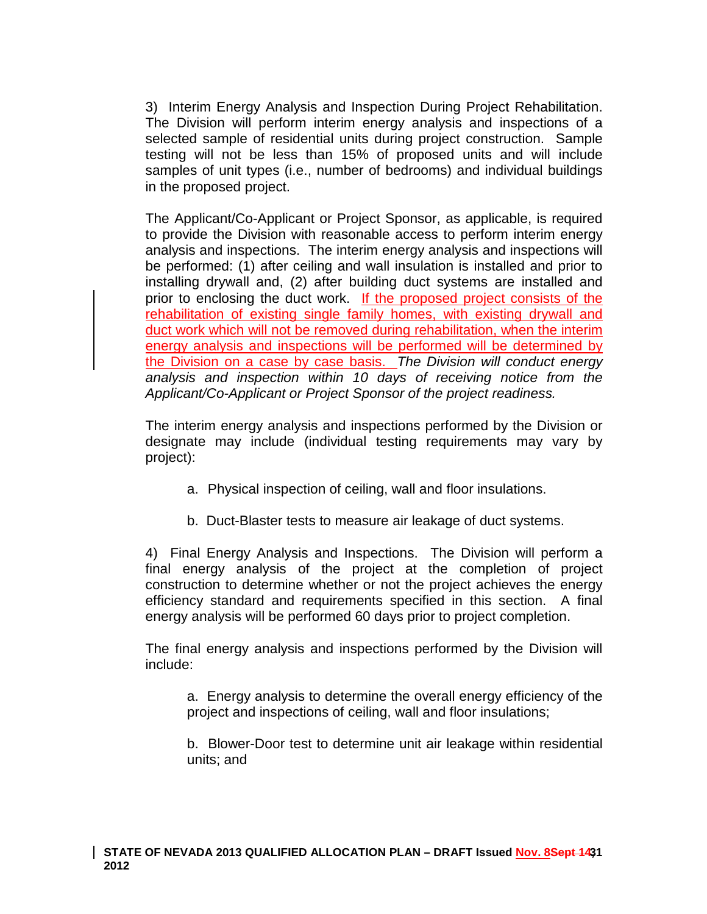3) Interim Energy Analysis and Inspection During Project Rehabilitation. The Division will perform interim energy analysis and inspections of a selected sample of residential units during project construction. Sample testing will not be less than 15% of proposed units and will include samples of unit types (i.e., number of bedrooms) and individual buildings in the proposed project.

The Applicant/Co-Applicant or Project Sponsor, as applicable, is required to provide the Division with reasonable access to perform interim energy analysis and inspections. The interim energy analysis and inspections will be performed: (1) after ceiling and wall insulation is installed and prior to installing drywall and, (2) after building duct systems are installed and prior to enclosing the duct work. If the proposed project consists of the rehabilitation of existing single family homes, with existing drywall and duct work which will not be removed during rehabilitation, when the interim energy analysis and inspections will be performed will be determined by the Division on a case by case basis. *The Division will conduct energy analysis and inspection within 10 days of receiving notice from the Applicant/Co-Applicant or Project Sponsor of the project readiness.*

The interim energy analysis and inspections performed by the Division or designate may include (individual testing requirements may vary by project):

- a. Physical inspection of ceiling, wall and floor insulations.
- b. Duct-Blaster tests to measure air leakage of duct systems.

4) Final Energy Analysis and Inspections. The Division will perform a final energy analysis of the project at the completion of project construction to determine whether or not the project achieves the energy efficiency standard and requirements specified in this section. A final energy analysis will be performed 60 days prior to project completion.

The final energy analysis and inspections performed by the Division will include:

a. Energy analysis to determine the overall energy efficiency of the project and inspections of ceiling, wall and floor insulations;

b. Blower-Door test to determine unit air leakage within residential units; and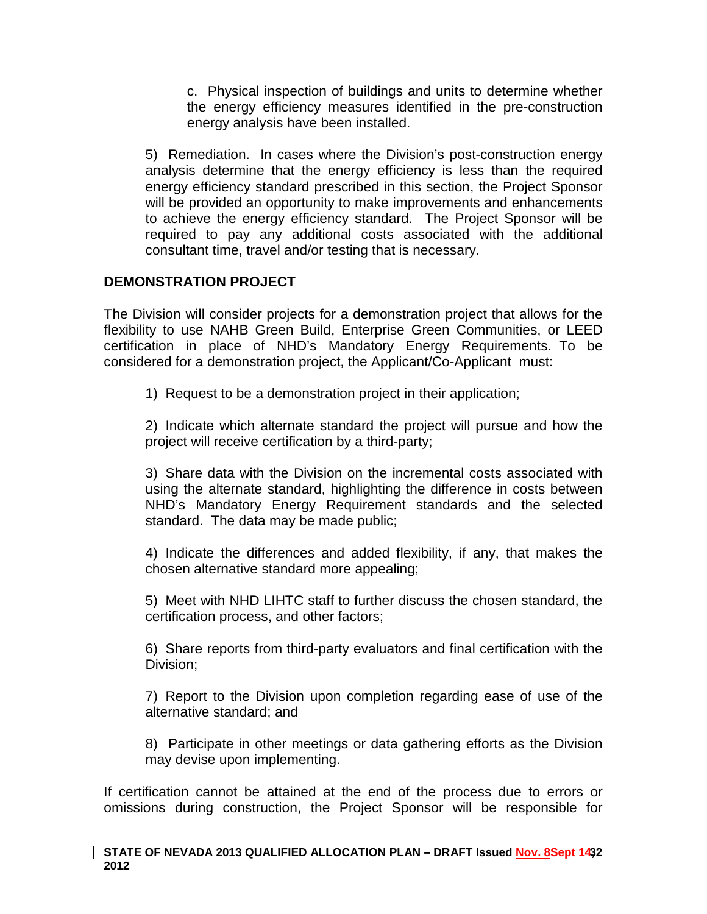c. Physical inspection of buildings and units to determine whether the energy efficiency measures identified in the pre-construction energy analysis have been installed.

5) Remediation. In cases where the Division's post-construction energy analysis determine that the energy efficiency is less than the required energy efficiency standard prescribed in this section, the Project Sponsor will be provided an opportunity to make improvements and enhancements to achieve the energy efficiency standard. The Project Sponsor will be required to pay any additional costs associated with the additional consultant time, travel and/or testing that is necessary.

# **DEMONSTRATION PROJECT**

The Division will consider projects for a demonstration project that allows for the flexibility to use NAHB Green Build, Enterprise Green Communities, or LEED certification in place of NHD's Mandatory Energy Requirements. To be considered for a demonstration project, the Applicant/Co-Applicant must:

1) Request to be a demonstration project in their application;

2) Indicate which alternate standard the project will pursue and how the project will receive certification by a third-party;

3) Share data with the Division on the incremental costs associated with using the alternate standard, highlighting the difference in costs between NHD's Mandatory Energy Requirement standards and the selected standard. The data may be made public;

4) Indicate the differences and added flexibility, if any, that makes the chosen alternative standard more appealing;

5) Meet with NHD LIHTC staff to further discuss the chosen standard, the certification process, and other factors;

6) Share reports from third-party evaluators and final certification with the Division;

7) Report to the Division upon completion regarding ease of use of the alternative standard; and

8) Participate in other meetings or data gathering efforts as the Division may devise upon implementing.

If certification cannot be attained at the end of the process due to errors or omissions during construction, the Project Sponsor will be responsible for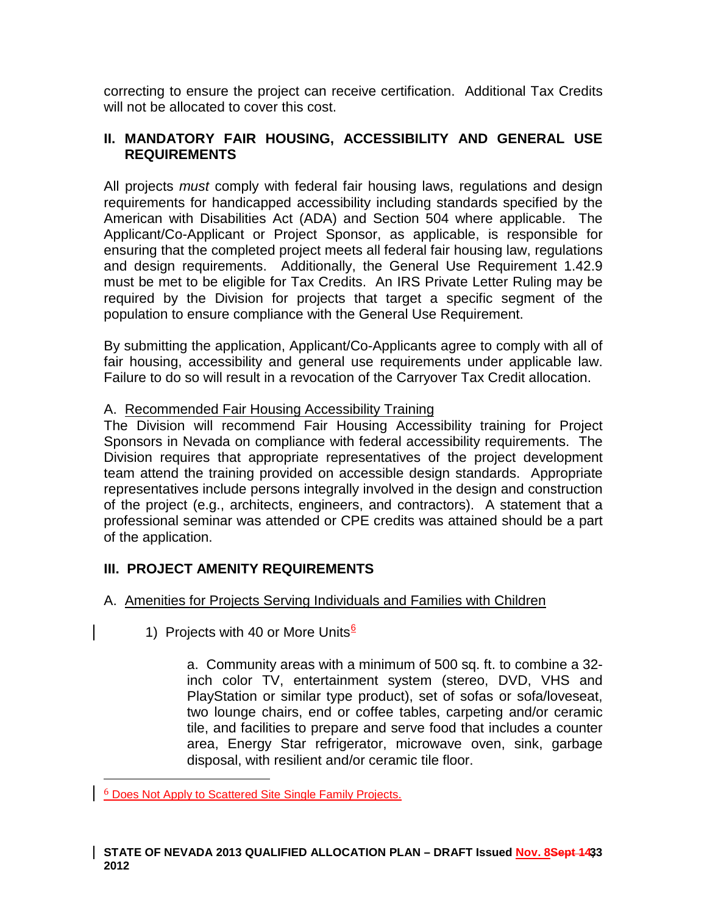correcting to ensure the project can receive certification. Additional Tax Credits will not be allocated to cover this cost.

# **II. MANDATORY FAIR HOUSING, ACCESSIBILITY AND GENERAL USE REQUIREMENTS**

All projects *must* comply with federal fair housing laws, regulations and design requirements for handicapped accessibility including standards specified by the American with Disabilities Act (ADA) and Section 504 where applicable. The Applicant/Co-Applicant or Project Sponsor, as applicable, is responsible for ensuring that the completed project meets all federal fair housing law, regulations and design requirements. Additionally, the General Use Requirement 1.42.9 must be met to be eligible for Tax Credits. An IRS Private Letter Ruling may be required by the Division for projects that target a specific segment of the population to ensure compliance with the General Use Requirement.

By submitting the application, Applicant/Co-Applicants agree to comply with all of fair housing, accessibility and general use requirements under applicable law. Failure to do so will result in a revocation of the Carryover Tax Credit allocation.

### A. Recommended Fair Housing Accessibility Training

The Division will recommend Fair Housing Accessibility training for Project Sponsors in Nevada on compliance with federal accessibility requirements. The Division requires that appropriate representatives of the project development team attend the training provided on accessible design standards. Appropriate representatives include persons integrally involved in the design and construction of the project (e.g., architects, engineers, and contractors). A statement that a professional seminar was attended or CPE credits was attained should be a part of the application.

# **III. PROJECT AMENITY REQUIREMENTS**

# A. Amenities for Projects Serving Individuals and Families with Children

1) Projects with 40 or More Units $6$ 

a. Community areas with a minimum of 500 sq. ft. to combine a 32 inch color TV, entertainment system (stereo, DVD, VHS and PlayStation or similar type product), set of sofas or sofa/loveseat, two lounge chairs, end or coffee tables, carpeting and/or ceramic tile, and facilities to prepare and serve food that includes a counter area, Energy Star refrigerator, microwave oven, sink, garbage disposal, with resilient and/or ceramic tile floor.

 <sup>6</sup> Does Not Apply to Scattered Site Single Family Projects.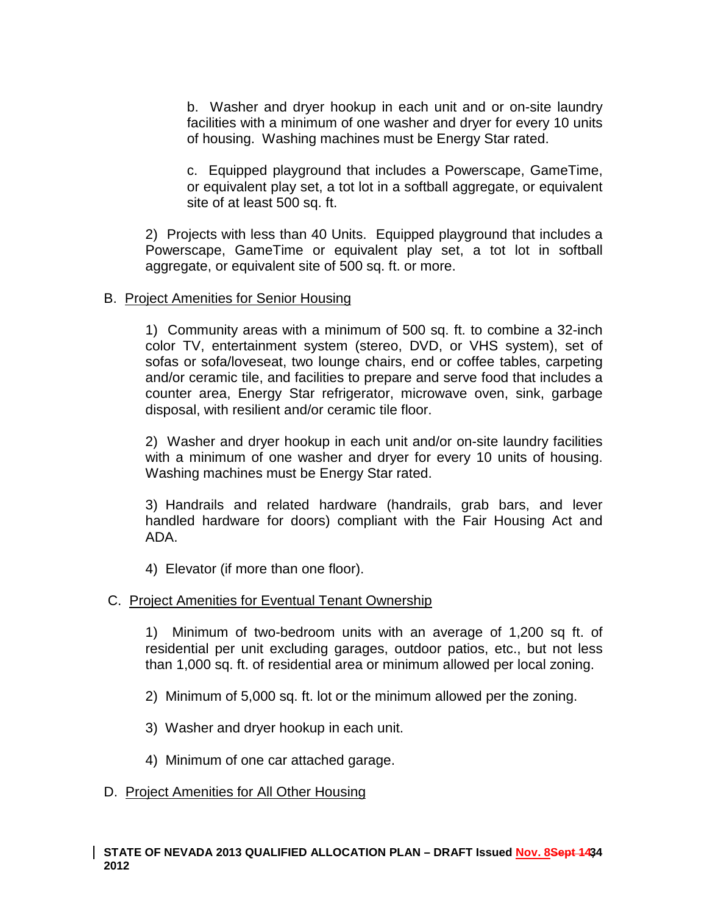b. Washer and dryer hookup in each unit and or on-site laundry facilities with a minimum of one washer and dryer for every 10 units of housing. Washing machines must be Energy Star rated.

c. Equipped playground that includes a Powerscape, GameTime, or equivalent play set, a tot lot in a softball aggregate, or equivalent site of at least 500 sq. ft.

2) Projects with less than 40 Units. Equipped playground that includes a Powerscape, GameTime or equivalent play set, a tot lot in softball aggregate, or equivalent site of 500 sq. ft. or more.

### B. Project Amenities for Senior Housing

1) Community areas with a minimum of 500 sq. ft. to combine a 32-inch color TV, entertainment system (stereo, DVD, or VHS system), set of sofas or sofa/loveseat, two lounge chairs, end or coffee tables, carpeting and/or ceramic tile, and facilities to prepare and serve food that includes a counter area, Energy Star refrigerator, microwave oven, sink, garbage disposal, with resilient and/or ceramic tile floor.

2) Washer and dryer hookup in each unit and/or on-site laundry facilities with a minimum of one washer and dryer for every 10 units of housing. Washing machines must be Energy Star rated.

3) Handrails and related hardware (handrails, grab bars, and lever handled hardware for doors) compliant with the Fair Housing Act and ADA.

4) Elevator (if more than one floor).

### C. Project Amenities for Eventual Tenant Ownership

1) Minimum of two-bedroom units with an average of 1,200 sq ft. of residential per unit excluding garages, outdoor patios, etc., but not less than 1,000 sq. ft. of residential area or minimum allowed per local zoning.

- 2) Minimum of 5,000 sq. ft. lot or the minimum allowed per the zoning.
- 3) Washer and dryer hookup in each unit.
- 4) Minimum of one car attached garage.

### D. Project Amenities for All Other Housing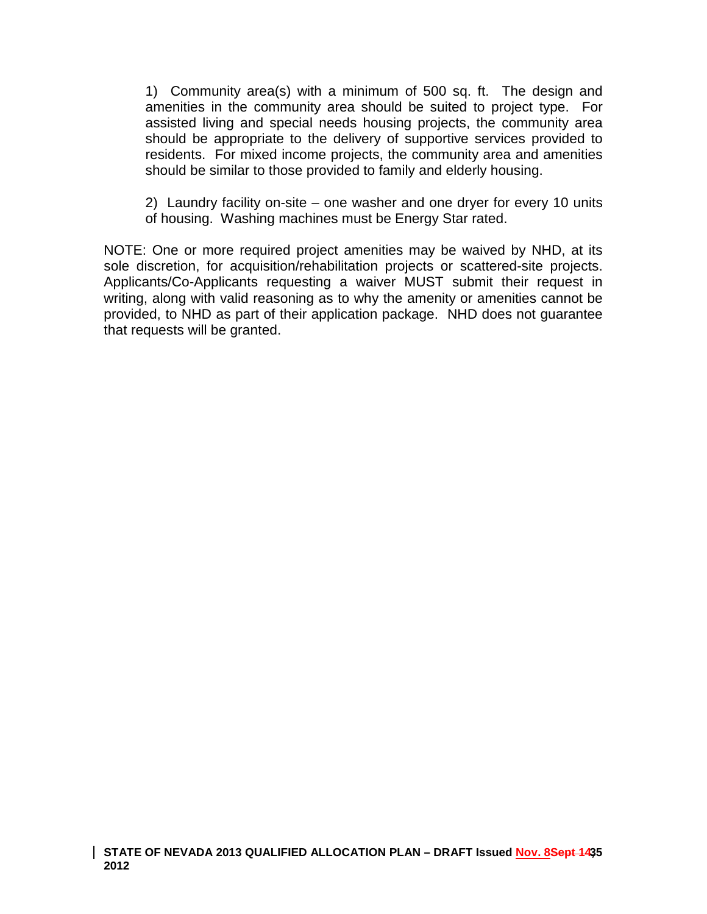1) Community area(s) with a minimum of 500 sq. ft. The design and amenities in the community area should be suited to project type. For assisted living and special needs housing projects, the community area should be appropriate to the delivery of supportive services provided to residents. For mixed income projects, the community area and amenities should be similar to those provided to family and elderly housing.

2) Laundry facility on-site – one washer and one dryer for every 10 units of housing. Washing machines must be Energy Star rated.

NOTE: One or more required project amenities may be waived by NHD, at its sole discretion, for acquisition/rehabilitation projects or scattered-site projects. Applicants/Co-Applicants requesting a waiver MUST submit their request in writing, along with valid reasoning as to why the amenity or amenities cannot be provided, to NHD as part of their application package. NHD does not guarantee that requests will be granted.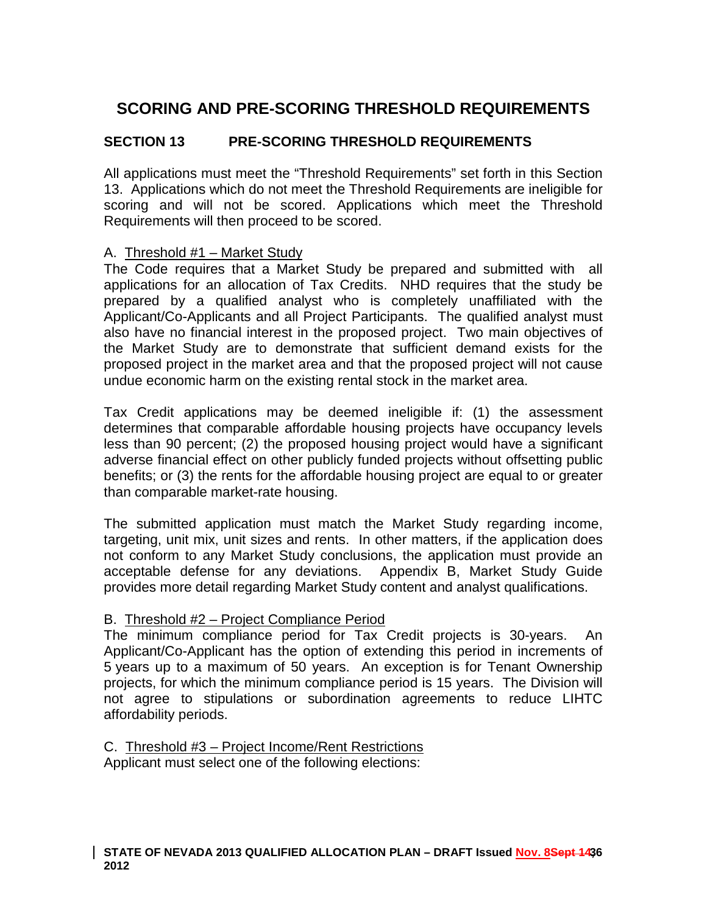# **SCORING AND PRE-SCORING THRESHOLD REQUIREMENTS**

# **SECTION 13 PRE-SCORING THRESHOLD REQUIREMENTS**

All applications must meet the "Threshold Requirements" set forth in this Section 13. Applications which do not meet the Threshold Requirements are ineligible for scoring and will not be scored. Applications which meet the Threshold Requirements will then proceed to be scored.

### A. Threshold #1 – Market Study

The Code requires that a Market Study be prepared and submitted with all applications for an allocation of Tax Credits. NHD requires that the study be prepared by a qualified analyst who is completely unaffiliated with the Applicant/Co-Applicants and all Project Participants. The qualified analyst must also have no financial interest in the proposed project. Two main objectives of the Market Study are to demonstrate that sufficient demand exists for the proposed project in the market area and that the proposed project will not cause undue economic harm on the existing rental stock in the market area.

Tax Credit applications may be deemed ineligible if: (1) the assessment determines that comparable affordable housing projects have occupancy levels less than 90 percent; (2) the proposed housing project would have a significant adverse financial effect on other publicly funded projects without offsetting public benefits; or (3) the rents for the affordable housing project are equal to or greater than comparable market-rate housing.

The submitted application must match the Market Study regarding income, targeting, unit mix, unit sizes and rents. In other matters, if the application does not conform to any Market Study conclusions, the application must provide an acceptable defense for any deviations. Appendix B, Market Study Guide provides more detail regarding Market Study content and analyst qualifications.

### B. Threshold #2 – Project Compliance Period

The minimum compliance period for Tax Credit projects is 30-years. An Applicant/Co-Applicant has the option of extending this period in increments of 5 years up to a maximum of 50 years. An exception is for Tenant Ownership projects, for which the minimum compliance period is 15 years. The Division will not agree to stipulations or subordination agreements to reduce LIHTC affordability periods.

C. Threshold #3 – Project Income/Rent Restrictions Applicant must select one of the following elections: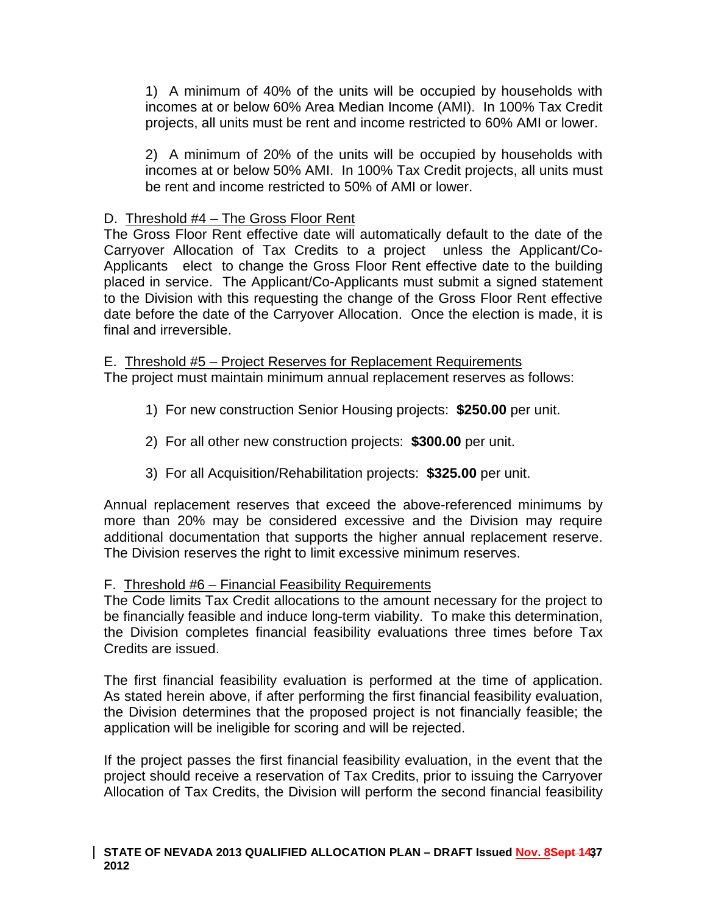1) A minimum of 40% of the units will be occupied by households with incomes at or below 60% Area Median Income (AMI). In 100% Tax Credit projects, all units must be rent and income restricted to 60% AMI or lower.

2) A minimum of 20% of the units will be occupied by households with incomes at or below 50% AMI. In 100% Tax Credit projects, all units must be rent and income restricted to 50% of AMI or lower.

### D. Threshold #4 – The Gross Floor Rent

The Gross Floor Rent effective date will automatically default to the date of the Carryover Allocation of Tax Credits to a project unless the Applicant/Co-Applicants elect to change the Gross Floor Rent effective date to the building placed in service. The Applicant/Co-Applicants must submit a signed statement to the Division with this requesting the change of the Gross Floor Rent effective date before the date of the Carryover Allocation. Once the election is made, it is final and irreversible.

E. Threshold #5 – Project Reserves for Replacement Requirements The project must maintain minimum annual replacement reserves as follows:

- 1) For new construction Senior Housing projects: **\$250.00** per unit.
- 2) For all other new construction projects: **\$300.00** per unit.
- 3) For all Acquisition/Rehabilitation projects: **\$325.00** per unit.

Annual replacement reserves that exceed the above-referenced minimums by more than 20% may be considered excessive and the Division may require additional documentation that supports the higher annual replacement reserve. The Division reserves the right to limit excessive minimum reserves.

## F. Threshold #6 – Financial Feasibility Requirements

The Code limits Tax Credit allocations to the amount necessary for the project to be financially feasible and induce long-term viability. To make this determination, the Division completes financial feasibility evaluations three times before Tax Credits are issued.

The first financial feasibility evaluation is performed at the time of application. As stated herein above, if after performing the first financial feasibility evaluation, the Division determines that the proposed project is not financially feasible; the application will be ineligible for scoring and will be rejected.

If the project passes the first financial feasibility evaluation, in the event that the project should receive a reservation of Tax Credits, prior to issuing the Carryover Allocation of Tax Credits, the Division will perform the second financial feasibility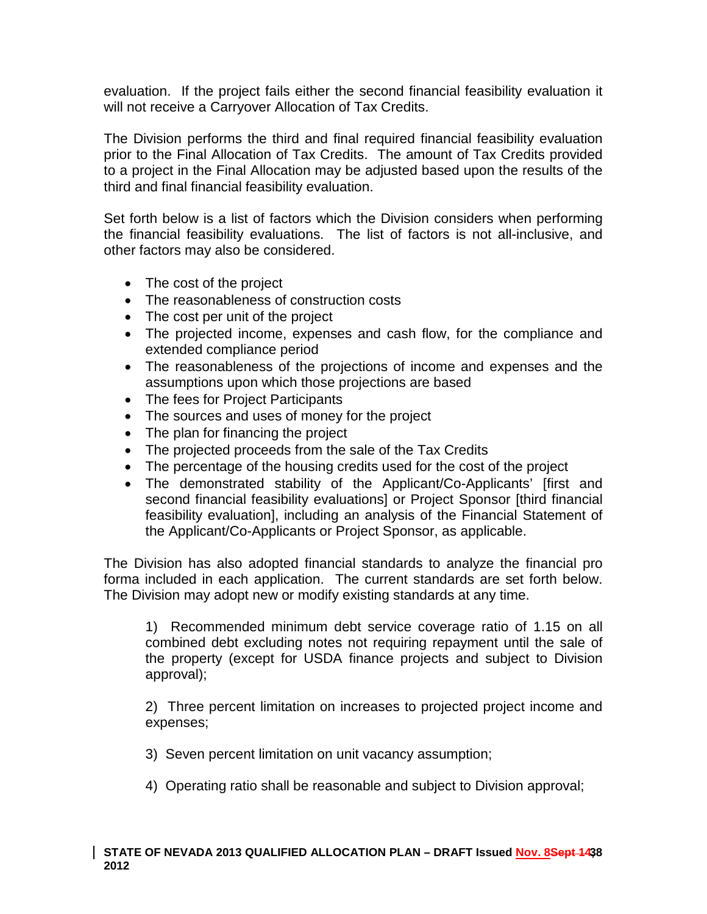evaluation. If the project fails either the second financial feasibility evaluation it will not receive a Carryover Allocation of Tax Credits.

The Division performs the third and final required financial feasibility evaluation prior to the Final Allocation of Tax Credits. The amount of Tax Credits provided to a project in the Final Allocation may be adjusted based upon the results of the third and final financial feasibility evaluation.

Set forth below is a list of factors which the Division considers when performing the financial feasibility evaluations. The list of factors is not all-inclusive, and other factors may also be considered.

- The cost of the project
- The reasonableness of construction costs
- The cost per unit of the project
- The projected income, expenses and cash flow, for the compliance and extended compliance period
- The reasonableness of the projections of income and expenses and the assumptions upon which those projections are based
- The fees for Project Participants
- The sources and uses of money for the project
- The plan for financing the project
- The projected proceeds from the sale of the Tax Credits
- The percentage of the housing credits used for the cost of the project
- The demonstrated stability of the Applicant/Co-Applicants' [first and second financial feasibility evaluations] or Project Sponsor [third financial feasibility evaluation], including an analysis of the Financial Statement of the Applicant/Co-Applicants or Project Sponsor, as applicable.

The Division has also adopted financial standards to analyze the financial pro forma included in each application. The current standards are set forth below. The Division may adopt new or modify existing standards at any time.

1) Recommended minimum debt service coverage ratio of 1.15 on all combined debt excluding notes not requiring repayment until the sale of the property (except for USDA finance projects and subject to Division approval);

2) Three percent limitation on increases to projected project income and expenses;

3) Seven percent limitation on unit vacancy assumption;

4) Operating ratio shall be reasonable and subject to Division approval;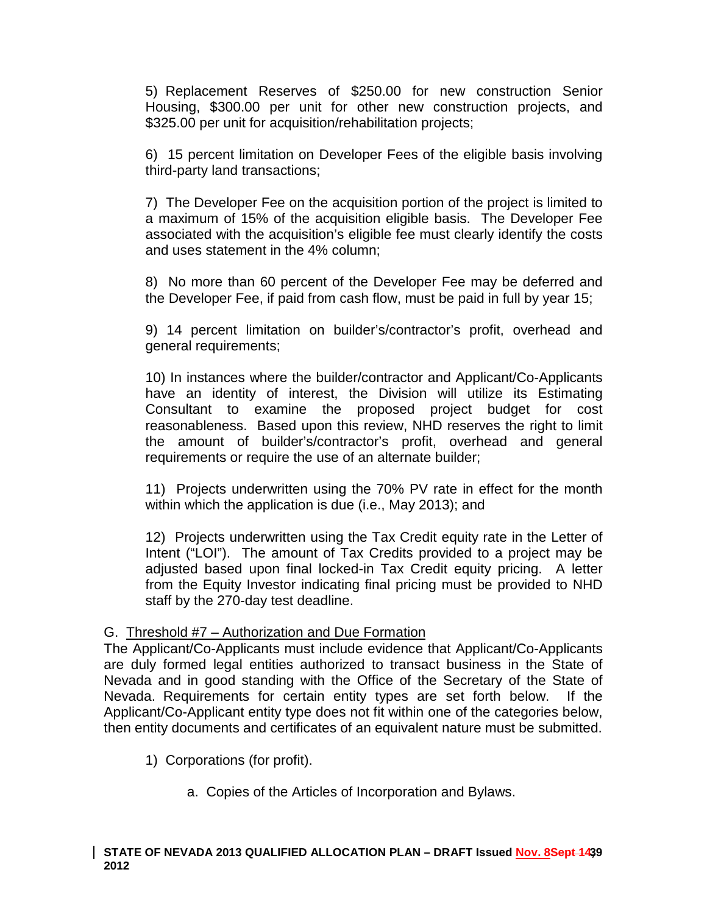5) Replacement Reserves of \$250.00 for new construction Senior Housing, \$300.00 per unit for other new construction projects, and \$325.00 per unit for acquisition/rehabilitation projects;

6) 15 percent limitation on Developer Fees of the eligible basis involving third-party land transactions;

7) The Developer Fee on the acquisition portion of the project is limited to a maximum of 15% of the acquisition eligible basis. The Developer Fee associated with the acquisition's eligible fee must clearly identify the costs and uses statement in the 4% column;

8) No more than 60 percent of the Developer Fee may be deferred and the Developer Fee, if paid from cash flow, must be paid in full by year 15;

9) 14 percent limitation on builder's/contractor's profit, overhead and general requirements;

10) In instances where the builder/contractor and Applicant/Co-Applicants have an identity of interest, the Division will utilize its Estimating Consultant to examine the proposed project budget for cost reasonableness. Based upon this review, NHD reserves the right to limit the amount of builder's/contractor's profit, overhead and general requirements or require the use of an alternate builder;

11) Projects underwritten using the 70% PV rate in effect for the month within which the application is due (i.e., May 2013); and

12) Projects underwritten using the Tax Credit equity rate in the Letter of Intent ("LOI"). The amount of Tax Credits provided to a project may be adjusted based upon final locked-in Tax Credit equity pricing. A letter from the Equity Investor indicating final pricing must be provided to NHD staff by the 270-day test deadline.

## G. Threshold #7 – Authorization and Due Formation

The Applicant/Co-Applicants must include evidence that Applicant/Co-Applicants are duly formed legal entities authorized to transact business in the State of Nevada and in good standing with the Office of the Secretary of the State of Nevada. Requirements for certain entity types are set forth below. If the Applicant/Co-Applicant entity type does not fit within one of the categories below, then entity documents and certificates of an equivalent nature must be submitted.

- 1) Corporations (for profit).
	- a. Copies of the Articles of Incorporation and Bylaws.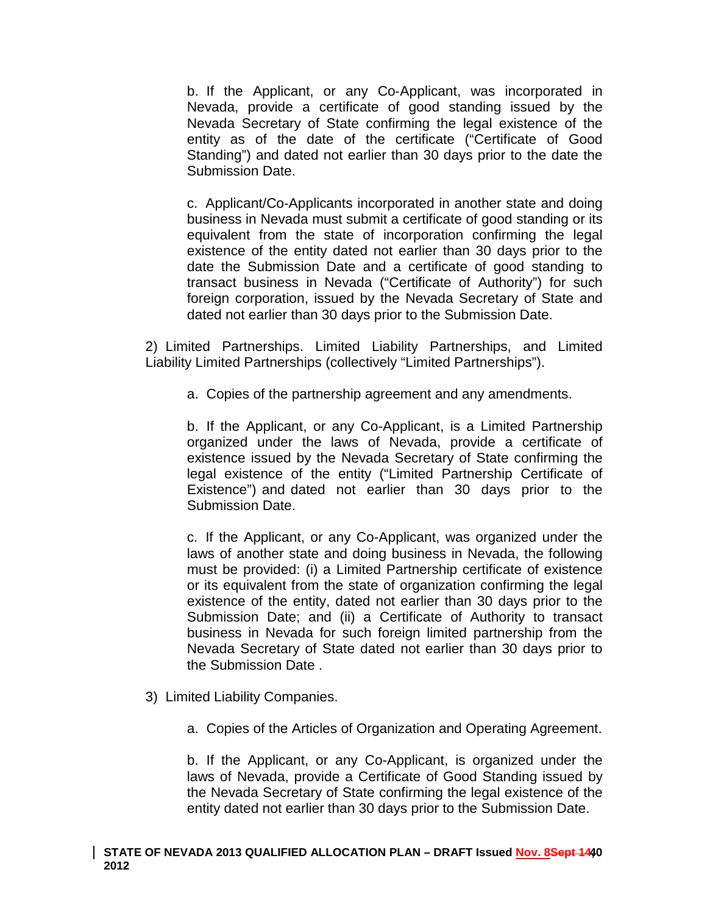b. If the Applicant, or any Co‐Applicant, was incorporated in Nevada, provide a certificate of good standing issued by the Nevada Secretary of State confirming the legal existence of the entity as of the date of the certificate ("Certificate of Good Standing") and dated not earlier than 30 days prior to the date the Submission Date.

c. Applicant/Co‐Applicants incorporated in another state and doing business in Nevada must submit a certificate of good standing or its equivalent from the state of incorporation confirming the legal existence of the entity dated not earlier than 30 days prior to the date the Submission Date and a certificate of good standing to transact business in Nevada ("Certificate of Authority") for such foreign corporation, issued by the Nevada Secretary of State and dated not earlier than 30 days prior to the Submission Date.

2) Limited Partnerships. Limited Liability Partnerships, and Limited Liability Limited Partnerships (collectively "Limited Partnerships").

a. Copies of the partnership agreement and any amendments.

b. If the Applicant, or any Co-Applicant, is a Limited Partnership organized under the laws of Nevada, provide a certificate of existence issued by the Nevada Secretary of State confirming the legal existence of the entity ("Limited Partnership Certificate of Existence") and dated not earlier than 30 days prior to the Submission Date.

c. If the Applicant, or any Co-Applicant, was organized under the laws of another state and doing business in Nevada, the following must be provided: (i) a Limited Partnership certificate of existence or its equivalent from the state of organization confirming the legal existence of the entity, dated not earlier than 30 days prior to the Submission Date; and (ii) a Certificate of Authority to transact business in Nevada for such foreign limited partnership from the Nevada Secretary of State dated not earlier than 30 days prior to the Submission Date .

- 3) Limited Liability Companies.
	- a. Copies of the Articles of Organization and Operating Agreement.

b. If the Applicant, or any Co-Applicant, is organized under the laws of Nevada, provide a Certificate of Good Standing issued by the Nevada Secretary of State confirming the legal existence of the entity dated not earlier than 30 days prior to the Submission Date.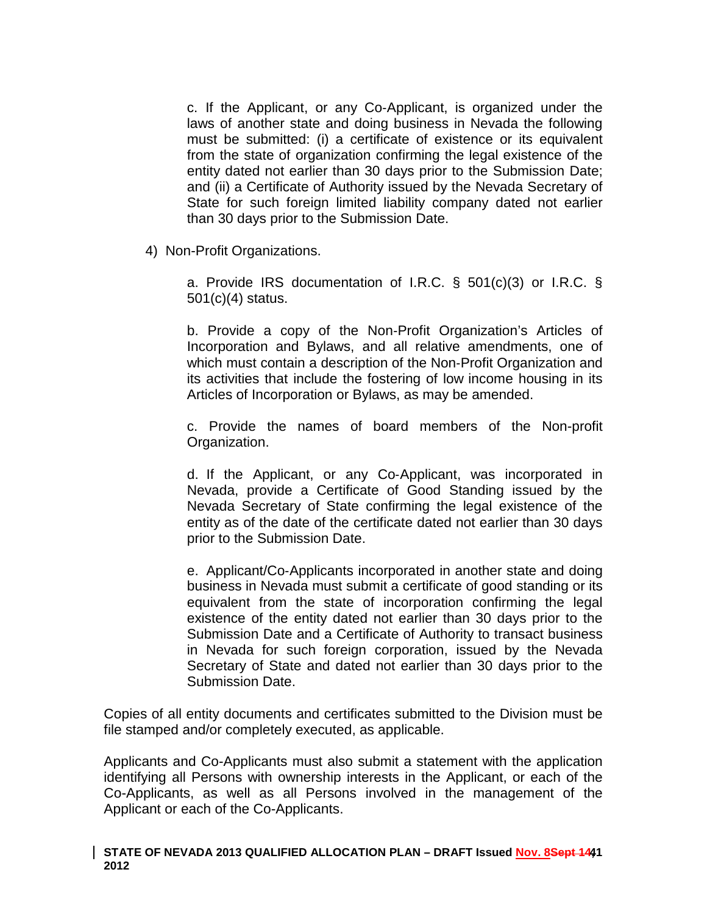c. If the Applicant, or any Co‐Applicant, is organized under the laws of another state and doing business in Nevada the following must be submitted: (i) a certificate of existence or its equivalent from the state of organization confirming the legal existence of the entity dated not earlier than 30 days prior to the Submission Date; and (ii) a Certificate of Authority issued by the Nevada Secretary of State for such foreign limited liability company dated not earlier than 30 days prior to the Submission Date.

4) Non-Profit Organizations.

a. Provide IRS documentation of I.R.C. § 501(c)(3) or I.R.C. § 501(c)(4) status.

b. Provide a copy of the Non‐Profit Organization's Articles of Incorporation and Bylaws, and all relative amendments, one of which must contain a description of the Non-Profit Organization and its activities that include the fostering of low income housing in its Articles of Incorporation or Bylaws, as may be amended.

c. Provide the names of board members of the Non-profit Organization.

d. If the Applicant, or any Co‐Applicant, was incorporated in Nevada, provide a Certificate of Good Standing issued by the Nevada Secretary of State confirming the legal existence of the entity as of the date of the certificate dated not earlier than 30 days prior to the Submission Date.

e. Applicant/Co‐Applicants incorporated in another state and doing business in Nevada must submit a certificate of good standing or its equivalent from the state of incorporation confirming the legal existence of the entity dated not earlier than 30 days prior to the Submission Date and a Certificate of Authority to transact business in Nevada for such foreign corporation, issued by the Nevada Secretary of State and dated not earlier than 30 days prior to the Submission Date.

Copies of all entity documents and certificates submitted to the Division must be file stamped and/or completely executed, as applicable.

Applicants and Co-Applicants must also submit a statement with the application identifying all Persons with ownership interests in the Applicant, or each of the Co-Applicants, as well as all Persons involved in the management of the Applicant or each of the Co-Applicants.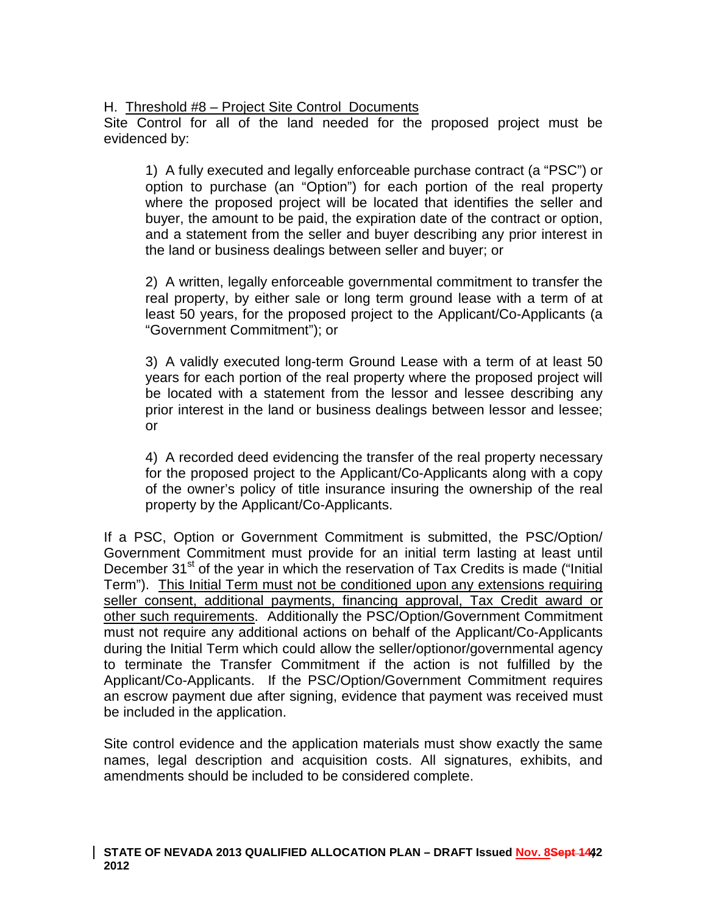### H. Threshold #8 – Project Site Control Documents

Site Control for all of the land needed for the proposed project must be evidenced by:

1) A fully executed and legally enforceable purchase contract (a "PSC") or option to purchase (an "Option") for each portion of the real property where the proposed project will be located that identifies the seller and buyer, the amount to be paid, the expiration date of the contract or option, and a statement from the seller and buyer describing any prior interest in the land or business dealings between seller and buyer; or

2) A written, legally enforceable governmental commitment to transfer the real property, by either sale or long term ground lease with a term of at least 50 years, for the proposed project to the Applicant/Co-Applicants (a "Government Commitment"); or

3) A validly executed long-term Ground Lease with a term of at least 50 years for each portion of the real property where the proposed project will be located with a statement from the lessor and lessee describing any prior interest in the land or business dealings between lessor and lessee; or

4) A recorded deed evidencing the transfer of the real property necessary for the proposed project to the Applicant/Co-Applicants along with a copy of the owner's policy of title insurance insuring the ownership of the real property by the Applicant/Co-Applicants.

If a PSC, Option or Government Commitment is submitted, the PSC/Option/ Government Commitment must provide for an initial term lasting at least until December 31<sup>st</sup> of the year in which the reservation of Tax Credits is made ("Initial Term"). This Initial Term must not be conditioned upon any extensions requiring seller consent, additional payments, financing approval, Tax Credit award or other such requirements. Additionally the PSC/Option/Government Commitment must not require any additional actions on behalf of the Applicant/Co-Applicants during the Initial Term which could allow the seller/optionor/governmental agency to terminate the Transfer Commitment if the action is not fulfilled by the Applicant/Co-Applicants. If the PSC/Option/Government Commitment requires an escrow payment due after signing, evidence that payment was received must be included in the application.

Site control evidence and the application materials must show exactly the same names, legal description and acquisition costs. All signatures, exhibits, and amendments should be included to be considered complete.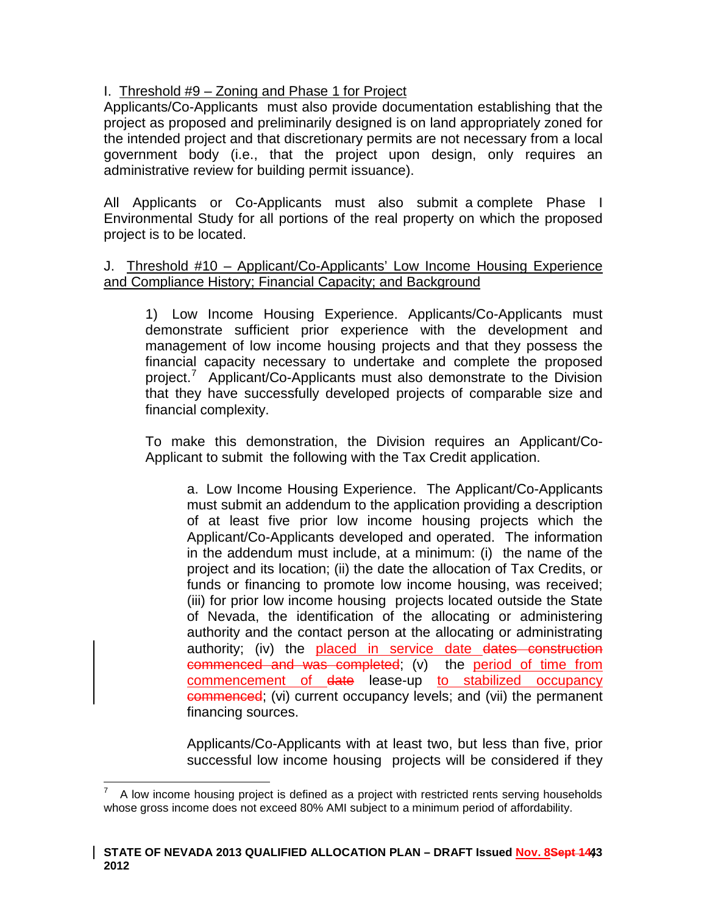I. Threshold #9 – Zoning and Phase 1 for Project

Applicants/Co-Applicants must also provide documentation establishing that the project as proposed and preliminarily designed is on land appropriately zoned for the intended project and that discretionary permits are not necessary from a local government body (i.e., that the project upon design, only requires an administrative review for building permit issuance).

All Applicants or Co-Applicants must also submit a complete Phase I Environmental Study for all portions of the real property on which the proposed project is to be located.

### J. Threshold #10 – Applicant/Co-Applicants' Low Income Housing Experience and Compliance History; Financial Capacity; and Background

1) Low Income Housing Experience. Applicants/Co-Applicants must demonstrate sufficient prior experience with the development and management of low income housing projects and that they possess the financial capacity necessary to undertake and complete the proposed project.<sup>[7](#page-32-0)</sup> Applicant/Co-Applicants must also demonstrate to the Division that they have successfully developed projects of comparable size and financial complexity.

To make this demonstration, the Division requires an Applicant/Co-Applicant to submit the following with the Tax Credit application.

a. Low Income Housing Experience. The Applicant/Co-Applicants must submit an addendum to the application providing a description of at least five prior low income housing projects which the Applicant/Co-Applicants developed and operated. The information in the addendum must include, at a minimum: (i) the name of the project and its location; (ii) the date the allocation of Tax Credits, or funds or financing to promote low income housing, was received; (iii) for prior low income housing projects located outside the State of Nevada, the identification of the allocating or administering authority and the contact person at the allocating or administrating authority; (iv) the placed in service date dates construction commenced and was completed; (v) the period of time from commencement of date lease-up to stabilized occupancy commenced; (vi) current occupancy levels; and (vii) the permanent financing sources.

Applicants/Co-Applicants with at least two, but less than five, prior successful low income housing projects will be considered if they

<span id="page-42-0"></span>7 A low income housing project is defined as a project with restricted rents serving households whose gross income does not exceed 80% AMI subject to a minimum period of affordability.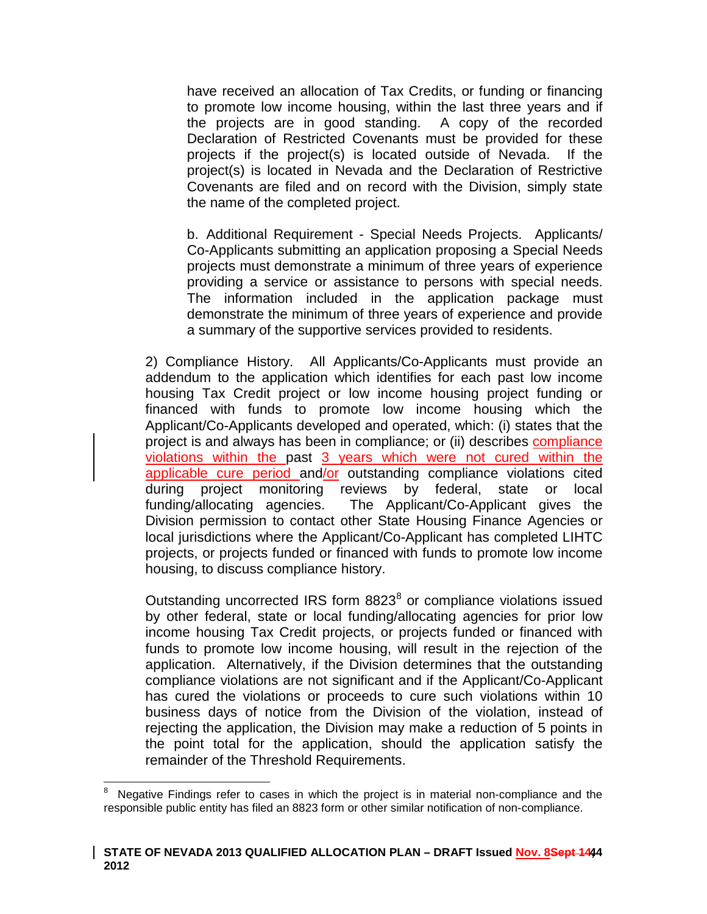have received an allocation of Tax Credits, or funding or financing to promote low income housing, within the last three years and if the projects are in good standing. A copy of the recorded Declaration of Restricted Covenants must be provided for these projects if the project(s) is located outside of Nevada. If the project(s) is located in Nevada and the Declaration of Restrictive Covenants are filed and on record with the Division, simply state the name of the completed project.

b. Additional Requirement - Special Needs Projects. Applicants/ Co-Applicants submitting an application proposing a Special Needs projects must demonstrate a minimum of three years of experience providing a service or assistance to persons with special needs. The information included in the application package must demonstrate the minimum of three years of experience and provide a summary of the supportive services provided to residents.

2) Compliance History. All Applicants/Co-Applicants must provide an addendum to the application which identifies for each past low income housing Tax Credit project or low income housing project funding or financed with funds to promote low income housing which the Applicant/Co-Applicants developed and operated, which: (i) states that the project is and always has been in compliance; or (ii) describes compliance violations within the past 3 years which were not cured within the applicable cure period and/or outstanding compliance violations cited during project monitoring reviews by federal, state or local funding/allocating agencies. The Applicant/Co-Applicant gives the Division permission to contact other State Housing Finance Agencies or local jurisdictions where the Applicant/Co-Applicant has completed LIHTC projects, or projects funded or financed with funds to promote low income housing, to discuss compliance history.

Outstanding uncorrected IRS form [8](#page-42-0)823<sup>8</sup> or compliance violations issued by other federal, state or local funding/allocating agencies for prior low income housing Tax Credit projects, or projects funded or financed with funds to promote low income housing, will result in the rejection of the application. Alternatively, if the Division determines that the outstanding compliance violations are not significant and if the Applicant/Co-Applicant has cured the violations or proceeds to cure such violations within 10 business days of notice from the Division of the violation, instead of rejecting the application, the Division may make a reduction of 5 points in the point total for the application, should the application satisfy the remainder of the Threshold Requirements.

<span id="page-43-0"></span>8 Negative Findings refer to cases in which the project is in material non-compliance and the responsible public entity has filed an 8823 form or other similar notification of non-compliance.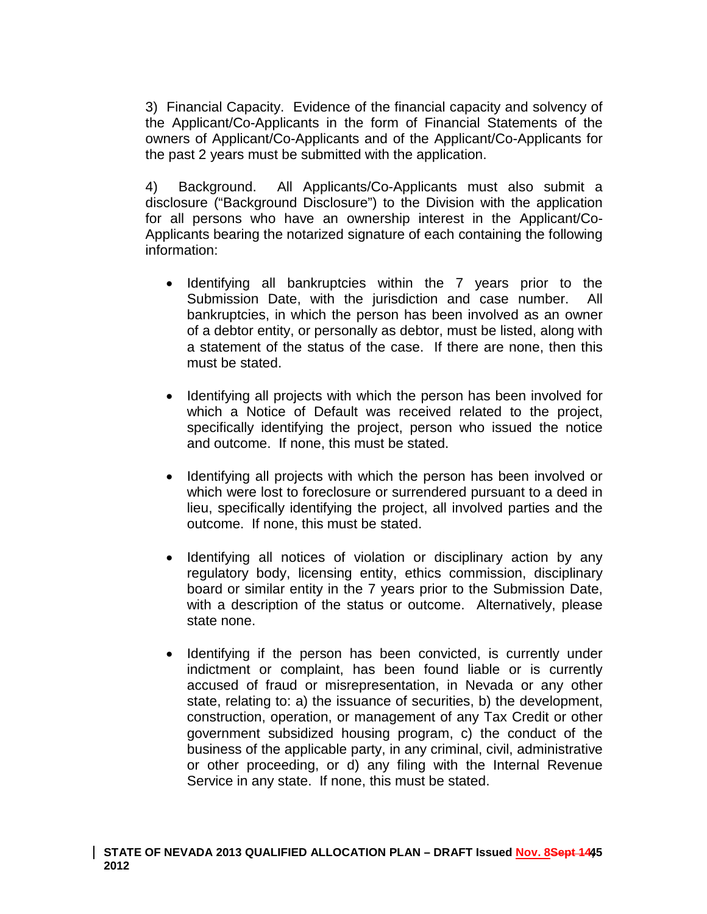3) Financial Capacity. Evidence of the financial capacity and solvency of the Applicant/Co-Applicants in the form of Financial Statements of the owners of Applicant/Co-Applicants and of the Applicant/Co-Applicants for the past 2 years must be submitted with the application.

4) Background. All Applicants/Co-Applicants must also submit a disclosure ("Background Disclosure") to the Division with the application for all persons who have an ownership interest in the Applicant/Co-Applicants bearing the notarized signature of each containing the following information:

- Identifying all bankruptcies within the 7 years prior to the Submission Date, with the jurisdiction and case number. All bankruptcies, in which the person has been involved as an owner of a debtor entity, or personally as debtor, must be listed, along with a statement of the status of the case. If there are none, then this must be stated.
- Identifying all projects with which the person has been involved for which a Notice of Default was received related to the project, specifically identifying the project, person who issued the notice and outcome. If none, this must be stated.
- Identifying all projects with which the person has been involved or which were lost to foreclosure or surrendered pursuant to a deed in lieu, specifically identifying the project, all involved parties and the outcome. If none, this must be stated.
- Identifying all notices of violation or disciplinary action by any regulatory body, licensing entity, ethics commission, disciplinary board or similar entity in the 7 years prior to the Submission Date, with a description of the status or outcome. Alternatively, please state none.
- Identifying if the person has been convicted, is currently under indictment or complaint, has been found liable or is currently accused of fraud or misrepresentation, in Nevada or any other state, relating to: a) the issuance of securities, b) the development, construction, operation, or management of any Tax Credit or other government subsidized housing program, c) the conduct of the business of the applicable party, in any criminal, civil, administrative or other proceeding, or d) any filing with the Internal Revenue Service in any state. If none, this must be stated.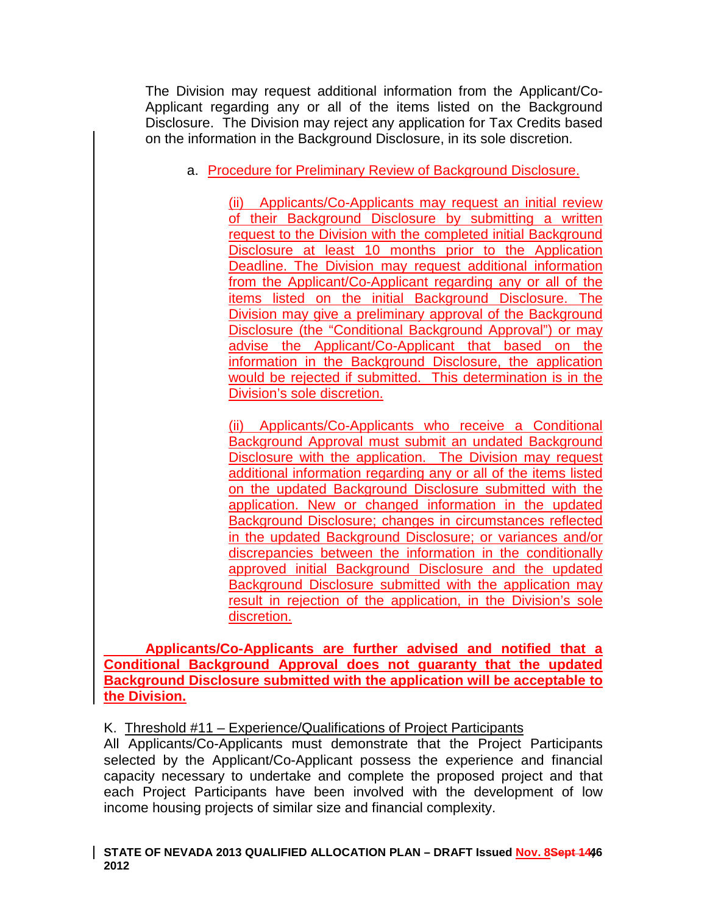The Division may request additional information from the Applicant/Co-Applicant regarding any or all of the items listed on the Background Disclosure. The Division may reject any application for Tax Credits based on the information in the Background Disclosure, in its sole discretion.

a. Procedure for Preliminary Review of Background Disclosure.

(ii) Applicants/Co-Applicants may request an initial review of their Background Disclosure by submitting a written request to the Division with the completed initial Background Disclosure at least 10 months prior to the Application Deadline. The Division may request additional information from the Applicant/Co-Applicant regarding any or all of the items listed on the initial Background Disclosure. The Division may give a preliminary approval of the Background Disclosure (the "Conditional Background Approval") or may advise the Applicant/Co-Applicant that based on the information in the Background Disclosure, the application would be rejected if submitted. This determination is in the Division's sole discretion.

(ii) Applicants/Co-Applicants who receive a Conditional Background Approval must submit an undated Background Disclosure with the application. The Division may request additional information regarding any or all of the items listed on the updated Background Disclosure submitted with the application. New or changed information in the updated Background Disclosure; changes in circumstances reflected in the updated Background Disclosure; or variances and/or discrepancies between the information in the conditionally approved initial Background Disclosure and the updated Background Disclosure submitted with the application may result in rejection of the application, in the Division's sole discretion.

**Applicants/Co-Applicants are further advised and notified that a Conditional Background Approval does not guaranty that the updated Background Disclosure submitted with the application will be acceptable to the Division.**

# K. Threshold #11 – Experience/Qualifications of Project Participants

All Applicants/Co-Applicants must demonstrate that the Project Participants selected by the Applicant/Co-Applicant possess the experience and financial capacity necessary to undertake and complete the proposed project and that each Project Participants have been involved with the development of low income housing projects of similar size and financial complexity.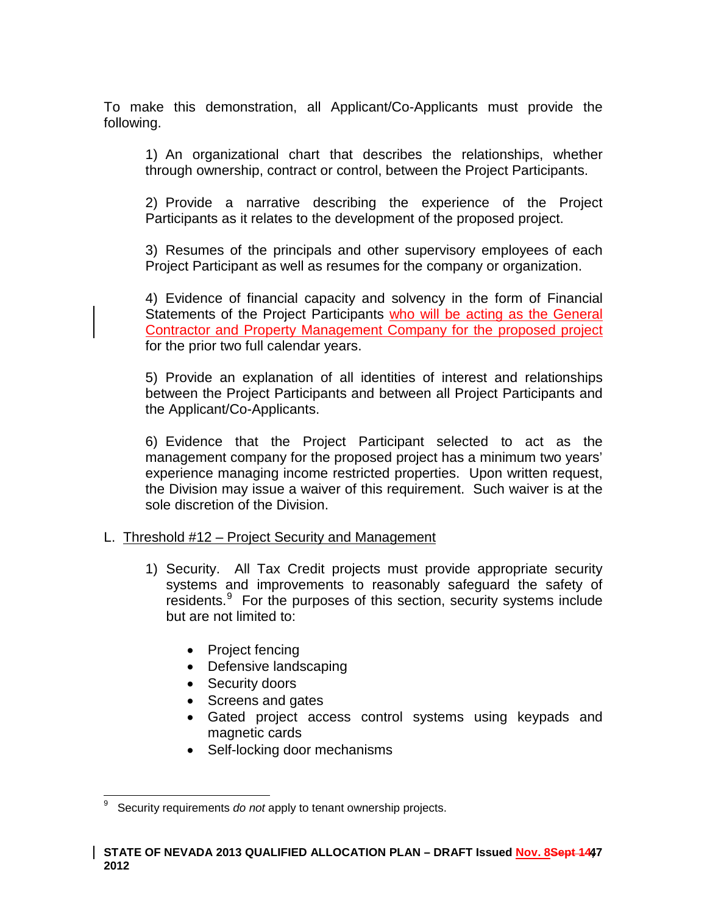To make this demonstration, all Applicant/Co-Applicants must provide the following.

1) An organizational chart that describes the relationships, whether through ownership, contract or control, between the Project Participants.

2) Provide a narrative describing the experience of the Project Participants as it relates to the development of the proposed project.

3) Resumes of the principals and other supervisory employees of each Project Participant as well as resumes for the company or organization.

4) Evidence of financial capacity and solvency in the form of Financial Statements of the Project Participants who will be acting as the General Contractor and Property Management Company for the proposed project for the prior two full calendar years.

5) Provide an explanation of all identities of interest and relationships between the Project Participants and between all Project Participants and the Applicant/Co-Applicants.

6) Evidence that the Project Participant selected to act as the management company for the proposed project has a minimum two years' experience managing income restricted properties. Upon written request, the Division may issue a waiver of this requirement. Such waiver is at the sole discretion of the Division.

#### L. Threshold #12 – Project Security and Management

- 1) Security. All Tax Credit projects must provide appropriate security systems and improvements to reasonably safeguard the safety of residents.<sup>[9](#page-43-0)</sup> For the purposes of this section, security systems include but are not limited to:
	- Project fencing
	- Defensive landscaping
	- Security doors
	- Screens and gates
	- Gated project access control systems using keypads and magnetic cards
	- Self-locking door mechanisms

<span id="page-46-0"></span>9 Security requirements *do not* apply to tenant ownership projects.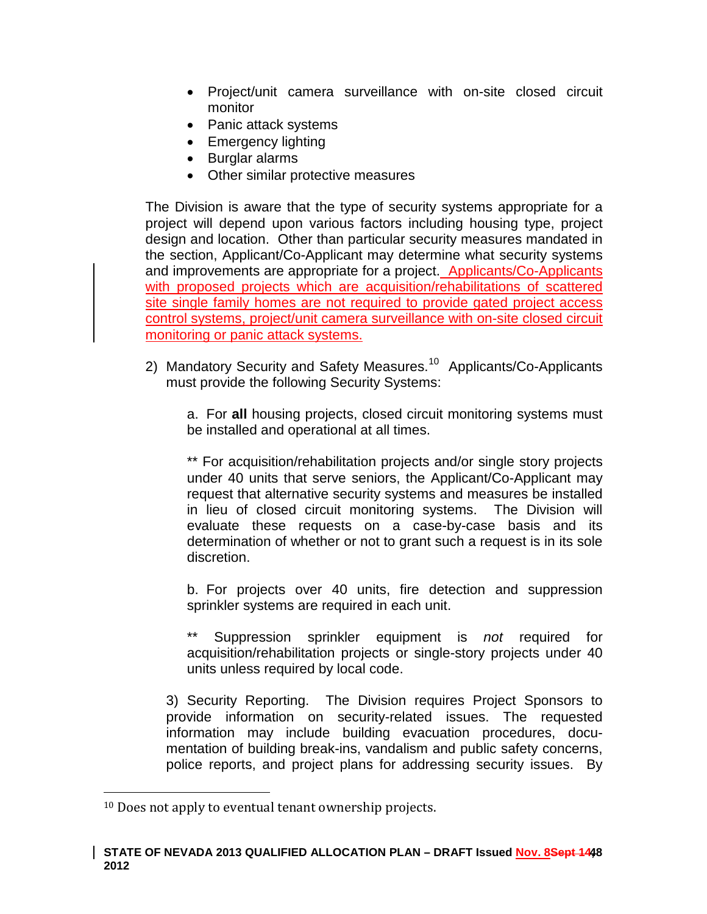- Project/unit camera surveillance with on-site closed circuit monitor
- Panic attack systems
- Emergency lighting
- Burglar alarms
- Other similar protective measures

The Division is aware that the type of security systems appropriate for a project will depend upon various factors including housing type, project design and location. Other than particular security measures mandated in the section, Applicant/Co-Applicant may determine what security systems and improvements are appropriate for a project. Applicants/Co-Applicants with proposed projects which are acquisition/rehabilitations of scattered site single family homes are not required to provide gated project access control systems, project/unit camera surveillance with on-site closed circuit monitoring or panic attack systems.

2) Mandatory Security and Safety Measures.<sup>[10](#page-46-0)</sup> Applicants/Co-Applicants must provide the following Security Systems:

a. For **all** housing projects, closed circuit monitoring systems must be installed and operational at all times.

\*\* For acquisition/rehabilitation projects and/or single story projects under 40 units that serve seniors, the Applicant/Co-Applicant may request that alternative security systems and measures be installed in lieu of closed circuit monitoring systems. The Division will evaluate these requests on a case-by-case basis and its determination of whether or not to grant such a request is in its sole discretion.

b. For projects over 40 units, fire detection and suppression sprinkler systems are required in each unit.

Suppression sprinkler equipment is *not* required for acquisition/rehabilitation projects or single-story projects under 40 units unless required by local code.

3) Security Reporting. The Division requires Project Sponsors to provide information on security-related issues. The requested information may include building evacuation procedures, documentation of building break-ins, vandalism and public safety concerns, police reports, and project plans for addressing security issues. By

<span id="page-47-0"></span> <sup>10</sup> Does not apply to eventual tenant ownership projects.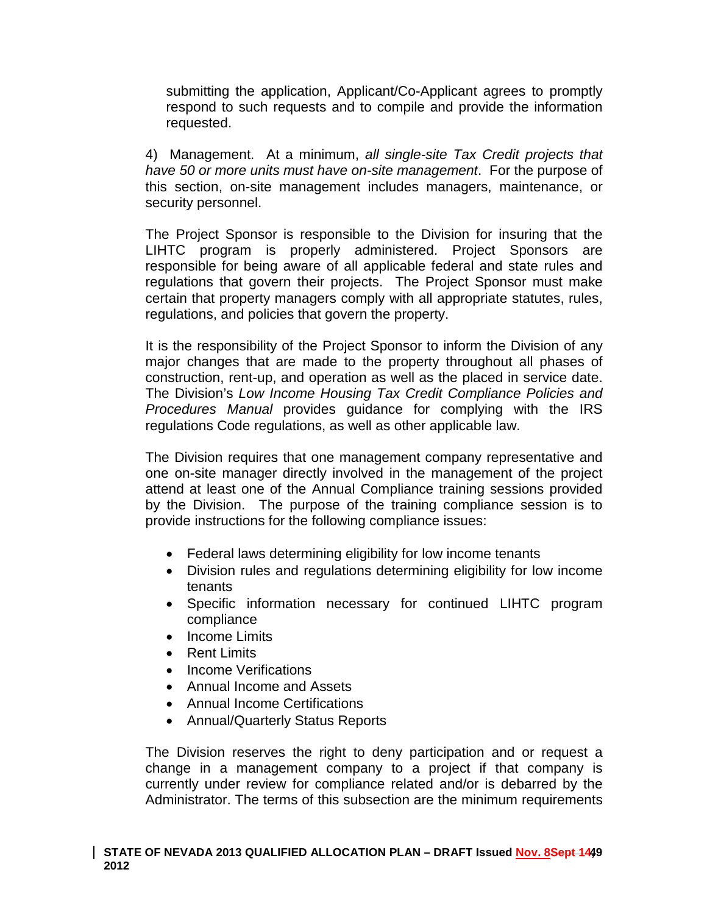submitting the application, Applicant/Co-Applicant agrees to promptly respond to such requests and to compile and provide the information requested.

4) Management. At a minimum, *all single-site Tax Credit projects that have 50 or more units must have on-site management*. For the purpose of this section, on-site management includes managers, maintenance, or security personnel.

The Project Sponsor is responsible to the Division for insuring that the LIHTC program is properly administered. Project Sponsors are responsible for being aware of all applicable federal and state rules and regulations that govern their projects. The Project Sponsor must make certain that property managers comply with all appropriate statutes, rules, regulations, and policies that govern the property.

It is the responsibility of the Project Sponsor to inform the Division of any major changes that are made to the property throughout all phases of construction, rent-up, and operation as well as the placed in service date. The Division's *Low Income Housing Tax Credit Compliance Policies and Procedures Manual* provides guidance for complying with the IRS regulations Code regulations, as well as other applicable law.

The Division requires that one management company representative and one on-site manager directly involved in the management of the project attend at least one of the Annual Compliance training sessions provided by the Division. The purpose of the training compliance session is to provide instructions for the following compliance issues:

- Federal laws determining eligibility for low income tenants
- Division rules and regulations determining eligibility for low income tenants
- Specific information necessary for continued LIHTC program compliance
- Income Limits
- Rent Limits
- Income Verifications
- Annual Income and Assets
- Annual Income Certifications
- Annual/Quarterly Status Reports

The Division reserves the right to deny participation and or request a change in a management company to a project if that company is currently under review for compliance related and/or is debarred by the Administrator. The terms of this subsection are the minimum requirements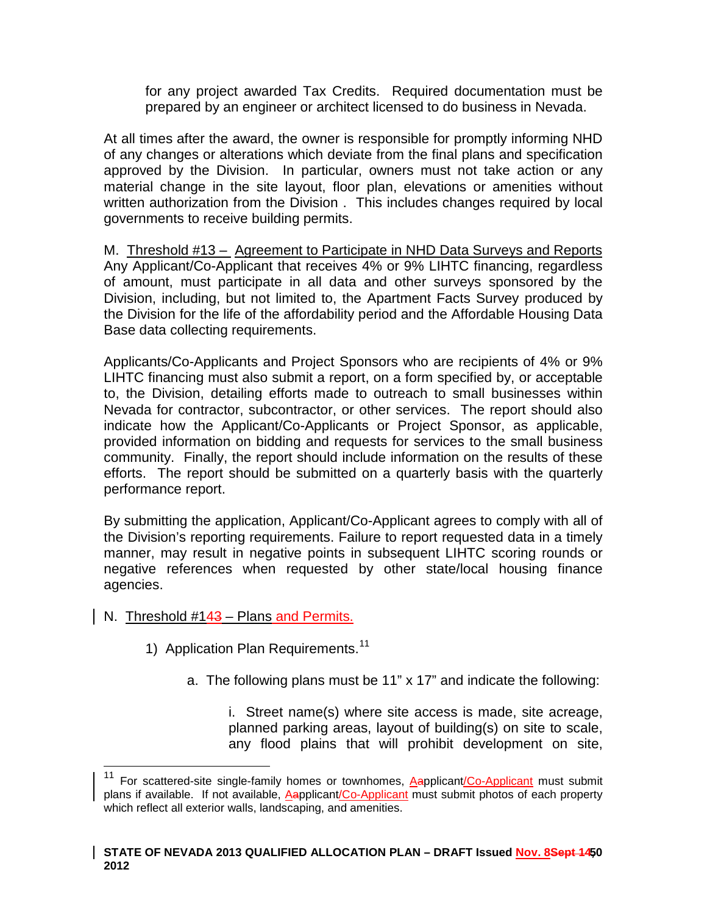for any project awarded Tax Credits. Required documentation must be prepared by an engineer or architect licensed to do business in Nevada.

At all times after the award, the owner is responsible for promptly informing NHD of any changes or alterations which deviate from the final plans and specification approved by the Division. In particular, owners must not take action or any material change in the site layout, floor plan, elevations or amenities without written authorization from the Division . This includes changes required by local governments to receive building permits.

M. Threshold #13 – Agreement to Participate in NHD Data Surveys and Reports Any Applicant/Co-Applicant that receives 4% or 9% LIHTC financing, regardless of amount, must participate in all data and other surveys sponsored by the Division, including, but not limited to, the Apartment Facts Survey produced by the Division for the life of the affordability period and the Affordable Housing Data Base data collecting requirements.

Applicants/Co-Applicants and Project Sponsors who are recipients of 4% or 9% LIHTC financing must also submit a report, on a form specified by, or acceptable to, the Division, detailing efforts made to outreach to small businesses within Nevada for contractor, subcontractor, or other services. The report should also indicate how the Applicant/Co-Applicants or Project Sponsor, as applicable, provided information on bidding and requests for services to the small business community. Finally, the report should include information on the results of these efforts. The report should be submitted on a quarterly basis with the quarterly performance report.

By submitting the application, Applicant/Co-Applicant agrees to comply with all of the Division's reporting requirements. Failure to report requested data in a timely manner, may result in negative points in subsequent LIHTC scoring rounds or negative references when requested by other state/local housing finance agencies.

- N. Threshold #143 Plans and Permits.
	- 1) Application Plan Requirements.<sup>[11](#page-47-0)</sup>
		- a. The following plans must be 11" x 17" and indicate the following:

i. Street name(s) where site access is made, site acreage, planned parking areas, layout of building(s) on site to scale, any flood plains that will prohibit development on site,

<span id="page-49-0"></span><sup>&</sup>lt;sup>11</sup> For scattered-site single-family homes or townhomes, **Aapplicant/Co-Applicant** must submit plans if available. If not available, Aapplicant/Co-Applicant must submit photos of each property which reflect all exterior walls, landscaping, and amenities.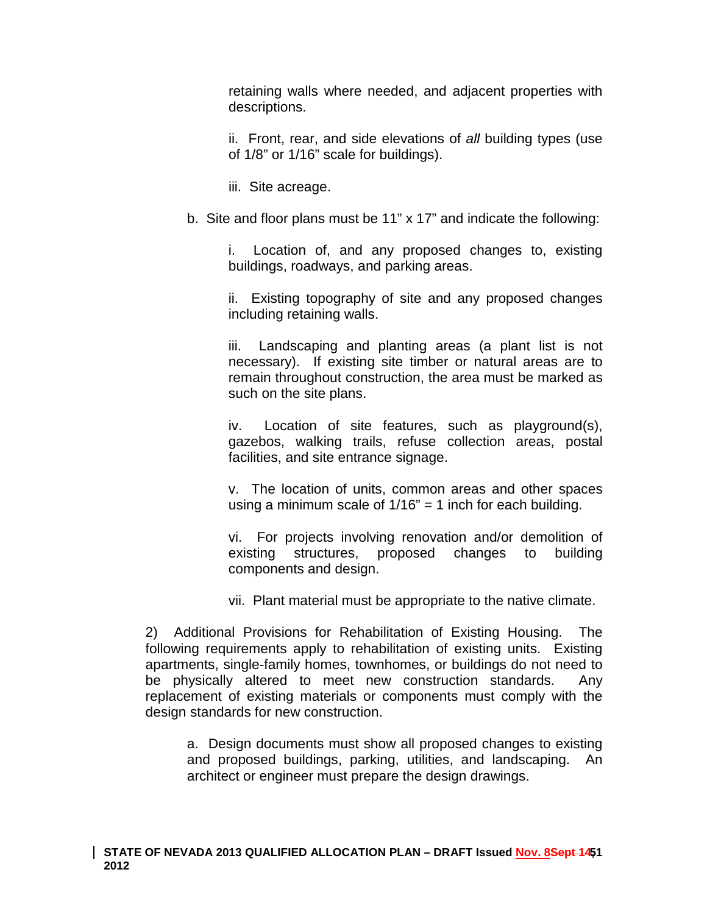retaining walls where needed, and adjacent properties with descriptions.

ii. Front, rear, and side elevations of *all* building types (use of 1/8" or 1/16" scale for buildings).

iii. Site acreage.

b. Site and floor plans must be 11" x 17" and indicate the following:

i. Location of, and any proposed changes to, existing buildings, roadways, and parking areas.

ii. Existing topography of site and any proposed changes including retaining walls.

iii. Landscaping and planting areas (a plant list is not necessary). If existing site timber or natural areas are to remain throughout construction, the area must be marked as such on the site plans.

iv. Location of site features, such as playground(s), gazebos, walking trails, refuse collection areas, postal facilities, and site entrance signage.

v. The location of units, common areas and other spaces using a minimum scale of  $1/16" = 1$  inch for each building.

vi. For projects involving renovation and/or demolition of existing structures, proposed changes to building components and design.

vii. Plant material must be appropriate to the native climate.

2) Additional Provisions for Rehabilitation of Existing Housing. The following requirements apply to rehabilitation of existing units. Existing apartments, single-family homes, townhomes, or buildings do not need to be physically altered to meet new construction standards. Any replacement of existing materials or components must comply with the design standards for new construction.

a. Design documents must show all proposed changes to existing and proposed buildings, parking, utilities, and landscaping. An architect or engineer must prepare the design drawings.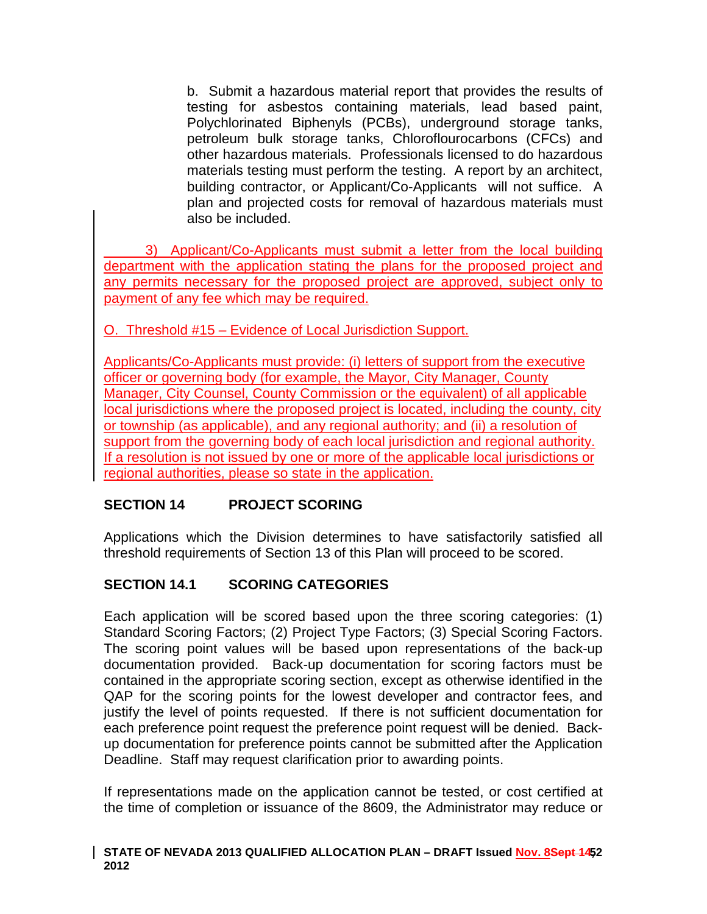b. Submit a hazardous material report that provides the results of testing for asbestos containing materials, lead based paint, Polychlorinated Biphenyls (PCBs), underground storage tanks, petroleum bulk storage tanks, Chloroflourocarbons (CFCs) and other hazardous materials. Professionals licensed to do hazardous materials testing must perform the testing. A report by an architect, building contractor, or Applicant/Co-Applicants will not suffice. A plan and projected costs for removal of hazardous materials must also be included.

3) Applicant/Co-Applicants must submit a letter from the local building department with the application stating the plans for the proposed project and any permits necessary for the proposed project are approved, subject only to payment of any fee which may be required.

O. Threshold #15 – Evidence of Local Jurisdiction Support.

Applicants/Co-Applicants must provide: (i) letters of support from the executive officer or governing body (for example, the Mayor, City Manager, County Manager, City Counsel, County Commission or the equivalent) of all applicable local jurisdictions where the proposed project is located, including the county, city or township (as applicable), and any regional authority; and (ii) a resolution of support from the governing body of each local jurisdiction and regional authority. If a resolution is not issued by one or more of the applicable local jurisdictions or regional authorities, please so state in the application.

# **SECTION 14 PROJECT SCORING**

Applications which the Division determines to have satisfactorily satisfied all threshold requirements of Section 13 of this Plan will proceed to be scored.

# **SECTION 14.1 SCORING CATEGORIES**

Each application will be scored based upon the three scoring categories: (1) Standard Scoring Factors; (2) Project Type Factors; (3) Special Scoring Factors. The scoring point values will be based upon representations of the back-up documentation provided. Back-up documentation for scoring factors must be contained in the appropriate scoring section, except as otherwise identified in the QAP for the scoring points for the lowest developer and contractor fees, and justify the level of points requested. If there is not sufficient documentation for each preference point request the preference point request will be denied. Backup documentation for preference points cannot be submitted after the Application Deadline. Staff may request clarification prior to awarding points.

If representations made on the application cannot be tested, or cost certified at the time of completion or issuance of the 8609, the Administrator may reduce or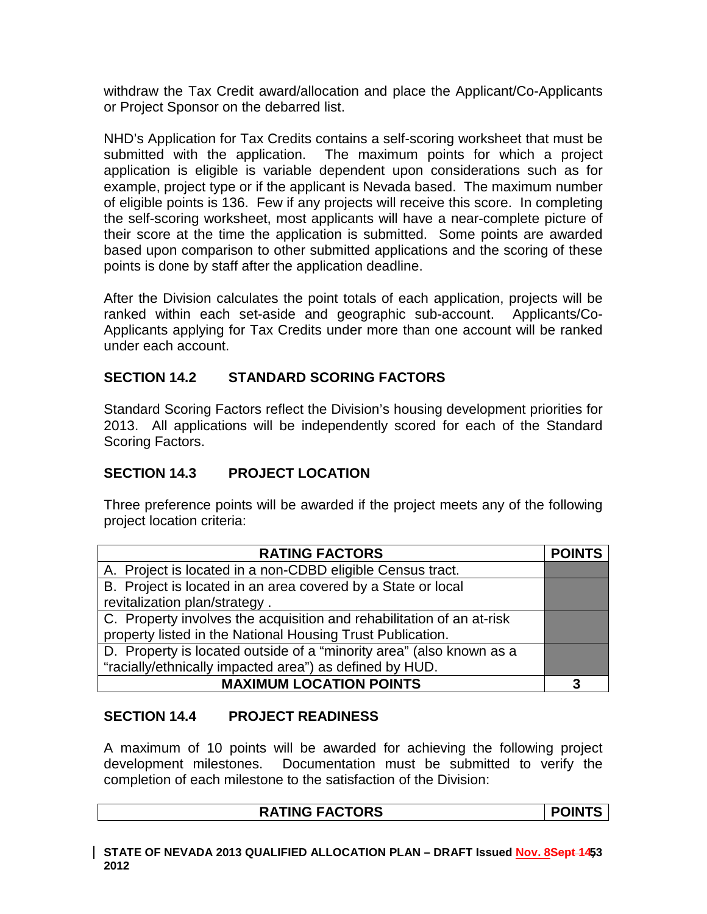withdraw the Tax Credit award/allocation and place the Applicant/Co-Applicants or Project Sponsor on the debarred list.

NHD's Application for Tax Credits contains a self-scoring worksheet that must be submitted with the application. The maximum points for which a project application is eligible is variable dependent upon considerations such as for example, project type or if the applicant is Nevada based. The maximum number of eligible points is 136. Few if any projects will receive this score. In completing the self-scoring worksheet, most applicants will have a near-complete picture of their score at the time the application is submitted. Some points are awarded based upon comparison to other submitted applications and the scoring of these points is done by staff after the application deadline.

After the Division calculates the point totals of each application, projects will be ranked within each set-aside and geographic sub-account. Applicants/Co-Applicants applying for Tax Credits under more than one account will be ranked under each account.

## **SECTION 14.2 STANDARD SCORING FACTORS**

Standard Scoring Factors reflect the Division's housing development priorities for 2013. All applications will be independently scored for each of the Standard Scoring Factors.

## **SECTION 14.3 PROJECT LOCATION**

Three preference points will be awarded if the project meets any of the following project location criteria:

| <b>RATING FACTORS</b>                                                 | <b>POINTS</b> |
|-----------------------------------------------------------------------|---------------|
| A. Project is located in a non-CDBD eligible Census tract.            |               |
| B. Project is located in an area covered by a State or local          |               |
| revitalization plan/strategy.                                         |               |
| C. Property involves the acquisition and rehabilitation of an at-risk |               |
| property listed in the National Housing Trust Publication.            |               |
| D. Property is located outside of a "minority area" (also known as a  |               |
| "racially/ethnically impacted area") as defined by HUD.               |               |
| <b>MAXIMUM LOCATION POINTS</b>                                        | 3             |

## **SECTION 14.4 PROJECT READINESS**

A maximum of 10 points will be awarded for achieving the following project development milestones. Documentation must be submitted to verify the completion of each milestone to the satisfaction of the Division:

#### RATING FACTORS POINTS

STATE OF NEVADA 2013 QUALIFIED ALLOCATION PLAN – DRAFT Issued <u>Nov. 8</u>Se<del>pt 14</del>53 **2012**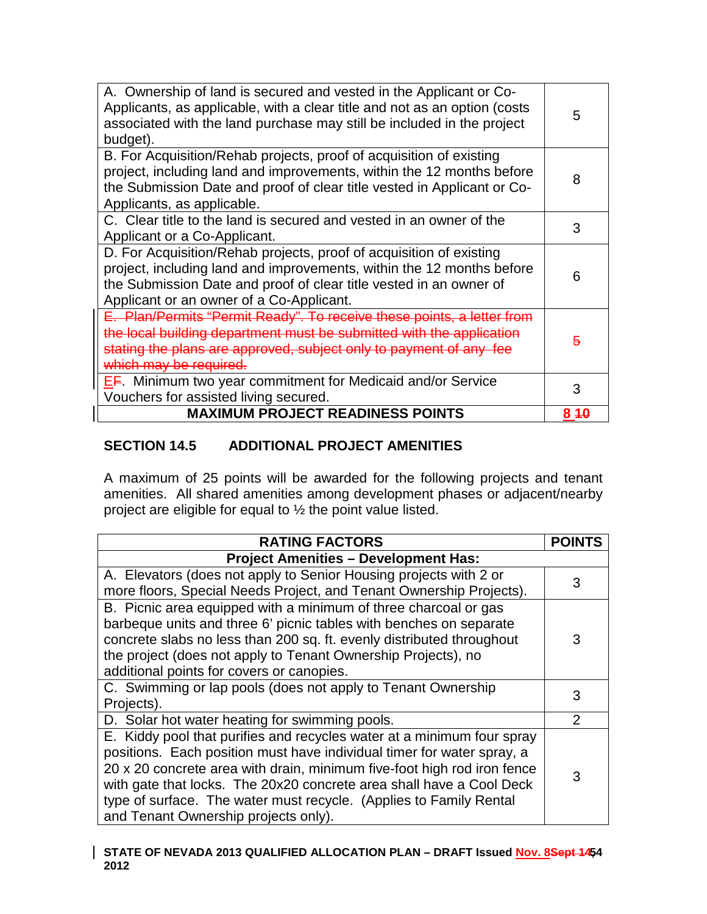| A. Ownership of land is secured and vested in the Applicant or Co-<br>Applicants, as applicable, with a clear title and not as an option (costs<br>associated with the land purchase may still be included in the project<br>budget).                          | 5   |
|----------------------------------------------------------------------------------------------------------------------------------------------------------------------------------------------------------------------------------------------------------------|-----|
| B. For Acquisition/Rehab projects, proof of acquisition of existing<br>project, including land and improvements, within the 12 months before<br>the Submission Date and proof of clear title vested in Applicant or Co-<br>Applicants, as applicable.          | 8   |
| C. Clear title to the land is secured and vested in an owner of the<br>Applicant or a Co-Applicant.                                                                                                                                                            | 3   |
| D. For Acquisition/Rehab projects, proof of acquisition of existing<br>project, including land and improvements, within the 12 months before<br>the Submission Date and proof of clear title vested in an owner of<br>Applicant or an owner of a Co-Applicant. | 6   |
| E. Plan/Permits "Permit Ready". To receive these points, a<br>the local building department must be submitted with the application<br>stating the plans are approved, subject only to payment of any fee<br>which may be required                              | 5   |
| <b>EF.</b> Minimum two year commitment for Medicaid and/or Service<br>Vouchers for assisted living secured.                                                                                                                                                    | 3   |
| <b>MAXIMUM PROJECT READINESS POINTS</b>                                                                                                                                                                                                                        | 840 |

## **SECTION 14.5 ADDITIONAL PROJECT AMENITIES**

A maximum of 25 points will be awarded for the following projects and tenant amenities. All shared amenities among development phases or adjacent/nearby project are eligible for equal to ½ the point value listed.

| <b>RATING FACTORS</b>                                                                                                                                                                                                                                                                                                                                                                                             | <b>POIN1</b>   |
|-------------------------------------------------------------------------------------------------------------------------------------------------------------------------------------------------------------------------------------------------------------------------------------------------------------------------------------------------------------------------------------------------------------------|----------------|
| <b>Project Amenities - Development Has:</b>                                                                                                                                                                                                                                                                                                                                                                       |                |
| A. Elevators (does not apply to Senior Housing projects with 2 or<br>more floors, Special Needs Project, and Tenant Ownership Projects).                                                                                                                                                                                                                                                                          | 3              |
| B. Picnic area equipped with a minimum of three charcoal or gas<br>barbeque units and three 6' picnic tables with benches on separate<br>concrete slabs no less than 200 sq. ft. evenly distributed throughout<br>the project (does not apply to Tenant Ownership Projects), no<br>additional points for covers or canopies.                                                                                      | 3              |
| C. Swimming or lap pools (does not apply to Tenant Ownership<br>Projects).                                                                                                                                                                                                                                                                                                                                        | 3              |
| D. Solar hot water heating for swimming pools.                                                                                                                                                                                                                                                                                                                                                                    | $\overline{2}$ |
| E. Kiddy pool that purifies and recycles water at a minimum four spray<br>positions. Each position must have individual timer for water spray, a<br>20 x 20 concrete area with drain, minimum five-foot high rod iron fence<br>with gate that locks. The 20x20 concrete area shall have a Cool Deck<br>type of surface. The water must recycle. (Applies to Family Rental<br>and Tenant Ownership projects only). | 3              |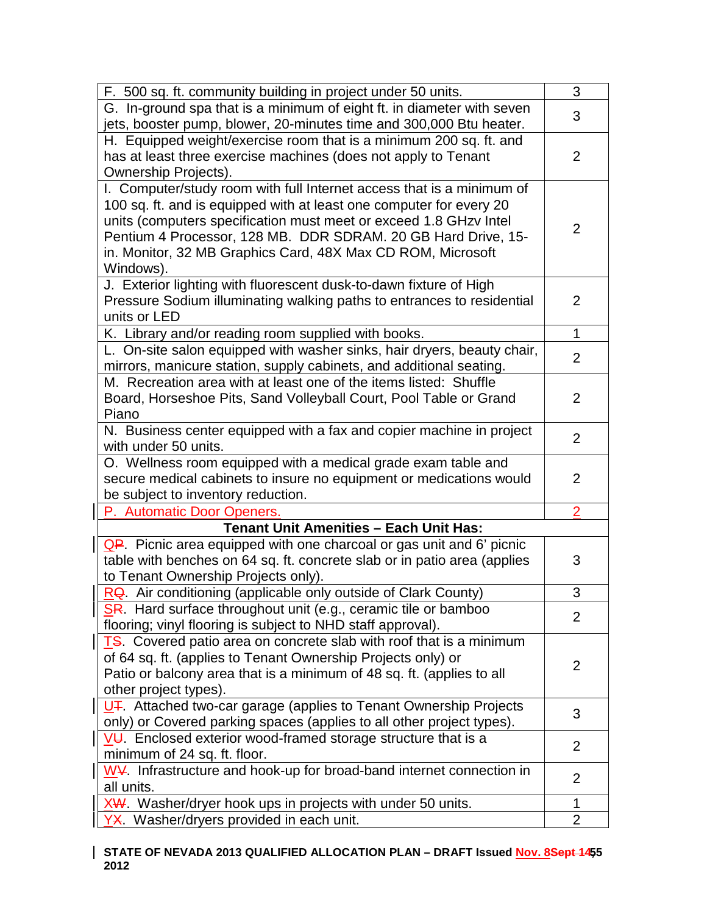| F. 500 sq. ft. community building in project under 50 units.                                 | 3              |
|----------------------------------------------------------------------------------------------|----------------|
| G. In-ground spa that is a minimum of eight ft. in diameter with seven                       | 3              |
| jets, booster pump, blower, 20-minutes time and 300,000 Btu heater.                          |                |
| H. Equipped weight/exercise room that is a minimum 200 sq. ft. and                           |                |
| has at least three exercise machines (does not apply to Tenant                               | 2              |
| Ownership Projects).                                                                         |                |
| I. Computer/study room with full Internet access that is a minimum of                        |                |
| 100 sq. ft. and is equipped with at least one computer for every 20                          |                |
| units (computers specification must meet or exceed 1.8 GHzv Intel                            | 2              |
| Pentium 4 Processor, 128 MB. DDR SDRAM. 20 GB Hard Drive, 15-                                |                |
| in. Monitor, 32 MB Graphics Card, 48X Max CD ROM, Microsoft                                  |                |
| Windows).                                                                                    |                |
| J. Exterior lighting with fluorescent dusk-to-dawn fixture of High                           |                |
| Pressure Sodium illuminating walking paths to entrances to residential                       | $\overline{2}$ |
| units or LED                                                                                 |                |
| K. Library and/or reading room supplied with books.                                          | $\mathbf{1}$   |
| L. On-site salon equipped with washer sinks, hair dryers, beauty chair,                      | $\overline{2}$ |
| mirrors, manicure station, supply cabinets, and additional seating.                          |                |
| M. Recreation area with at least one of the items listed: Shuffle                            |                |
| Board, Horseshoe Pits, Sand Volleyball Court, Pool Table or Grand                            | $\overline{2}$ |
| Piano                                                                                        |                |
| N. Business center equipped with a fax and copier machine in project<br>with under 50 units. | 2              |
| O. Wellness room equipped with a medical grade exam table and                                |                |
| secure medical cabinets to insure no equipment or medications would                          | $\overline{2}$ |
| be subject to inventory reduction.                                                           |                |
| P. Automatic Door Openers.                                                                   | $\overline{2}$ |
| <b>Tenant Unit Amenities - Each Unit Has:</b>                                                |                |
| $\frac{1}{2}$ $\frac{1}{2}$ Picnic area equipped with one charcoal or gas unit and 6' picnic |                |
| table with benches on 64 sq. ft. concrete slab or in patio area (applies                     | 3              |
| to Tenant Ownership Projects only).                                                          |                |
| RQ. Air conditioning (applicable only outside of Clark County)                               | 3              |
| SR. Hard surface throughout unit (e.g., ceramic tile or bamboo                               |                |
| flooring; vinyl flooring is subject to NHD staff approval).                                  | $\overline{2}$ |
| <b>TS.</b> Covered patio area on concrete slab with roof that is a minimum                   |                |
| of 64 sq. ft. (applies to Tenant Ownership Projects only) or                                 |                |
| Patio or balcony area that is a minimum of 48 sq. ft. (applies to all                        | 2              |
| other project types).                                                                        |                |
| <u>   U∓</u> . Attached two-car garage (applies to Tenant Ownership Projects                 |                |
| only) or Covered parking spaces (applies to all other project types).                        | 3              |
| VU. Enclosed exterior wood-framed storage structure that is a                                |                |
| minimum of 24 sq. ft. floor.                                                                 | 2              |
| $W\mathcal{V}$ . Infrastructure and hook-up for broad-band internet connection in            |                |
| all units.                                                                                   | $\overline{2}$ |
| XW. Washer/dryer hook ups in projects with under 50 units.                                   | 1              |
| YX. Washer/dryers provided in each unit.                                                     | $\overline{2}$ |
|                                                                                              |                |

#### STATE OF NEVADA 2013 QUALIFIED ALLOCATION PLAN – DRAFT Issued <u>Nov. 8</u>Se<del>pt 14</del>55 **2012**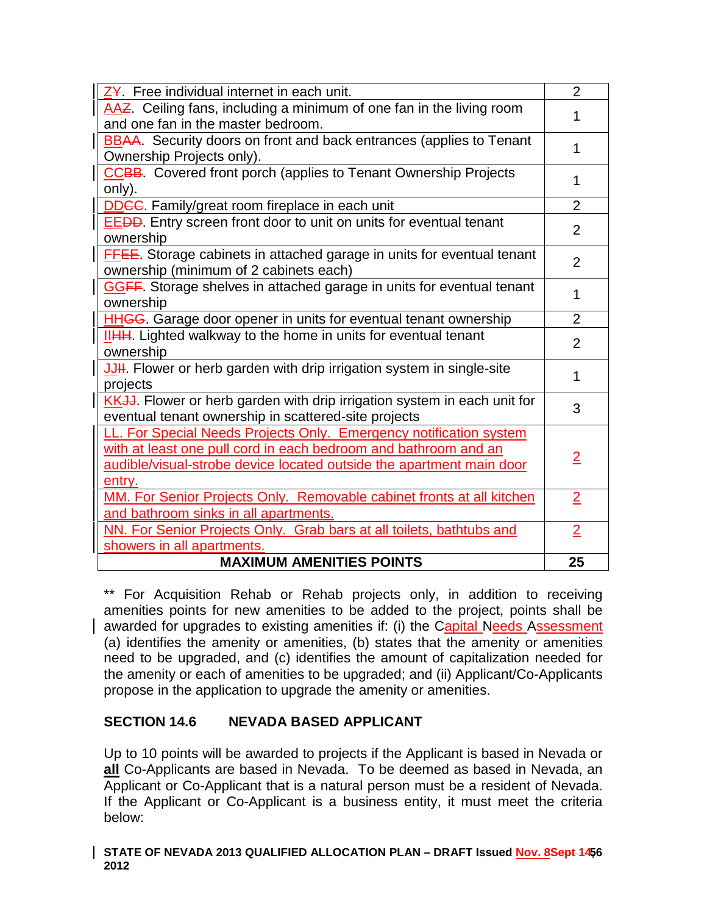| AAZ. Ceiling fans, including a minimum of one fan in the living room<br>1<br>and one fan in the master bedroom.<br><b>BBAA.</b> Security doors on front and back entrances (applies to Tenant<br>1<br>Ownership Projects only).<br><b>CCBB.</b> Covered front porch (applies to Tenant Ownership Projects<br>1<br>only).<br>$\overline{2}$<br><b>DDGC</b> . Family/great room fireplace in each unit<br><b>EEDD</b> . Entry screen front door to unit on units for eventual tenant<br>$\overline{2}$<br>ownership<br><b>FFEE.</b> Storage cabinets in attached garage in units for eventual tenant<br>$\overline{2}$<br>ownership (minimum of 2 cabinets each)<br><b>GGFF</b> . Storage shelves in attached garage in units for eventual tenant<br>1<br>ownership<br><b>HHGG</b> . Garage door opener in units for eventual tenant ownership<br>$\overline{2}$<br>IIHH. Lighted walkway to the home in units for eventual tenant<br>$\overline{2}$<br>ownership<br>JUH. Flower or herb garden with drip irrigation system in single-site<br>$\mathbf{1}$<br>projects<br>KKJJ. Flower or herb garden with drip irrigation system in each unit for<br>3<br>eventual tenant ownership in scattered-site projects<br>LL. For Special Needs Projects Only. Emergency notification system<br>with at least one pull cord in each bedroom and bathroom and an<br>$\overline{2}$ |                                                                      |                |
|--------------------------------------------------------------------------------------------------------------------------------------------------------------------------------------------------------------------------------------------------------------------------------------------------------------------------------------------------------------------------------------------------------------------------------------------------------------------------------------------------------------------------------------------------------------------------------------------------------------------------------------------------------------------------------------------------------------------------------------------------------------------------------------------------------------------------------------------------------------------------------------------------------------------------------------------------------------------------------------------------------------------------------------------------------------------------------------------------------------------------------------------------------------------------------------------------------------------------------------------------------------------------------------------------------------------------------------------------------------------------|----------------------------------------------------------------------|----------------|
|                                                                                                                                                                                                                                                                                                                                                                                                                                                                                                                                                                                                                                                                                                                                                                                                                                                                                                                                                                                                                                                                                                                                                                                                                                                                                                                                                                          | Z¥. Free individual internet in each unit.                           | $\overline{2}$ |
|                                                                                                                                                                                                                                                                                                                                                                                                                                                                                                                                                                                                                                                                                                                                                                                                                                                                                                                                                                                                                                                                                                                                                                                                                                                                                                                                                                          |                                                                      |                |
|                                                                                                                                                                                                                                                                                                                                                                                                                                                                                                                                                                                                                                                                                                                                                                                                                                                                                                                                                                                                                                                                                                                                                                                                                                                                                                                                                                          |                                                                      |                |
|                                                                                                                                                                                                                                                                                                                                                                                                                                                                                                                                                                                                                                                                                                                                                                                                                                                                                                                                                                                                                                                                                                                                                                                                                                                                                                                                                                          |                                                                      |                |
|                                                                                                                                                                                                                                                                                                                                                                                                                                                                                                                                                                                                                                                                                                                                                                                                                                                                                                                                                                                                                                                                                                                                                                                                                                                                                                                                                                          |                                                                      |                |
|                                                                                                                                                                                                                                                                                                                                                                                                                                                                                                                                                                                                                                                                                                                                                                                                                                                                                                                                                                                                                                                                                                                                                                                                                                                                                                                                                                          |                                                                      |                |
|                                                                                                                                                                                                                                                                                                                                                                                                                                                                                                                                                                                                                                                                                                                                                                                                                                                                                                                                                                                                                                                                                                                                                                                                                                                                                                                                                                          |                                                                      |                |
|                                                                                                                                                                                                                                                                                                                                                                                                                                                                                                                                                                                                                                                                                                                                                                                                                                                                                                                                                                                                                                                                                                                                                                                                                                                                                                                                                                          |                                                                      |                |
|                                                                                                                                                                                                                                                                                                                                                                                                                                                                                                                                                                                                                                                                                                                                                                                                                                                                                                                                                                                                                                                                                                                                                                                                                                                                                                                                                                          |                                                                      |                |
|                                                                                                                                                                                                                                                                                                                                                                                                                                                                                                                                                                                                                                                                                                                                                                                                                                                                                                                                                                                                                                                                                                                                                                                                                                                                                                                                                                          |                                                                      |                |
|                                                                                                                                                                                                                                                                                                                                                                                                                                                                                                                                                                                                                                                                                                                                                                                                                                                                                                                                                                                                                                                                                                                                                                                                                                                                                                                                                                          |                                                                      |                |
|                                                                                                                                                                                                                                                                                                                                                                                                                                                                                                                                                                                                                                                                                                                                                                                                                                                                                                                                                                                                                                                                                                                                                                                                                                                                                                                                                                          |                                                                      |                |
|                                                                                                                                                                                                                                                                                                                                                                                                                                                                                                                                                                                                                                                                                                                                                                                                                                                                                                                                                                                                                                                                                                                                                                                                                                                                                                                                                                          |                                                                      |                |
|                                                                                                                                                                                                                                                                                                                                                                                                                                                                                                                                                                                                                                                                                                                                                                                                                                                                                                                                                                                                                                                                                                                                                                                                                                                                                                                                                                          |                                                                      |                |
|                                                                                                                                                                                                                                                                                                                                                                                                                                                                                                                                                                                                                                                                                                                                                                                                                                                                                                                                                                                                                                                                                                                                                                                                                                                                                                                                                                          |                                                                      |                |
|                                                                                                                                                                                                                                                                                                                                                                                                                                                                                                                                                                                                                                                                                                                                                                                                                                                                                                                                                                                                                                                                                                                                                                                                                                                                                                                                                                          |                                                                      |                |
|                                                                                                                                                                                                                                                                                                                                                                                                                                                                                                                                                                                                                                                                                                                                                                                                                                                                                                                                                                                                                                                                                                                                                                                                                                                                                                                                                                          |                                                                      |                |
|                                                                                                                                                                                                                                                                                                                                                                                                                                                                                                                                                                                                                                                                                                                                                                                                                                                                                                                                                                                                                                                                                                                                                                                                                                                                                                                                                                          |                                                                      |                |
|                                                                                                                                                                                                                                                                                                                                                                                                                                                                                                                                                                                                                                                                                                                                                                                                                                                                                                                                                                                                                                                                                                                                                                                                                                                                                                                                                                          |                                                                      |                |
|                                                                                                                                                                                                                                                                                                                                                                                                                                                                                                                                                                                                                                                                                                                                                                                                                                                                                                                                                                                                                                                                                                                                                                                                                                                                                                                                                                          |                                                                      |                |
|                                                                                                                                                                                                                                                                                                                                                                                                                                                                                                                                                                                                                                                                                                                                                                                                                                                                                                                                                                                                                                                                                                                                                                                                                                                                                                                                                                          |                                                                      |                |
|                                                                                                                                                                                                                                                                                                                                                                                                                                                                                                                                                                                                                                                                                                                                                                                                                                                                                                                                                                                                                                                                                                                                                                                                                                                                                                                                                                          |                                                                      |                |
|                                                                                                                                                                                                                                                                                                                                                                                                                                                                                                                                                                                                                                                                                                                                                                                                                                                                                                                                                                                                                                                                                                                                                                                                                                                                                                                                                                          |                                                                      |                |
|                                                                                                                                                                                                                                                                                                                                                                                                                                                                                                                                                                                                                                                                                                                                                                                                                                                                                                                                                                                                                                                                                                                                                                                                                                                                                                                                                                          | audible/visual-strobe device located outside the apartment main door |                |
| entry.                                                                                                                                                                                                                                                                                                                                                                                                                                                                                                                                                                                                                                                                                                                                                                                                                                                                                                                                                                                                                                                                                                                                                                                                                                                                                                                                                                   |                                                                      |                |
| MM. For Senior Projects Only. Removable cabinet fronts at all kitchen<br>$\overline{2}$                                                                                                                                                                                                                                                                                                                                                                                                                                                                                                                                                                                                                                                                                                                                                                                                                                                                                                                                                                                                                                                                                                                                                                                                                                                                                  |                                                                      |                |
| and bathroom sinks in all apartments.                                                                                                                                                                                                                                                                                                                                                                                                                                                                                                                                                                                                                                                                                                                                                                                                                                                                                                                                                                                                                                                                                                                                                                                                                                                                                                                                    |                                                                      |                |
| NN. For Senior Projects Only. Grab bars at all toilets, bathtubs and<br>$\overline{2}$                                                                                                                                                                                                                                                                                                                                                                                                                                                                                                                                                                                                                                                                                                                                                                                                                                                                                                                                                                                                                                                                                                                                                                                                                                                                                   |                                                                      |                |
| showers in all apartments.                                                                                                                                                                                                                                                                                                                                                                                                                                                                                                                                                                                                                                                                                                                                                                                                                                                                                                                                                                                                                                                                                                                                                                                                                                                                                                                                               |                                                                      |                |
| <b>MAXIMUM AMENITIES POINTS</b><br>25                                                                                                                                                                                                                                                                                                                                                                                                                                                                                                                                                                                                                                                                                                                                                                                                                                                                                                                                                                                                                                                                                                                                                                                                                                                                                                                                    |                                                                      |                |

\*\* For Acquisition Rehab or Rehab projects only, in addition to receiving amenities points for new amenities to be added to the project, points shall be awarded for upgrades to existing amenities if: (i) the Capital Needs Assessment (a) identifies the amenity or amenities, (b) states that the amenity or amenities need to be upgraded, and (c) identifies the amount of capitalization needed for the amenity or each of amenities to be upgraded; and (ii) Applicant/Co-Applicants propose in the application to upgrade the amenity or amenities.

## **SECTION 14.6 NEVADA BASED APPLICANT**

Up to 10 points will be awarded to projects if the Applicant is based in Nevada or **all** Co-Applicants are based in Nevada. To be deemed as based in Nevada, an Applicant or Co-Applicant that is a natural person must be a resident of Nevada. If the Applicant or Co-Applicant is a business entity, it must meet the criteria below:

#### STATE OF NEVADA 2013 QUALIFIED ALLOCATION PLAN – DRAFT Issued <u>Nov. 8</u>Se<del>pt 1</del>456 **2012**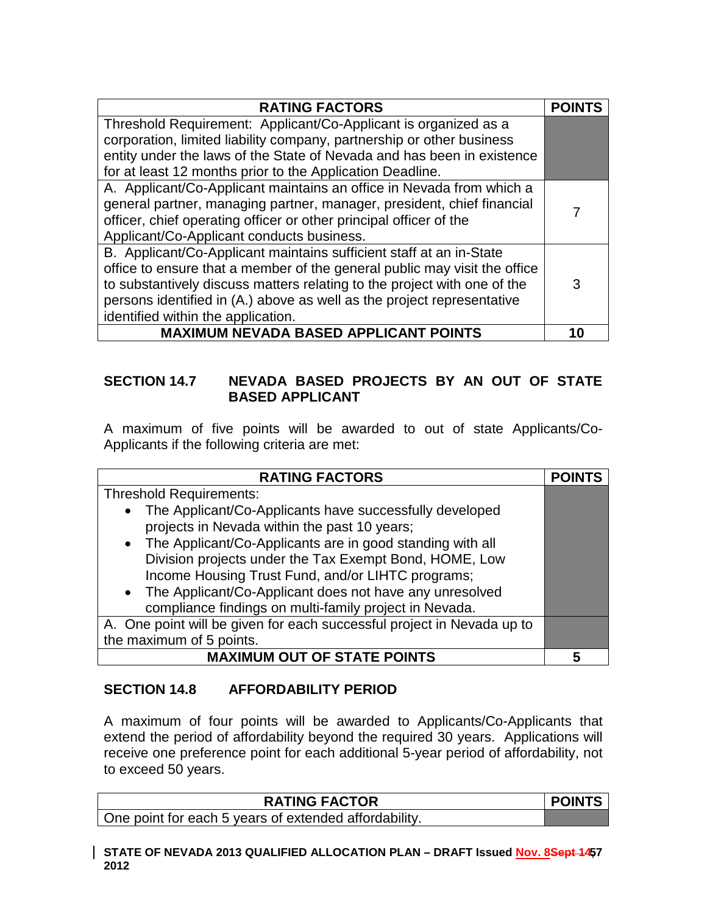| <b>RATING FACTORS</b>                                                     | <b>POINTS</b> |
|---------------------------------------------------------------------------|---------------|
| Threshold Requirement: Applicant/Co-Applicant is organized as a           |               |
| corporation, limited liability company, partnership or other business     |               |
| entity under the laws of the State of Nevada and has been in existence    |               |
| for at least 12 months prior to the Application Deadline.                 |               |
| A. Applicant/Co-Applicant maintains an office in Nevada from which a      |               |
| general partner, managing partner, manager, president, chief financial    | 7             |
| officer, chief operating officer or other principal officer of the        |               |
| Applicant/Co-Applicant conducts business.                                 |               |
| B. Applicant/Co-Applicant maintains sufficient staff at an in-State       |               |
| office to ensure that a member of the general public may visit the office |               |
| to substantively discuss matters relating to the project with one of the  | 3             |
| persons identified in (A.) above as well as the project representative    |               |
| identified within the application.                                        |               |
| <b>MAXIMUM NEVADA BASED APPLICANT POINTS</b>                              | 10            |

### **SECTION 14.7 NEVADA BASED PROJECTS BY AN OUT OF STATE BASED APPLICANT**

A maximum of five points will be awarded to out of state Applicants/Co-Applicants if the following criteria are met:

| <b>RATING FACTORS</b>                                                                                                                                                                                                                   | <b>POINTS</b> |
|-----------------------------------------------------------------------------------------------------------------------------------------------------------------------------------------------------------------------------------------|---------------|
| <b>Threshold Requirements:</b>                                                                                                                                                                                                          |               |
| • The Applicant/Co-Applicants have successfully developed<br>projects in Nevada within the past 10 years;                                                                                                                               |               |
| • The Applicant/Co-Applicants are in good standing with all<br>Division projects under the Tax Exempt Bond, HOME, Low<br>Income Housing Trust Fund, and/or LIHTC programs;<br>• The Applicant/Co-Applicant does not have any unresolved |               |
| compliance findings on multi-family project in Nevada.                                                                                                                                                                                  |               |
| A. One point will be given for each successful project in Nevada up to                                                                                                                                                                  |               |
| the maximum of 5 points.                                                                                                                                                                                                                |               |
| <b>MAXIMUM OUT OF STATE POINTS</b>                                                                                                                                                                                                      | 5             |

## **SECTION 14.8 AFFORDABILITY PERIOD**

A maximum of four points will be awarded to Applicants/Co-Applicants that extend the period of affordability beyond the required 30 years. Applications will receive one preference point for each additional 5-year period of affordability, not to exceed 50 years.

| <b>POINTS</b> | <b>RATING FACTOR</b>                                  |
|---------------|-------------------------------------------------------|
|               | One point for each 5 years of extended affordability. |
|               |                                                       |

STATE OF NEVADA 2013 QUALIFIED ALLOCATION PLAN – DRAFT Issued <u>Nov. 8</u>Se<del>pt 1</del>457 **2012**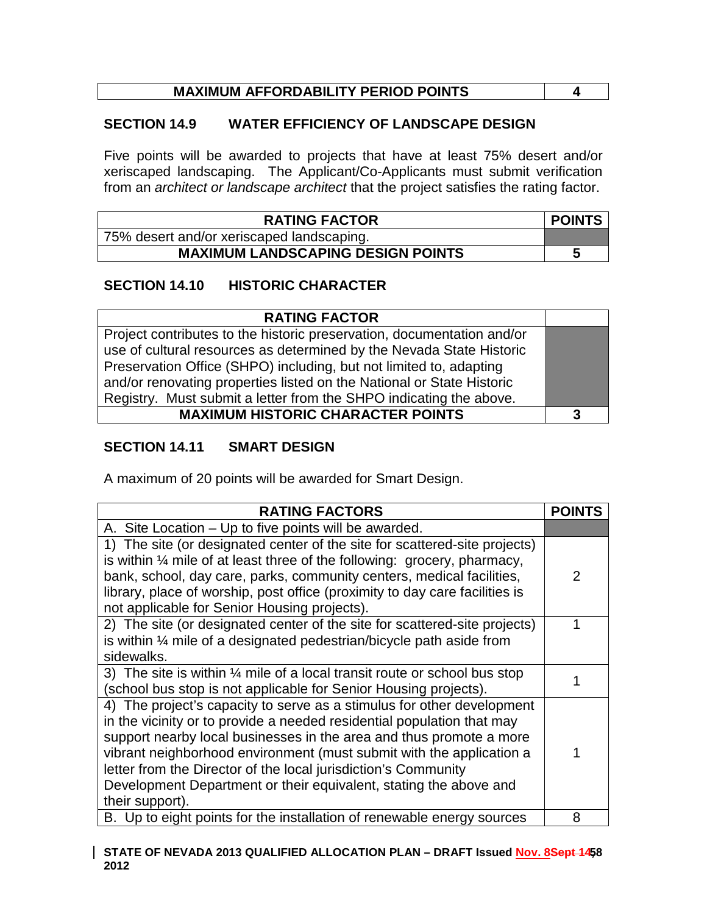# **MAXIMUM AFFORDABILITY PERIOD POINTS 4**

### **SECTION 14.9 WATER EFFICIENCY OF LANDSCAPE DESIGN**

Five points will be awarded to projects that have at least 75% desert and/or xeriscaped landscaping. The Applicant/Co-Applicants must submit verification from an *architect or landscape architect* that the project satisfies the rating factor.

| <b>RATING FACTOR</b>                      | <b>POINTS</b> |
|-------------------------------------------|---------------|
| 75% desert and/or xeriscaped landscaping. |               |
| <b>MAXIMUM LANDSCAPING DESIGN POINTS</b>  | э             |

### **SECTION 14.10 HISTORIC CHARACTER**

| <b>RATING FACTOR</b>                                                   |   |
|------------------------------------------------------------------------|---|
| Project contributes to the historic preservation, documentation and/or |   |
| use of cultural resources as determined by the Nevada State Historic   |   |
| Preservation Office (SHPO) including, but not limited to, adapting     |   |
| and/or renovating properties listed on the National or State Historic  |   |
| Registry. Must submit a letter from the SHPO indicating the above.     |   |
| <b>MAXIMUM HISTORIC CHARACTER POINTS</b>                               | 3 |

### **SECTION 14.11 SMART DESIGN**

A maximum of 20 points will be awarded for Smart Design.

| <b>RATING FACTORS</b>                                                                | <b>POIN</b> |
|--------------------------------------------------------------------------------------|-------------|
| A. Site Location – Up to five points will be awarded.                                |             |
| 1) The site (or designated center of the site for scattered-site projects)           |             |
| is within $\frac{1}{4}$ mile of at least three of the following: grocery, pharmacy,  |             |
| bank, school, day care, parks, community centers, medical facilities,                | 2           |
| library, place of worship, post office (proximity to day care facilities is          |             |
| not applicable for Senior Housing projects).                                         |             |
| 2) The site (or designated center of the site for scattered-site projects)           |             |
| is within $\frac{1}{4}$ mile of a designated pedestrian/bicycle path aside from      |             |
| sidewalks.                                                                           |             |
| 3) The site is within $\frac{1}{4}$ mile of a local transit route or school bus stop |             |
| (school bus stop is not applicable for Senior Housing projects).                     |             |
| 4) The project's capacity to serve as a stimulus for other development               |             |
| in the vicinity or to provide a needed residential population that may               |             |
| support nearby local businesses in the area and thus promote a more                  |             |
| vibrant neighborhood environment (must submit with the application a                 |             |
| letter from the Director of the local jurisdiction's Community                       |             |
| Development Department or their equivalent, stating the above and                    |             |
| their support).                                                                      |             |
| B. Up to eight points for the installation of renewable energy sources               | 8           |

#### STATE OF NEVADA 2013 QUALIFIED ALLOCATION PLAN – DRAFT Issued <u>Nov. 8</u>Se<del>pt 14</del>58 **2012**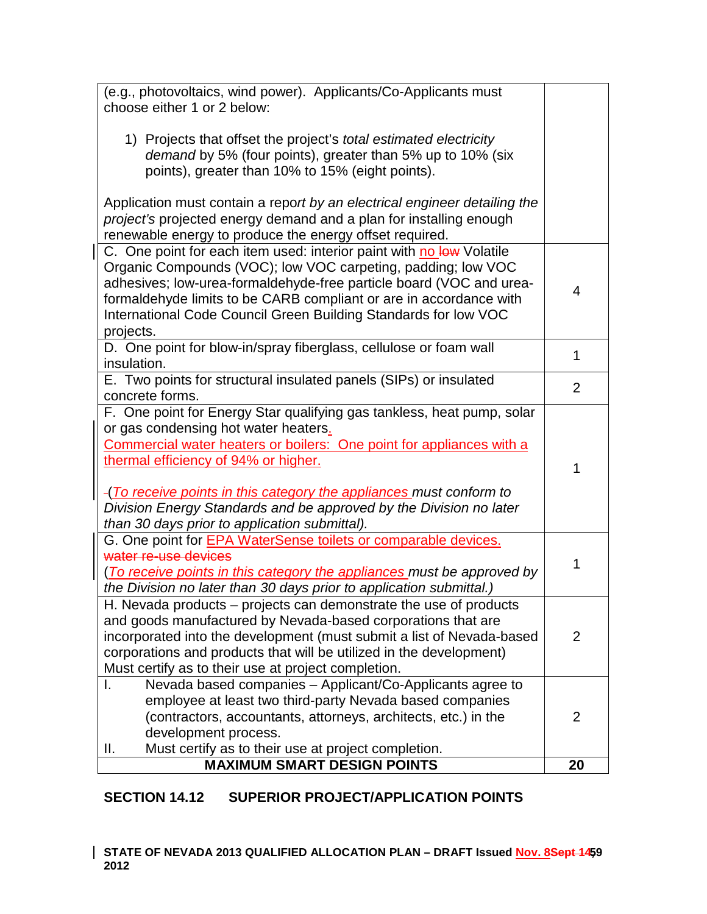| (e.g., photovoltaics, wind power). Applicants/Co-Applicants must<br>choose either 1 or 2 below:                                                                                                                                                                                                                                                                                                                              |                |
|------------------------------------------------------------------------------------------------------------------------------------------------------------------------------------------------------------------------------------------------------------------------------------------------------------------------------------------------------------------------------------------------------------------------------|----------------|
| 1) Projects that offset the project's <i>total estimated electricity</i><br>demand by 5% (four points), greater than 5% up to 10% (six<br>points), greater than 10% to 15% (eight points).                                                                                                                                                                                                                                   |                |
| Application must contain a report by an electrical engineer detailing the<br>project's projected energy demand and a plan for installing enough<br>renewable energy to produce the energy offset required.                                                                                                                                                                                                                   |                |
| C. One point for each item used: interior paint with no low Volatile<br>Organic Compounds (VOC); low VOC carpeting, padding; low VOC<br>adhesives; low-urea-formaldehyde-free particle board (VOC and urea-<br>formaldehyde limits to be CARB compliant or are in accordance with<br>International Code Council Green Building Standards for low VOC<br>projects.                                                            | 4              |
| D. One point for blow-in/spray fiberglass, cellulose or foam wall<br>insulation.                                                                                                                                                                                                                                                                                                                                             | 1              |
| E. Two points for structural insulated panels (SIPs) or insulated<br>concrete forms.                                                                                                                                                                                                                                                                                                                                         | $\overline{2}$ |
| F. One point for Energy Star qualifying gas tankless, heat pump, solar<br>or gas condensing hot water heaters.<br>Commercial water heaters or boilers: One point for appliances with a<br>thermal efficiency of 94% or higher.<br>-(To receive points in this category the appliances must conform to<br>Division Energy Standards and be approved by the Division no later<br>than 30 days prior to application submittal). | 1              |
| G. One point for <b>EPA WaterSense toilets or comparable devices.</b><br>water re-use devices<br>(To receive points in this category the appliances must be approved by<br>the Division no later than 30 days prior to application submittal.)                                                                                                                                                                               | 1              |
| H. Nevada products - projects can demonstrate the use of products<br>and goods manufactured by Nevada-based corporations that are<br>incorporated into the development (must submit a list of Nevada-based<br>corporations and products that will be utilized in the development)<br>Must certify as to their use at project completion.                                                                                     | $\overline{2}$ |
| Nevada based companies - Applicant/Co-Applicants agree to<br>I.<br>employee at least two third-party Nevada based companies<br>(contractors, accountants, attorneys, architects, etc.) in the<br>development process.<br>Must certify as to their use at project completion.<br>Ш.                                                                                                                                           | 2              |
| <b>MAXIMUM SMART DESIGN POINTS</b>                                                                                                                                                                                                                                                                                                                                                                                           | 20             |

## **SECTION 14.12 SUPERIOR PROJECT/APPLICATION POINTS**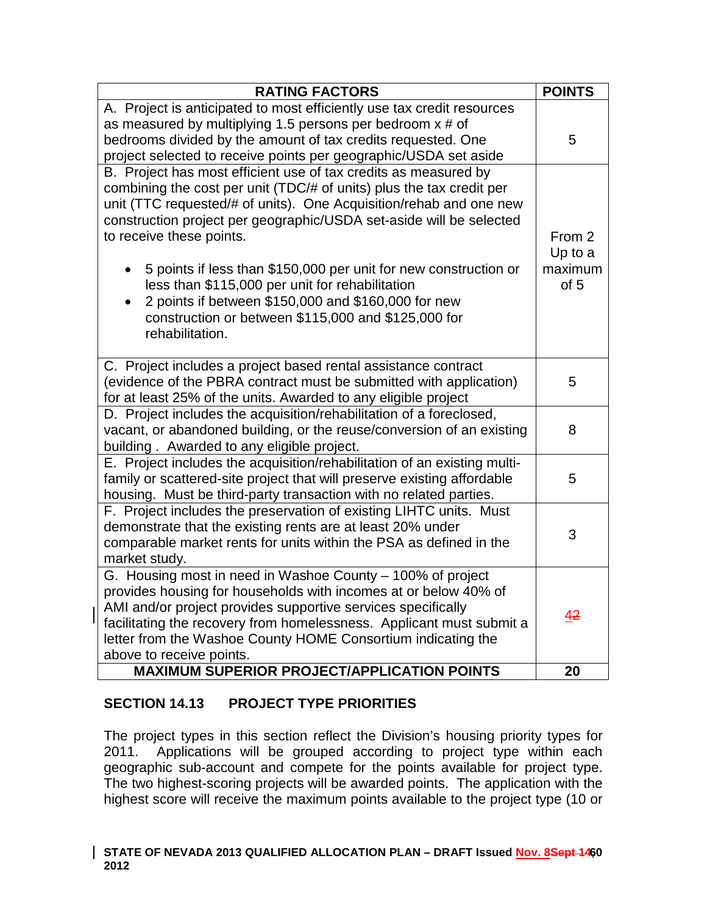| <b>RATING FACTORS</b>                                                                                                                        | <b>POINTS</b> |
|----------------------------------------------------------------------------------------------------------------------------------------------|---------------|
| A. Project is anticipated to most efficiently use tax credit resources                                                                       |               |
| as measured by multiplying 1.5 persons per bedroom $x \ne 0$                                                                                 |               |
| bedrooms divided by the amount of tax credits requested. One                                                                                 | 5             |
| project selected to receive points per geographic/USDA set aside                                                                             |               |
| B. Project has most efficient use of tax credits as measured by                                                                              |               |
| combining the cost per unit (TDC/# of units) plus the tax credit per<br>unit (TTC requested/# of units). One Acquisition/rehab and one new   |               |
| construction project per geographic/USDA set-aside will be selected                                                                          |               |
| to receive these points.                                                                                                                     | From 2        |
|                                                                                                                                              | Up to a       |
| 5 points if less than \$150,000 per unit for new construction or                                                                             | maximum       |
| less than \$115,000 per unit for rehabilitation                                                                                              | of 5          |
| 2 points if between \$150,000 and \$160,000 for new                                                                                          |               |
| construction or between \$115,000 and \$125,000 for                                                                                          |               |
| rehabilitation.                                                                                                                              |               |
|                                                                                                                                              |               |
| C. Project includes a project based rental assistance contract                                                                               |               |
| (evidence of the PBRA contract must be submitted with application)                                                                           | 5             |
| for at least 25% of the units. Awarded to any eligible project                                                                               |               |
| D. Project includes the acquisition/rehabilitation of a foreclosed,                                                                          |               |
| vacant, or abandoned building, or the reuse/conversion of an existing                                                                        | 8             |
| building. Awarded to any eligible project.                                                                                                   |               |
| E. Project includes the acquisition/rehabilitation of an existing multi-                                                                     | 5             |
| family or scattered-site project that will preserve existing affordable<br>housing. Must be third-party transaction with no related parties. |               |
| F. Project includes the preservation of existing LIHTC units. Must                                                                           |               |
| demonstrate that the existing rents are at least 20% under                                                                                   |               |
| comparable market rents for units within the PSA as defined in the                                                                           | 3             |
| market study.                                                                                                                                |               |
| G. Housing most in need in Washoe County - 100% of project                                                                                   |               |
| provides housing for households with incomes at or below 40% of                                                                              |               |
| AMI and/or project provides supportive services specifically                                                                                 | 42            |
| facilitating the recovery from homelessness. Applicant must submit a                                                                         |               |
| letter from the Washoe County HOME Consortium indicating the                                                                                 |               |
| above to receive points.                                                                                                                     |               |
| <b>MAXIMUM SUPERIOR PROJECT/APPLICATION POINTS</b>                                                                                           | 20            |

## **SECTION 14.13 PROJECT TYPE PRIORITIES**

The project types in this section reflect the Division's housing priority types for 2011. Applications will be grouped according to project type within each geographic sub-account and compete for the points available for project type. The two highest-scoring projects will be awarded points. The application with the highest score will receive the maximum points available to the project type (10 or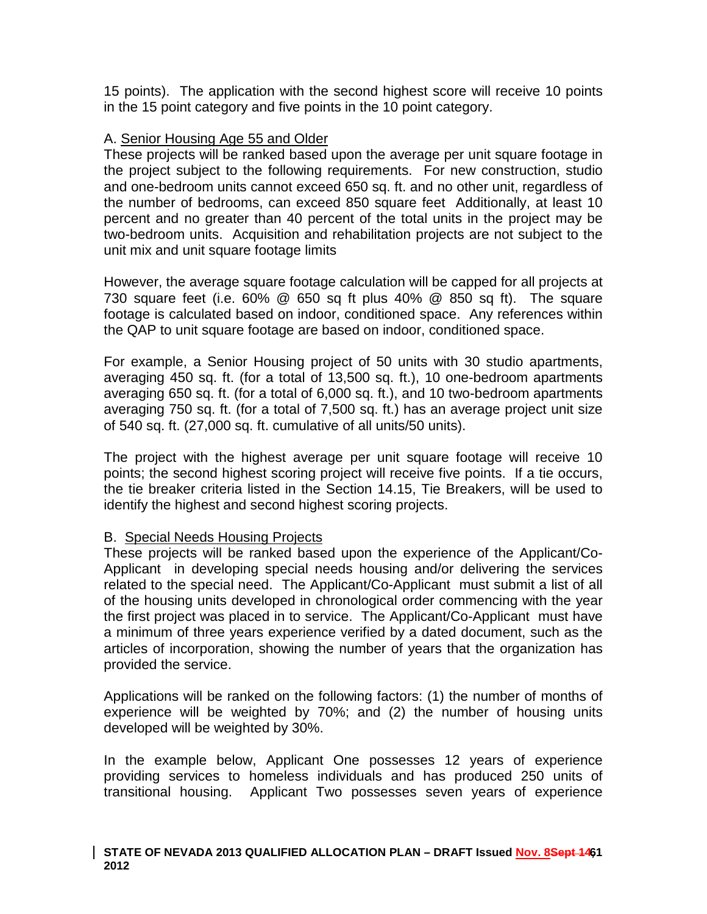15 points). The application with the second highest score will receive 10 points in the 15 point category and five points in the 10 point category.

#### A. Senior Housing Age 55 and Older

These projects will be ranked based upon the average per unit square footage in the project subject to the following requirements. For new construction, studio and one-bedroom units cannot exceed 650 sq. ft. and no other unit, regardless of the number of bedrooms, can exceed 850 square feet Additionally, at least 10 percent and no greater than 40 percent of the total units in the project may be two-bedroom units. Acquisition and rehabilitation projects are not subject to the unit mix and unit square footage limits

However, the average square footage calculation will be capped for all projects at 730 square feet (i.e. 60% @ 650 sq ft plus 40% @ 850 sq ft). The square footage is calculated based on indoor, conditioned space. Any references within the QAP to unit square footage are based on indoor, conditioned space.

For example, a Senior Housing project of 50 units with 30 studio apartments, averaging 450 sq. ft. (for a total of 13,500 sq. ft.), 10 one-bedroom apartments averaging 650 sq. ft. (for a total of 6,000 sq. ft.), and 10 two-bedroom apartments averaging 750 sq. ft. (for a total of 7,500 sq. ft.) has an average project unit size of 540 sq. ft. (27,000 sq. ft. cumulative of all units/50 units).

The project with the highest average per unit square footage will receive 10 points; the second highest scoring project will receive five points. If a tie occurs, the tie breaker criteria listed in the Section 14.15, Tie Breakers, will be used to identify the highest and second highest scoring projects.

## B. Special Needs Housing Projects

These projects will be ranked based upon the experience of the Applicant/Co-Applicant in developing special needs housing and/or delivering the services related to the special need. The Applicant/Co-Applicant must submit a list of all of the housing units developed in chronological order commencing with the year the first project was placed in to service. The Applicant/Co-Applicant must have a minimum of three years experience verified by a dated document, such as the articles of incorporation, showing the number of years that the organization has provided the service.

Applications will be ranked on the following factors: (1) the number of months of experience will be weighted by 70%; and (2) the number of housing units developed will be weighted by 30%.

In the example below, Applicant One possesses 12 years of experience providing services to homeless individuals and has produced 250 units of transitional housing. Applicant Two possesses seven years of experience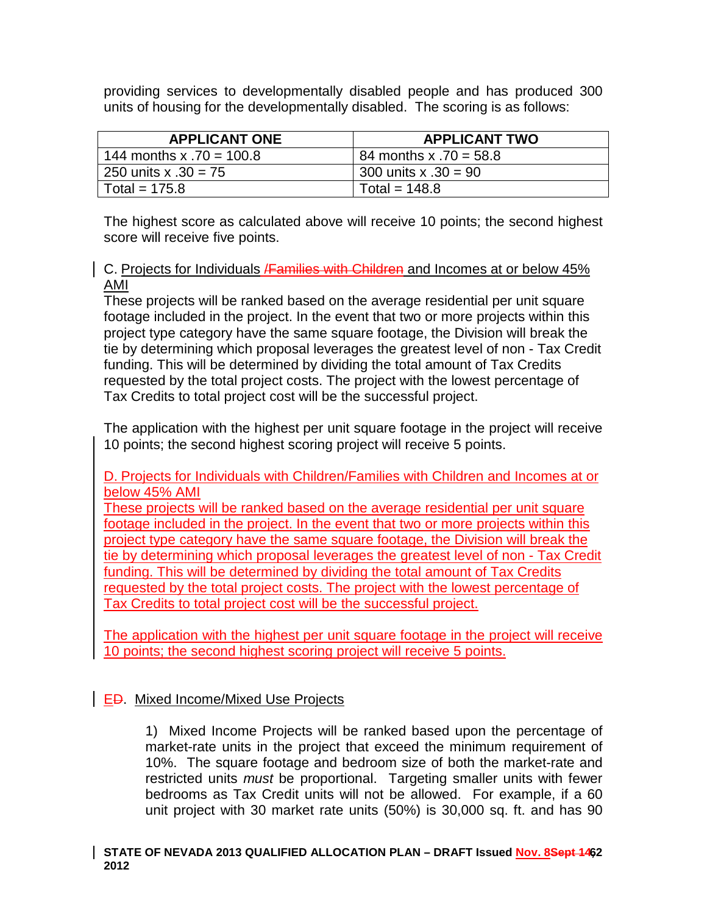providing services to developmentally disabled people and has produced 300 units of housing for the developmentally disabled. The scoring is as follows:

| <b>APPLICANT ONE</b>     | <b>APPLICANT TWO</b>     |
|--------------------------|--------------------------|
| 144 months x .70 = 100.8 | 84 months x $.70 = 58.8$ |
| 250 units x $.30 = 75$   | 300 units $x .30 = 90$   |
| Total = $175.8$          | Total = $148.8$          |

The highest score as calculated above will receive 10 points; the second highest score will receive five points.

### C. Projects for Individuals **/Families with Children** and Incomes at or below 45% AMI

These projects will be ranked based on the average residential per unit square footage included in the project. In the event that two or more projects within this project type category have the same square footage, the Division will break the tie by determining which proposal leverages the greatest level of non - Tax Credit funding. This will be determined by dividing the total amount of Tax Credits requested by the total project costs. The project with the lowest percentage of Tax Credits to total project cost will be the successful project.

The application with the highest per unit square footage in the project will receive 10 points; the second highest scoring project will receive 5 points.

D. Projects for Individuals with Children/Families with Children and Incomes at or below 45% AMI

These projects will be ranked based on the average residential per unit square footage included in the project. In the event that two or more projects within this project type category have the same square footage, the Division will break the tie by determining which proposal leverages the greatest level of non - Tax Credit funding. This will be determined by dividing the total amount of Tax Credits requested by the total project costs. The project with the lowest percentage of Tax Credits to total project cost will be the successful project.

The application with the highest per unit square footage in the project will receive 10 points; the second highest scoring project will receive 5 points.

## **ED.** Mixed Income/Mixed Use Projects

1) Mixed Income Projects will be ranked based upon the percentage of market-rate units in the project that exceed the minimum requirement of 10%. The square footage and bedroom size of both the market-rate and restricted units *must* be proportional. Targeting smaller units with fewer bedrooms as Tax Credit units will not be allowed. For example, if a 60 unit project with 30 market rate units (50%) is 30,000 sq. ft. and has 90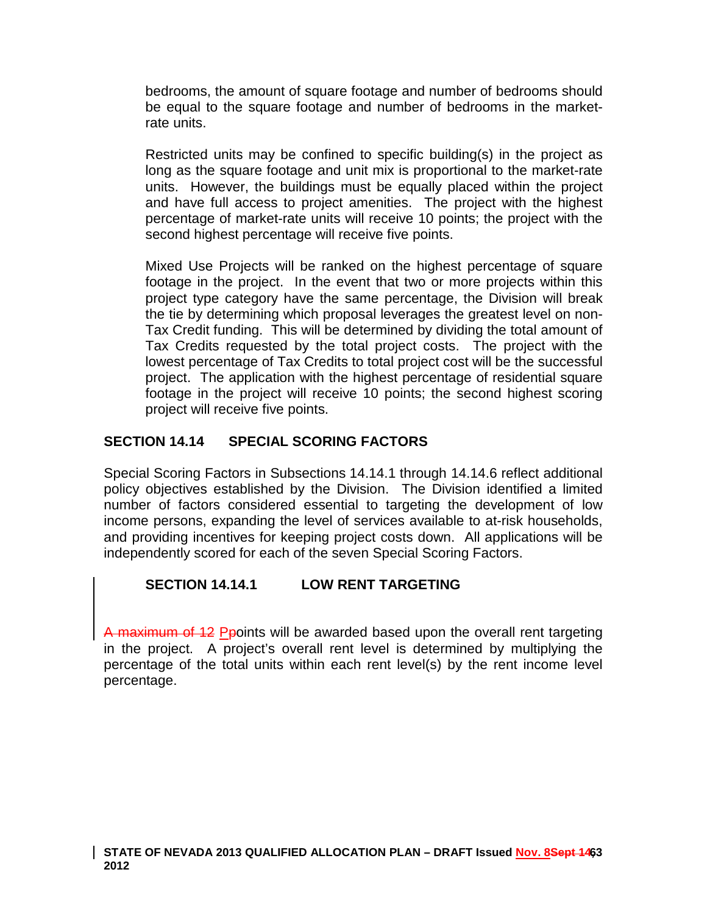bedrooms, the amount of square footage and number of bedrooms should be equal to the square footage and number of bedrooms in the marketrate units.

Restricted units may be confined to specific building(s) in the project as long as the square footage and unit mix is proportional to the market-rate units. However, the buildings must be equally placed within the project and have full access to project amenities. The project with the highest percentage of market-rate units will receive 10 points; the project with the second highest percentage will receive five points.

Mixed Use Projects will be ranked on the highest percentage of square footage in the project. In the event that two or more projects within this project type category have the same percentage, the Division will break the tie by determining which proposal leverages the greatest level on non-Tax Credit funding. This will be determined by dividing the total amount of Tax Credits requested by the total project costs. The project with the lowest percentage of Tax Credits to total project cost will be the successful project. The application with the highest percentage of residential square footage in the project will receive 10 points; the second highest scoring project will receive five points.

## **SECTION 14.14 SPECIAL SCORING FACTORS**

Special Scoring Factors in Subsections 14.14.1 through 14.14.6 reflect additional policy objectives established by the Division. The Division identified a limited number of factors considered essential to targeting the development of low income persons, expanding the level of services available to at-risk households, and providing incentives for keeping project costs down. All applications will be independently scored for each of the seven Special Scoring Factors.

## **SECTION 14.14.1 LOW RENT TARGETING**

A maximum of 12 Ppoints will be awarded based upon the overall rent targeting in the project. A project's overall rent level is determined by multiplying the percentage of the total units within each rent level(s) by the rent income level percentage.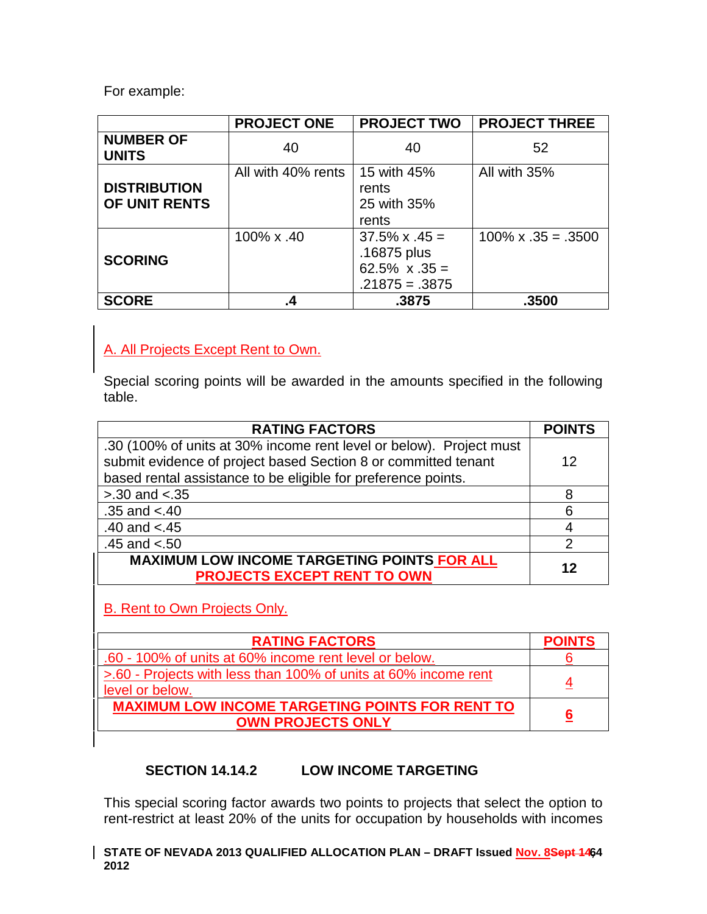For example:

|                                      | <b>PROJECT ONE</b> | <b>PROJECT TWO</b>                                                                | <b>PROJECT THREE</b>       |
|--------------------------------------|--------------------|-----------------------------------------------------------------------------------|----------------------------|
| <b>NUMBER OF</b><br><b>UNITS</b>     | 40                 | 40                                                                                | 52                         |
| <b>DISTRIBUTION</b><br>OF UNIT RENTS | All with 40% rents | 15 with 45%<br>rents<br>25 with 35%<br>rents                                      | All with 35%               |
| <b>SCORING</b>                       | 100% x .40         | $37.5\% \times .45 =$<br>.16875 plus<br>$62.5\% \times .35 =$<br>$.21875 = .3875$ | $100\% \times .35 = .3500$ |
| <b>SCORE</b>                         | .4                 | .3875                                                                             | .3500                      |

## A. All Projects Except Rent to Own.

Special scoring points will be awarded in the amounts specified in the following table.

| <b>RATING FACTORS</b>                                                                                                                                                                                  | <b>POINTS</b> |
|--------------------------------------------------------------------------------------------------------------------------------------------------------------------------------------------------------|---------------|
| .30 (100% of units at 30% income rent level or below). Project must<br>submit evidence of project based Section 8 or committed tenant<br>based rental assistance to be eligible for preference points. | 12            |
| $> 0.30$ and $< 0.35$                                                                                                                                                                                  | 8             |
| $.35$ and $< .40$                                                                                                                                                                                      | 6             |
| .40 and $< .45$                                                                                                                                                                                        |               |
| .45 and $< 50$                                                                                                                                                                                         |               |
| <b>MAXIMUM LOW INCOME TARGETING POINTS FOR ALL</b><br><b>PROJECTS EXCEPT RENT TO OWN</b>                                                                                                               | 12            |

## B. Rent to Own Projects Only.

| <b>RATING FACTORS</b>                                                     | <b>POINTS</b> |
|---------------------------------------------------------------------------|---------------|
| .60 - 100% of units at 60% income rent level or below.                    |               |
| >.60 - Projects with less than 100% of units at 60% income rent           | 4             |
| level or below.<br><b>MAXIMUM LOW INCOME TARGETING POINTS FOR RENT TO</b> |               |
| <b>OWN PROJECTS ONLY</b>                                                  | 6             |

## **SECTION 14.14.2 LOW INCOME TARGETING**

This special scoring factor awards two points to projects that select the option to rent-restrict at least 20% of the units for occupation by households with incomes

#### STATE OF NEVADA 2013 QUALIFIED ALLOCATION PLAN – DRAFT Issued <u>Nov. 8</u>Se<del>pt 146</del>4 **2012**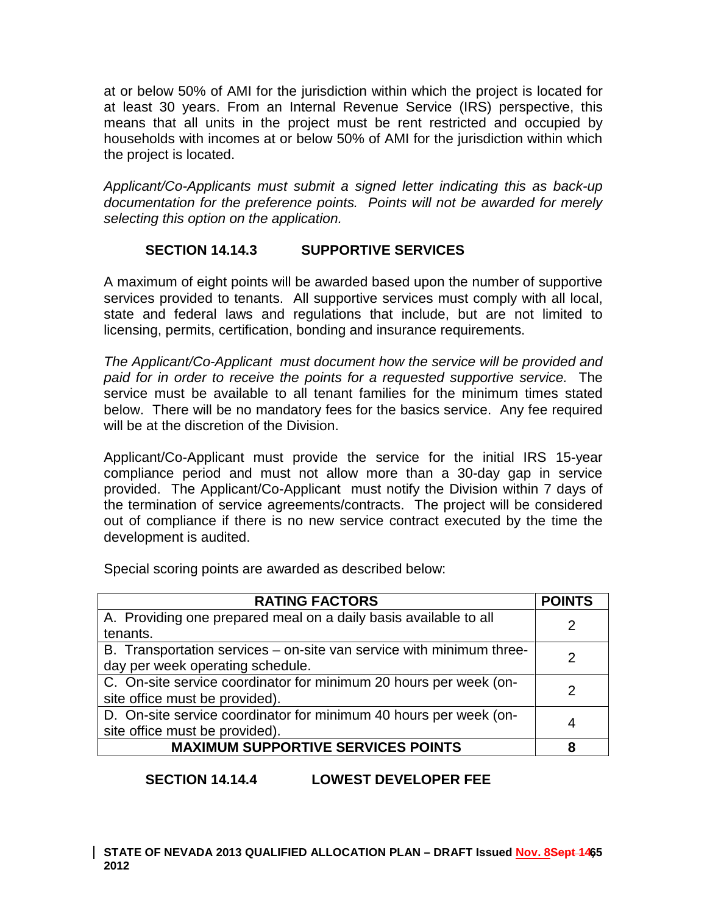at or below 50% of AMI for the jurisdiction within which the project is located for at least 30 years. From an Internal Revenue Service (IRS) perspective, this means that all units in the project must be rent restricted and occupied by households with incomes at or below 50% of AMI for the jurisdiction within which the project is located.

*Applicant/Co-Applicants must submit a signed letter indicating this as back-up documentation for the preference points. Points will not be awarded for merely selecting this option on the application.*

## **SECTION 14.14.3 SUPPORTIVE SERVICES**

A maximum of eight points will be awarded based upon the number of supportive services provided to tenants. All supportive services must comply with all local, state and federal laws and regulations that include, but are not limited to licensing, permits, certification, bonding and insurance requirements.

*The Applicant/Co-Applicant must document how the service will be provided and paid for in order to receive the points for a requested supportive service.* The service must be available to all tenant families for the minimum times stated below. There will be no mandatory fees for the basics service. Any fee required will be at the discretion of the Division.

Applicant/Co-Applicant must provide the service for the initial IRS 15-year compliance period and must not allow more than a 30-day gap in service provided. The Applicant/Co-Applicant must notify the Division within 7 days of the termination of service agreements/contracts. The project will be considered out of compliance if there is no new service contract executed by the time the development is audited.

**RATING FACTORS POINTS** A. Providing one prepared meal on a daily basis available to all tenants. <sup>2</sup> B. Transportation services – on-site van service with minimum threeday per week operating schedule. C. On-site service coordinator for minimum 20 hours per week (on-Ste office must be provided).  $\begin{bmatrix} 2 \end{bmatrix}$ D. On-site service coordinator for minimum 40 hours per week (on- $\frac{1}{2}$  site office must be provided).  $\frac{1}{2}$  and  $\frac{1}{2}$  site office must be provided). **MAXIMUM SUPPORTIVE SERVICES POINTS 8**

Special scoring points are awarded as described below:

## **SECTION 14.14.4 LOWEST DEVELOPER FEE**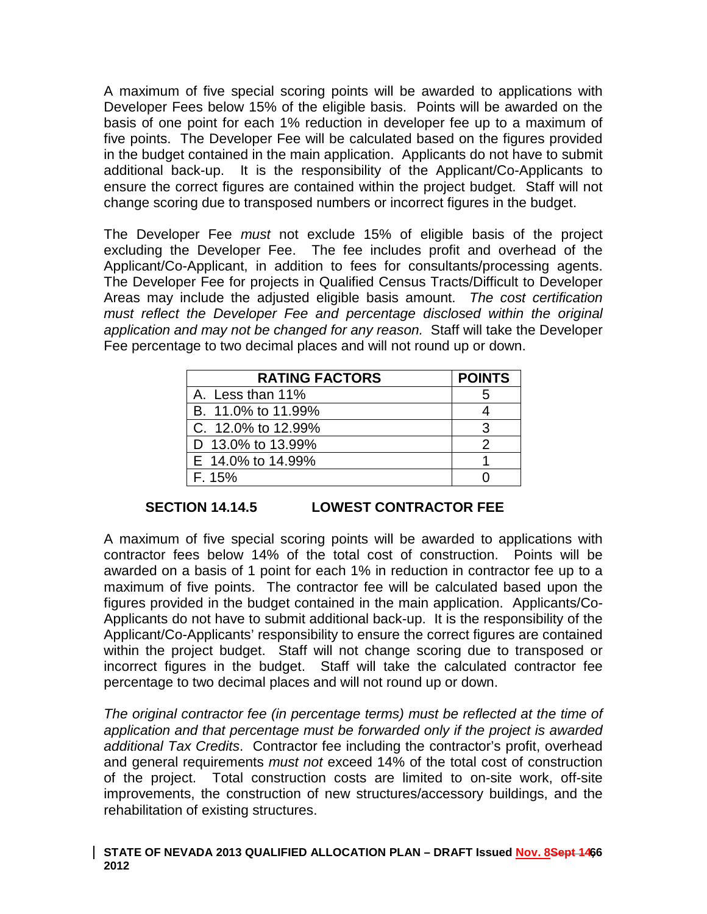A maximum of five special scoring points will be awarded to applications with Developer Fees below 15% of the eligible basis. Points will be awarded on the basis of one point for each 1% reduction in developer fee up to a maximum of five points. The Developer Fee will be calculated based on the figures provided in the budget contained in the main application. Applicants do not have to submit additional back-up. It is the responsibility of the Applicant/Co-Applicants to ensure the correct figures are contained within the project budget. Staff will not change scoring due to transposed numbers or incorrect figures in the budget.

The Developer Fee *must* not exclude 15% of eligible basis of the project excluding the Developer Fee. The fee includes profit and overhead of the Applicant/Co-Applicant, in addition to fees for consultants/processing agents. The Developer Fee for projects in Qualified Census Tracts/Difficult to Developer Areas may include the adjusted eligible basis amount. *The cost certification must reflect the Developer Fee and percentage disclosed within the original application and may not be changed for any reason.* Staff will take the Developer Fee percentage to two decimal places and will not round up or down.

| <b>RATING FACTORS</b> | <b>POINTS</b> |
|-----------------------|---------------|
| A. Less than 11%      |               |
| B. 11.0% to 11.99%    |               |
| C. 12.0% to 12.99%    |               |
| D 13.0% to 13.99%     |               |
| E 14.0% to 14.99%     |               |
| F. 15%                |               |

## **SECTION 14.14.5 LOWEST CONTRACTOR FEE**

A maximum of five special scoring points will be awarded to applications with contractor fees below 14% of the total cost of construction. Points will be awarded on a basis of 1 point for each 1% in reduction in contractor fee up to a maximum of five points. The contractor fee will be calculated based upon the figures provided in the budget contained in the main application. Applicants/Co-Applicants do not have to submit additional back-up. It is the responsibility of the Applicant/Co-Applicants' responsibility to ensure the correct figures are contained within the project budget. Staff will not change scoring due to transposed or incorrect figures in the budget. Staff will take the calculated contractor fee percentage to two decimal places and will not round up or down.

*The original contractor fee (in percentage terms) must be reflected at the time of application and that percentage must be forwarded only if the project is awarded additional Tax Credits*. Contractor fee including the contractor's profit, overhead and general requirements *must not* exceed 14% of the total cost of construction of the project. Total construction costs are limited to on-site work, off-site improvements, the construction of new structures/accessory buildings, and the rehabilitation of existing structures.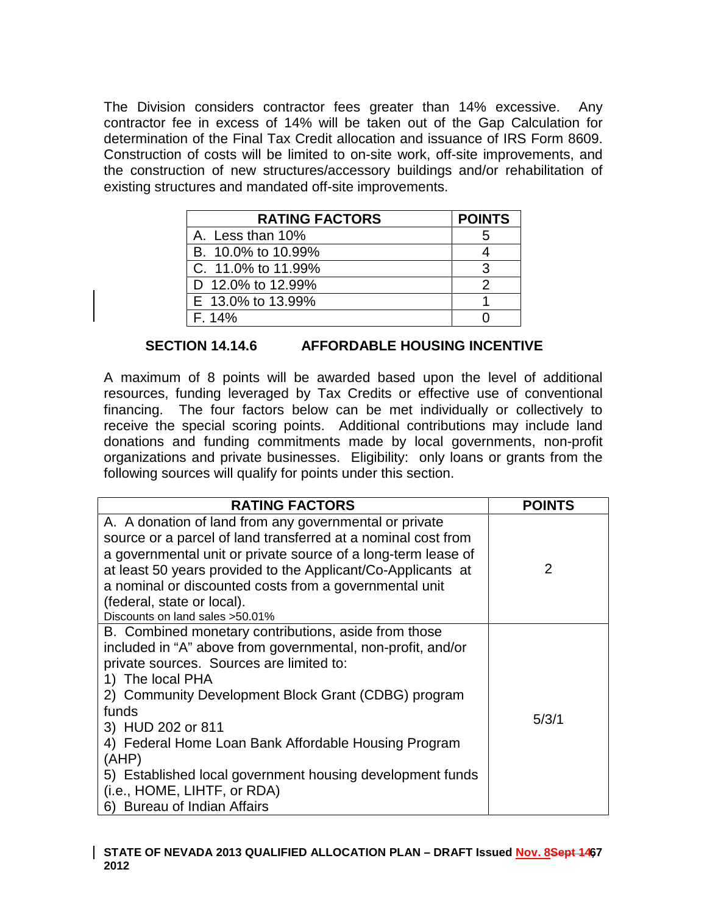The Division considers contractor fees greater than 14% excessive. Any contractor fee in excess of 14% will be taken out of the Gap Calculation for determination of the Final Tax Credit allocation and issuance of IRS Form 8609. Construction of costs will be limited to on-site work, off-site improvements, and the construction of new structures/accessory buildings and/or rehabilitation of existing structures and mandated off-site improvements.

| <b>RATING FACTORS</b> | <b>POINTS</b> |
|-----------------------|---------------|
| A. Less than 10%      | 5             |
| B. 10.0% to 10.99%    |               |
| C. 11.0% to 11.99%    |               |
| D 12.0% to 12.99%     |               |
| E 13.0% to 13.99%     |               |
| F. 14%                |               |

### **SECTION 14.14.6 AFFORDABLE HOUSING INCENTIVE**

A maximum of 8 points will be awarded based upon the level of additional resources, funding leveraged by Tax Credits or effective use of conventional financing. The four factors below can be met individually or collectively to receive the special scoring points. Additional contributions may include land donations and funding commitments made by local governments, non-profit organizations and private businesses. Eligibility: only loans or grants from the following sources will qualify for points under this section.

| <b>RATING FACTORS</b>                                                                                                                                                                                                                                                                                                                                                                                                                                                | <b>POINTS</b> |
|----------------------------------------------------------------------------------------------------------------------------------------------------------------------------------------------------------------------------------------------------------------------------------------------------------------------------------------------------------------------------------------------------------------------------------------------------------------------|---------------|
| A. A donation of land from any governmental or private<br>source or a parcel of land transferred at a nominal cost from<br>a governmental unit or private source of a long-term lease of<br>at least 50 years provided to the Applicant/Co-Applicants at<br>a nominal or discounted costs from a governmental unit<br>(federal, state or local).<br>Discounts on land sales > 50.01%                                                                                 | 2             |
| B. Combined monetary contributions, aside from those<br>included in "A" above from governmental, non-profit, and/or<br>private sources. Sources are limited to:<br>1) The local PHA<br>2) Community Development Block Grant (CDBG) program<br>funds<br>3) HUD 202 or 811<br>4) Federal Home Loan Bank Affordable Housing Program<br>(AHP)<br>5) Established local government housing development funds<br>(i.e., HOME, LIHTF, or RDA)<br>6) Bureau of Indian Affairs | 5/3/1         |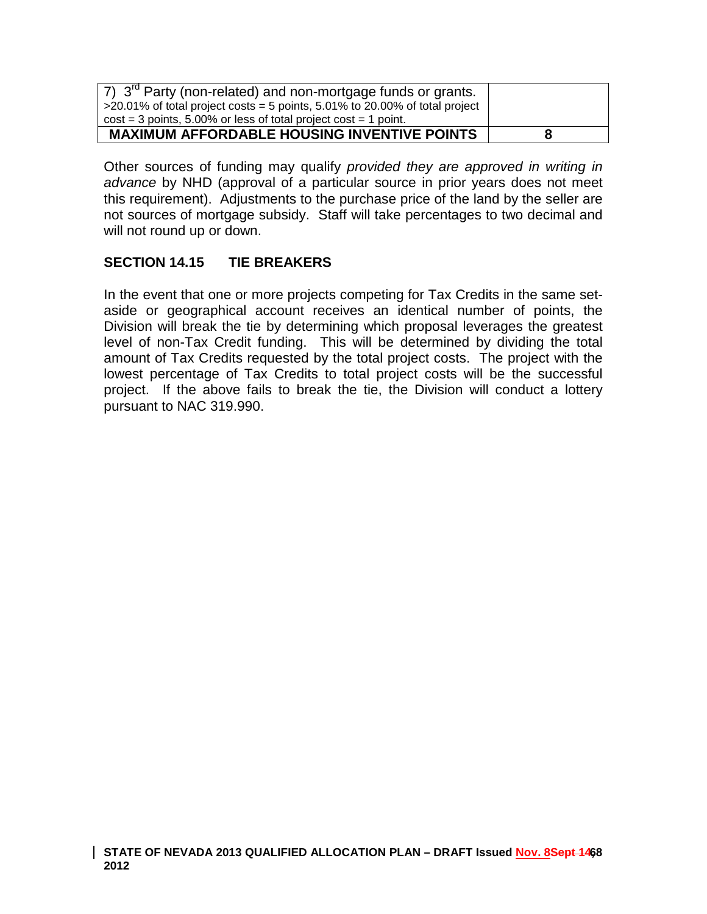| $\sqrt{7}$ ) $3^{\text{rd}}$ Party (non-related) and non-mortgage funds or grants.<br>$>$ 20.01% of total project costs = 5 points, 5.01% to 20.00% of total project<br>$cost = 3$ points, 5.00% or less of total project cost = 1 point. |   |
|-------------------------------------------------------------------------------------------------------------------------------------------------------------------------------------------------------------------------------------------|---|
| <b>MAXIMUM AFFORDABLE HOUSING INVENTIVE POINTS</b>                                                                                                                                                                                        | 8 |

Other sources of funding may qualify *provided they are approved in writing in advance* by NHD (approval of a particular source in prior years does not meet this requirement). Adjustments to the purchase price of the land by the seller are not sources of mortgage subsidy. Staff will take percentages to two decimal and will not round up or down.

## **SECTION 14.15 TIE BREAKERS**

In the event that one or more projects competing for Tax Credits in the same setaside or geographical account receives an identical number of points, the Division will break the tie by determining which proposal leverages the greatest level of non-Tax Credit funding. This will be determined by dividing the total amount of Tax Credits requested by the total project costs. The project with the lowest percentage of Tax Credits to total project costs will be the successful project. If the above fails to break the tie, the Division will conduct a lottery pursuant to NAC 319.990.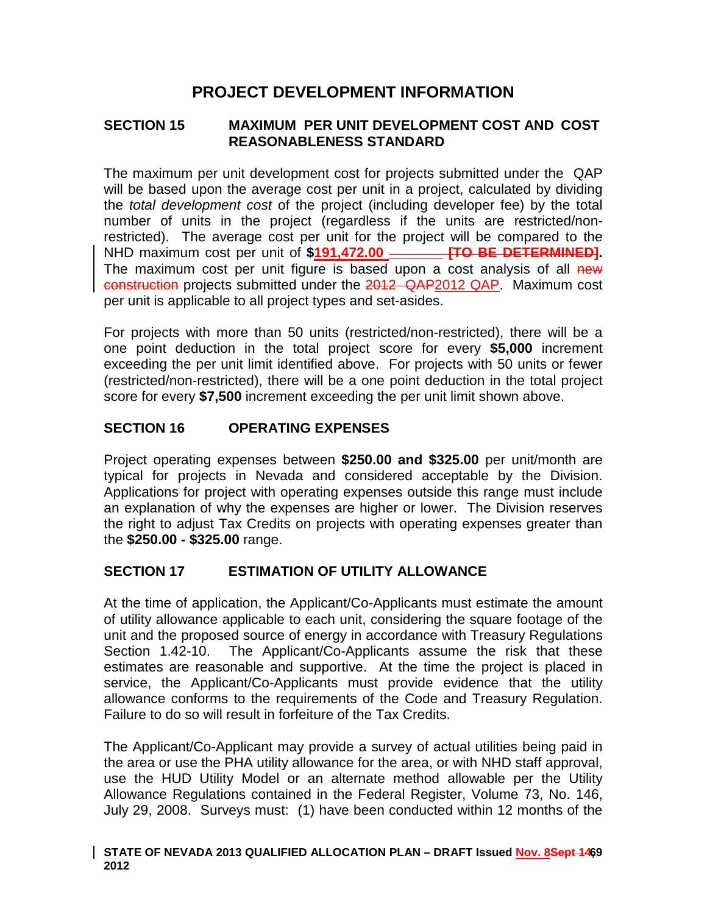# **PROJECT DEVELOPMENT INFORMATION**

### **SECTION 15 MAXIMUM PER UNIT DEVELOPMENT COST AND COST REASONABLENESS STANDARD**

The maximum per unit development cost for projects submitted under the QAP will be based upon the average cost per unit in a project, calculated by dividing the *total development cost* of the project (including developer fee) by the total number of units in the project (regardless if the units are restricted/nonrestricted). The average cost per unit for the project will be compared to the NHD maximum cost per unit of **\$191,472.00 \_\_\_\_\_\_\_ [TO BE DETERMINED].**  The maximum cost per unit figure is based upon a cost analysis of all new construction projects submitted under the 2012 QAP2012 QAP. Maximum cost per unit is applicable to all project types and set-asides.

For projects with more than 50 units (restricted/non-restricted), there will be a one point deduction in the total project score for every **\$5,000** increment exceeding the per unit limit identified above. For projects with 50 units or fewer (restricted/non-restricted), there will be a one point deduction in the total project score for every **\$7,500** increment exceeding the per unit limit shown above.

## **SECTION 16 OPERATING EXPENSES**

Project operating expenses between **\$250.00 and \$325.00** per unit/month are typical for projects in Nevada and considered acceptable by the Division. Applications for project with operating expenses outside this range must include an explanation of why the expenses are higher or lower. The Division reserves the right to adjust Tax Credits on projects with operating expenses greater than the **\$250.00 - \$325.00** range.

## **SECTION 17 ESTIMATION OF UTILITY ALLOWANCE**

At the time of application, the Applicant/Co-Applicants must estimate the amount of utility allowance applicable to each unit, considering the square footage of the unit and the proposed source of energy in accordance with Treasury Regulations Section 1.42-10. The Applicant/Co-Applicants assume the risk that these estimates are reasonable and supportive. At the time the project is placed in service, the Applicant/Co-Applicants must provide evidence that the utility allowance conforms to the requirements of the Code and Treasury Regulation. Failure to do so will result in forfeiture of the Tax Credits.

The Applicant/Co-Applicant may provide a survey of actual utilities being paid in the area or use the PHA utility allowance for the area, or with NHD staff approval, use the HUD Utility Model or an alternate method allowable per the Utility Allowance Regulations contained in the Federal Register, Volume 73, No. 146, July 29, 2008. Surveys must: (1) have been conducted within 12 months of the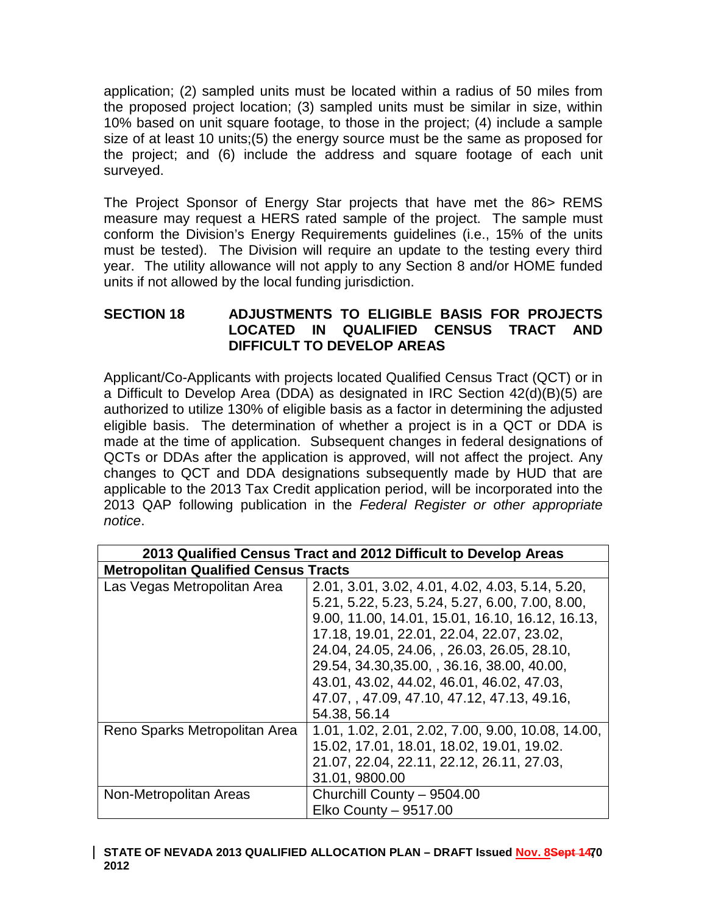application; (2) sampled units must be located within a radius of 50 miles from the proposed project location; (3) sampled units must be similar in size, within 10% based on unit square footage, to those in the project; (4) include a sample size of at least 10 units;(5) the energy source must be the same as proposed for the project; and (6) include the address and square footage of each unit surveyed.

The Project Sponsor of Energy Star projects that have met the 86> REMS measure may request a HERS rated sample of the project. The sample must conform the Division's Energy Requirements guidelines (i.e., 15% of the units must be tested). The Division will require an update to the testing every third year. The utility allowance will not apply to any Section 8 and/or HOME funded units if not allowed by the local funding jurisdiction.

## **SECTION 18 ADJUSTMENTS TO ELIGIBLE BASIS FOR PROJECTS LOCATED IN QUALIFIED CENSUS TRACT AND DIFFICULT TO DEVELOP AREAS**

Applicant/Co-Applicants with projects located Qualified Census Tract (QCT) or in a Difficult to Develop Area (DDA) as designated in IRC Section 42(d)(B)(5) are authorized to utilize 130% of eligible basis as a factor in determining the adjusted eligible basis. The determination of whether a project is in a QCT or DDA is made at the time of application. Subsequent changes in federal designations of QCTs or DDAs after the application is approved, will not affect the project. Any changes to QCT and DDA designations subsequently made by HUD that are applicable to the 2013 Tax Credit application period, will be incorporated into the 2013 QAP following publication in the *Federal Register or other appropriate notice*.

| 2013 Qualified Census Tract and 2012 Difficult to Develop Areas |                                                   |
|-----------------------------------------------------------------|---------------------------------------------------|
| <b>Metropolitan Qualified Census Tracts</b>                     |                                                   |
| Las Vegas Metropolitan Area                                     | 2.01, 3.01, 3.02, 4.01, 4.02, 4.03, 5.14, 5.20,   |
|                                                                 | 5.21, 5.22, 5.23, 5.24, 5.27, 6.00, 7.00, 8.00,   |
|                                                                 | 9.00, 11.00, 14.01, 15.01, 16.10, 16.12, 16.13,   |
|                                                                 | 17.18, 19.01, 22.01, 22.04, 22.07, 23.02,         |
|                                                                 | 24.04, 24.05, 24.06, , 26.03, 26.05, 28.10,       |
|                                                                 | 29.54, 34.30, 35.00, , 36.16, 38.00, 40.00,       |
|                                                                 | 43.01, 43.02, 44.02, 46.01, 46.02, 47.03,         |
|                                                                 | 47.07, 47.09, 47.10, 47.12, 47.13, 49.16,         |
|                                                                 | 54.38, 56.14                                      |
| Reno Sparks Metropolitan Area                                   | 1.01, 1.02, 2.01, 2.02, 7.00, 9.00, 10.08, 14.00, |
|                                                                 | 15.02, 17.01, 18.01, 18.02, 19.01, 19.02.         |
|                                                                 | 21.07, 22.04, 22.11, 22.12, 26.11, 27.03,         |
|                                                                 | 31.01, 9800.00                                    |
| Non-Metropolitan Areas                                          | Churchill County - 9504.00                        |
|                                                                 | Elko County - 9517.00                             |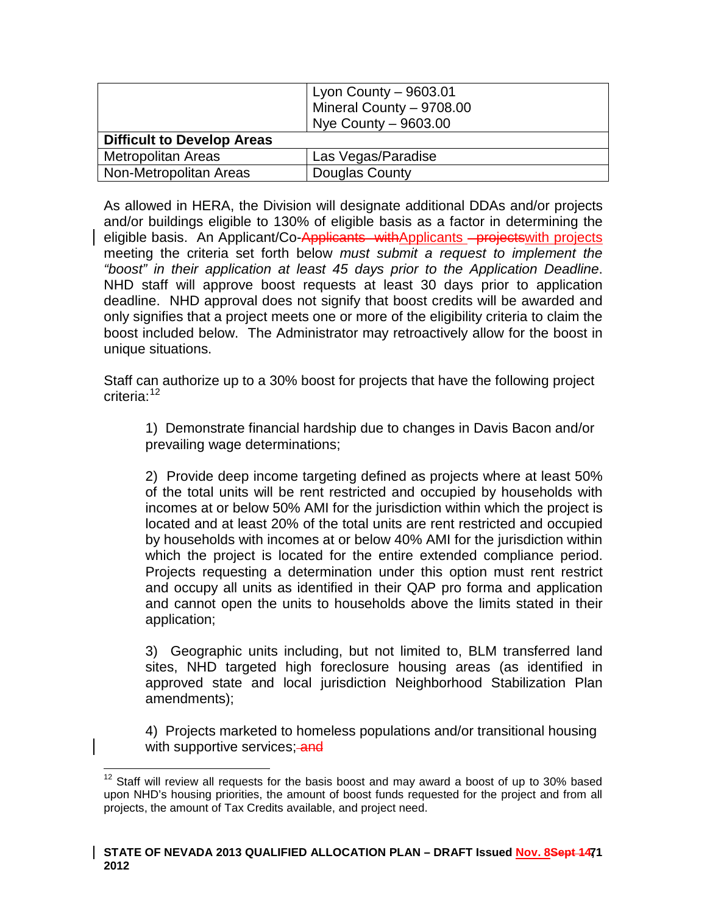|                                   | Lyon County $-9603.01$<br>Mineral County - 9708.00<br>Nye County - 9603.00 |
|-----------------------------------|----------------------------------------------------------------------------|
| <b>Difficult to Develop Areas</b> |                                                                            |
| <b>Metropolitan Areas</b>         | Las Vegas/Paradise                                                         |
| Non-Metropolitan Areas            | Douglas County                                                             |

As allowed in HERA, the Division will designate additional DDAs and/or projects and/or buildings eligible to 130% of eligible basis as a factor in determining the eligible basis. An Applicant/Co-Applicants withApplicants projectswith projects meeting the criteria set forth below *must submit a request to implement the "boost" in their application at least 45 days prior to the Application Deadline*. NHD staff will approve boost requests at least 30 days prior to application deadline. NHD approval does not signify that boost credits will be awarded and only signifies that a project meets one or more of the eligibility criteria to claim the boost included below. The Administrator may retroactively allow for the boost in unique situations.

Staff can authorize up to a 30% boost for projects that have the following project criteria:<sup>[12](#page-49-0)</sup>

1) Demonstrate financial hardship due to changes in Davis Bacon and/or prevailing wage determinations;

2) Provide deep income targeting defined as projects where at least 50% of the total units will be rent restricted and occupied by households with incomes at or below 50% AMI for the jurisdiction within which the project is located and at least 20% of the total units are rent restricted and occupied by households with incomes at or below 40% AMI for the jurisdiction within which the project is located for the entire extended compliance period. Projects requesting a determination under this option must rent restrict and occupy all units as identified in their QAP pro forma and application and cannot open the units to households above the limits stated in their application;

3) Geographic units including, but not limited to, BLM transferred land sites, NHD targeted high foreclosure housing areas (as identified in approved state and local jurisdiction Neighborhood Stabilization Plan amendments);

4) Projects marketed to homeless populations and/or transitional housing with supportive services; and

 $12$  Staff will review all requests for the basis boost and may award a boost of up to 30% based upon NHD's housing priorities, the amount of boost funds requested for the project and from all projects, the amount of Tax Credits available, and project need.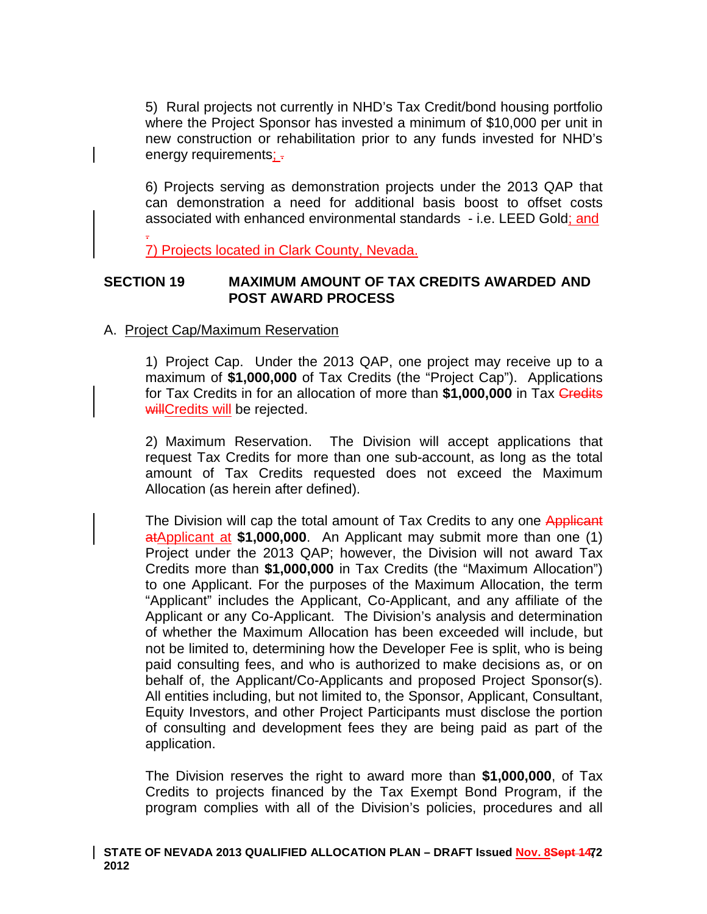5) Rural projects not currently in NHD's Tax Credit/bond housing portfolio where the Project Sponsor has invested a minimum of \$10,000 per unit in new construction or rehabilitation prior to any funds invested for NHD's energy requirements; -

6) Projects serving as demonstration projects under the 2013 QAP that can demonstration a need for additional basis boost to offset costs associated with enhanced environmental standards - i.e. LEED Gold; and

. 7) Projects located in Clark County, Nevada.

### **SECTION 19 MAXIMUM AMOUNT OF TAX CREDITS AWARDED AND POST AWARD PROCESS**

### A. Project Cap/Maximum Reservation

1) Project Cap. Under the 2013 QAP, one project may receive up to a maximum of **\$1,000,000** of Tax Credits (the "Project Cap"). Applications for Tax Credits in for an allocation of more than \$1,000,000 in Tax **Credits** willCredits will be rejected.

2) Maximum Reservation. The Division will accept applications that request Tax Credits for more than one sub-account, as long as the total amount of Tax Credits requested does not exceed the Maximum Allocation (as herein after defined).

The Division will cap the total amount of Tax Credits to any one Applicant atApplicant at **\$1,000,000**. An Applicant may submit more than one (1) Project under the 2013 QAP; however, the Division will not award Tax Credits more than **\$1,000,000** in Tax Credits (the "Maximum Allocation") to one Applicant. For the purposes of the Maximum Allocation, the term "Applicant" includes the Applicant, Co-Applicant, and any affiliate of the Applicant or any Co-Applicant. The Division's analysis and determination of whether the Maximum Allocation has been exceeded will include, but not be limited to, determining how the Developer Fee is split, who is being paid consulting fees, and who is authorized to make decisions as, or on behalf of, the Applicant/Co-Applicants and proposed Project Sponsor(s). All entities including, but not limited to, the Sponsor, Applicant, Consultant, Equity Investors, and other Project Participants must disclose the portion of consulting and development fees they are being paid as part of the application.

The Division reserves the right to award more than **\$1,000,000**, of Tax Credits to projects financed by the Tax Exempt Bond Program, if the program complies with all of the Division's policies, procedures and all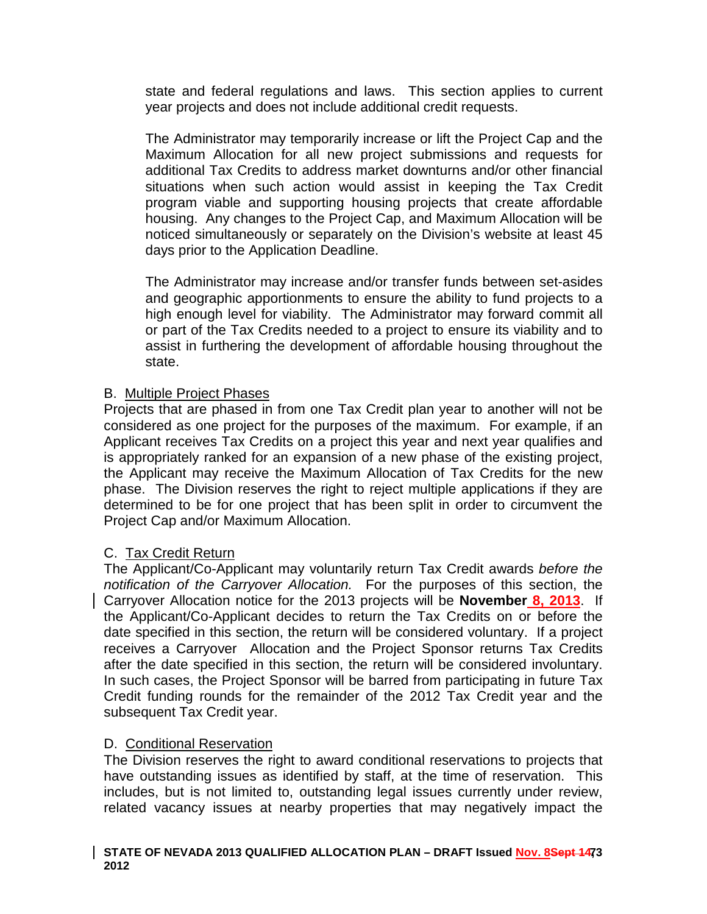state and federal regulations and laws. This section applies to current year projects and does not include additional credit requests.

The Administrator may temporarily increase or lift the Project Cap and the Maximum Allocation for all new project submissions and requests for additional Tax Credits to address market downturns and/or other financial situations when such action would assist in keeping the Tax Credit program viable and supporting housing projects that create affordable housing. Any changes to the Project Cap, and Maximum Allocation will be noticed simultaneously or separately on the Division's website at least 45 days prior to the Application Deadline.

The Administrator may increase and/or transfer funds between set-asides and geographic apportionments to ensure the ability to fund projects to a high enough level for viability. The Administrator may forward commit all or part of the Tax Credits needed to a project to ensure its viability and to assist in furthering the development of affordable housing throughout the state.

### B. Multiple Project Phases

Projects that are phased in from one Tax Credit plan year to another will not be considered as one project for the purposes of the maximum. For example, if an Applicant receives Tax Credits on a project this year and next year qualifies and is appropriately ranked for an expansion of a new phase of the existing project, the Applicant may receive the Maximum Allocation of Tax Credits for the new phase. The Division reserves the right to reject multiple applications if they are determined to be for one project that has been split in order to circumvent the Project Cap and/or Maximum Allocation.

### C. Tax Credit Return

The Applicant/Co-Applicant may voluntarily return Tax Credit awards *before the notification of the Carryover Allocation.* For the purposes of this section, the Carryover Allocation notice for the 2013 projects will be **November 8, 2013**. If the Applicant/Co-Applicant decides to return the Tax Credits on or before the date specified in this section, the return will be considered voluntary. If a project receives a Carryover Allocation and the Project Sponsor returns Tax Credits after the date specified in this section, the return will be considered involuntary. In such cases, the Project Sponsor will be barred from participating in future Tax Credit funding rounds for the remainder of the 2012 Tax Credit year and the subsequent Tax Credit year.

#### D. Conditional Reservation

The Division reserves the right to award conditional reservations to projects that have outstanding issues as identified by staff, at the time of reservation. This includes, but is not limited to, outstanding legal issues currently under review, related vacancy issues at nearby properties that may negatively impact the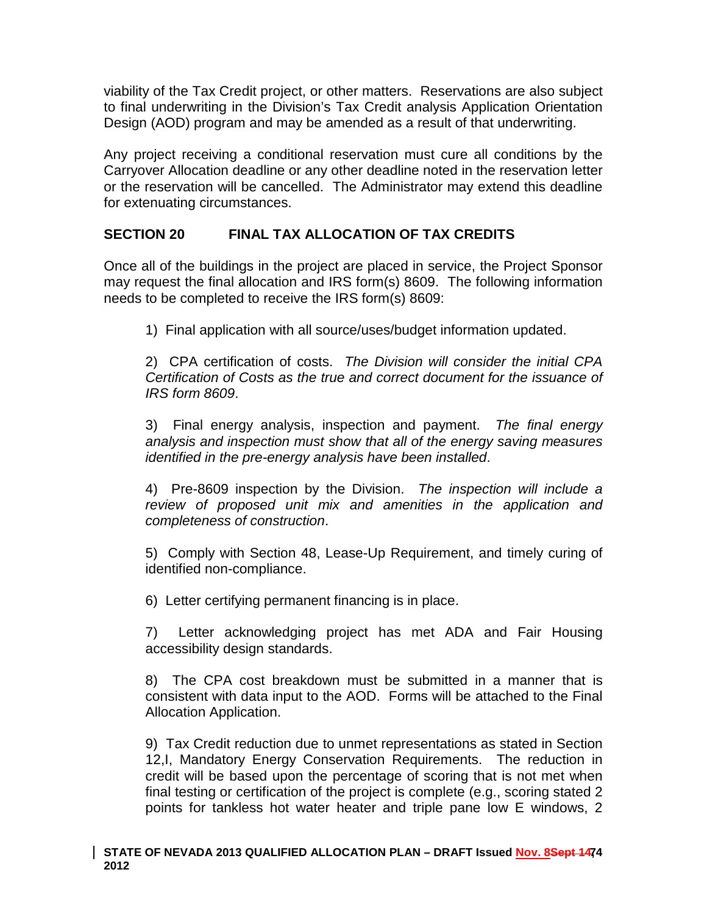viability of the Tax Credit project, or other matters. Reservations are also subject to final underwriting in the Division's Tax Credit analysis Application Orientation Design (AOD) program and may be amended as a result of that underwriting.

Any project receiving a conditional reservation must cure all conditions by the Carryover Allocation deadline or any other deadline noted in the reservation letter or the reservation will be cancelled. The Administrator may extend this deadline for extenuating circumstances.

# **SECTION 20 FINAL TAX ALLOCATION OF TAX CREDITS**

Once all of the buildings in the project are placed in service, the Project Sponsor may request the final allocation and IRS form(s) 8609. The following information needs to be completed to receive the IRS form(s) 8609:

1) Final application with all source/uses/budget information updated.

2) CPA certification of costs. *The Division will consider the initial CPA Certification of Costs as the true and correct document for the issuance of IRS form 8609*.

3) Final energy analysis, inspection and payment. *The final energy analysis and inspection must show that all of the energy saving measures identified in the pre-energy analysis have been installed*.

4) Pre-8609 inspection by the Division. *The inspection will include a review of proposed unit mix and amenities in the application and completeness of construction*.

5) Comply with Section 48, Lease-Up Requirement, and timely curing of identified non-compliance.

6) Letter certifying permanent financing is in place.

7) Letter acknowledging project has met ADA and Fair Housing accessibility design standards.

8) The CPA cost breakdown must be submitted in a manner that is consistent with data input to the AOD. Forms will be attached to the Final Allocation Application.

9) Tax Credit reduction due to unmet representations as stated in Section 12,I, Mandatory Energy Conservation Requirements. The reduction in credit will be based upon the percentage of scoring that is not met when final testing or certification of the project is complete (e.g., scoring stated 2 points for tankless hot water heater and triple pane low E windows, 2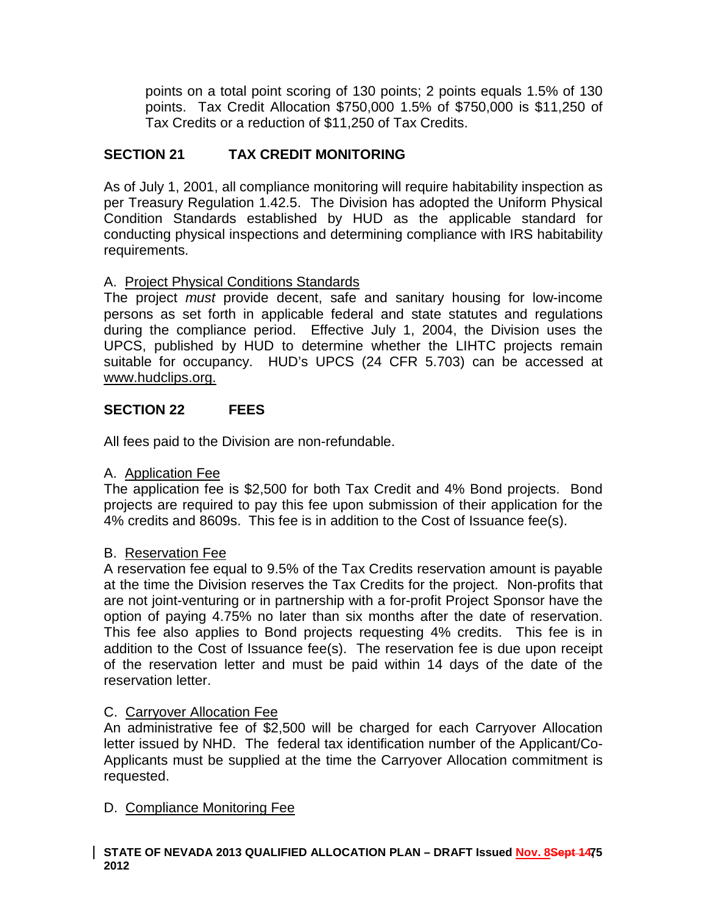points on a total point scoring of 130 points; 2 points equals 1.5% of 130 points. Tax Credit Allocation \$750,000 1.5% of \$750,000 is \$11,250 of Tax Credits or a reduction of \$11,250 of Tax Credits.

# **SECTION 21 TAX CREDIT MONITORING**

As of July 1, 2001, all compliance monitoring will require habitability inspection as per Treasury Regulation 1.42.5. The Division has adopted the Uniform Physical Condition Standards established by HUD as the applicable standard for conducting physical inspections and determining compliance with IRS habitability requirements.

# A. Project Physical Conditions Standards

The project *must* provide decent, safe and sanitary housing for low-income persons as set forth in applicable federal and state statutes and regulations during the compliance period. Effective July 1, 2004, the Division uses the UPCS, published by HUD to determine whether the LIHTC projects remain suitable for occupancy. HUD's UPCS (24 CFR 5.703) can be accessed at www.hudclips.org.

# **SECTION 22 FEES**

All fees paid to the Division are non-refundable.

# A. Application Fee

The application fee is \$2,500 for both Tax Credit and 4% Bond projects. Bond projects are required to pay this fee upon submission of their application for the 4% credits and 8609s. This fee is in addition to the Cost of Issuance fee(s).

# B. Reservation Fee

A reservation fee equal to 9.5% of the Tax Credits reservation amount is payable at the time the Division reserves the Tax Credits for the project. Non-profits that are not joint-venturing or in partnership with a for-profit Project Sponsor have the option of paying 4.75% no later than six months after the date of reservation. This fee also applies to Bond projects requesting 4% credits. This fee is in addition to the Cost of Issuance fee(s). The reservation fee is due upon receipt of the reservation letter and must be paid within 14 days of the date of the reservation letter.

# C. Carryover Allocation Fee

An administrative fee of \$2,500 will be charged for each Carryover Allocation letter issued by NHD. The federal tax identification number of the Applicant/Co-Applicants must be supplied at the time the Carryover Allocation commitment is requested.

# D. Compliance Monitoring Fee

#### STATE OF NEVADA 2013 QUALIFIED ALLOCATION PLAN – DRAFT Issued <u>Nov. 8</u>Se<del>pt 147</del>5 **2012**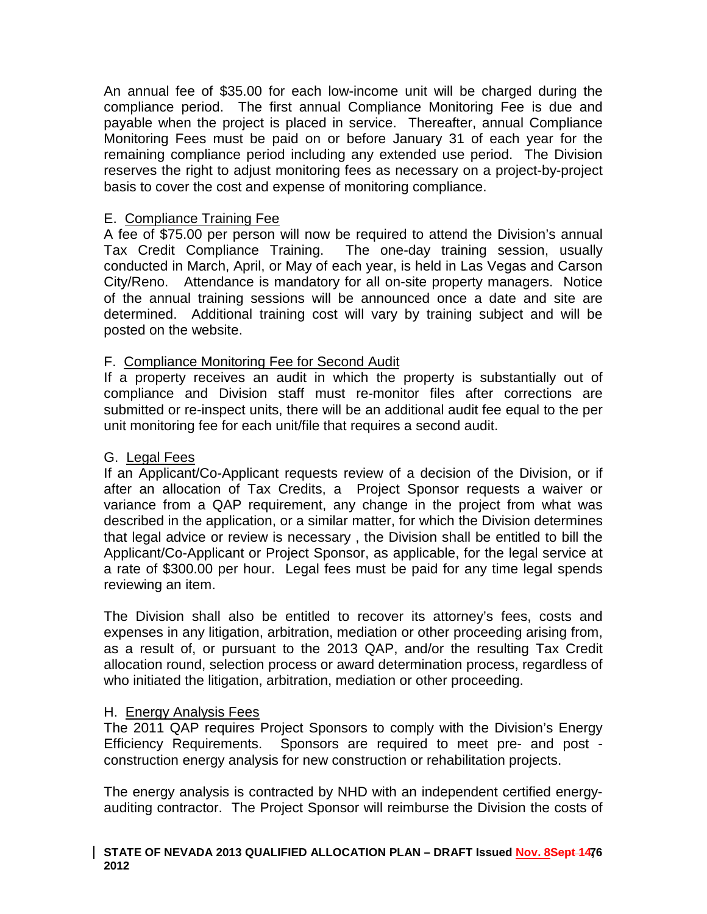An annual fee of \$35.00 for each low-income unit will be charged during the compliance period. The first annual Compliance Monitoring Fee is due and payable when the project is placed in service. Thereafter, annual Compliance Monitoring Fees must be paid on or before January 31 of each year for the remaining compliance period including any extended use period. The Division reserves the right to adjust monitoring fees as necessary on a project-by-project basis to cover the cost and expense of monitoring compliance.

### E. Compliance Training Fee

A fee of \$75.00 per person will now be required to attend the Division's annual Tax Credit Compliance Training. The one-day training session, usually conducted in March, April, or May of each year, is held in Las Vegas and Carson City/Reno. Attendance is mandatory for all on-site property managers. Notice of the annual training sessions will be announced once a date and site are determined. Additional training cost will vary by training subject and will be posted on the website.

### F. Compliance Monitoring Fee for Second Audit

If a property receives an audit in which the property is substantially out of compliance and Division staff must re-monitor files after corrections are submitted or re-inspect units, there will be an additional audit fee equal to the per unit monitoring fee for each unit/file that requires a second audit.

### G. Legal Fees

If an Applicant/Co-Applicant requests review of a decision of the Division, or if after an allocation of Tax Credits, a Project Sponsor requests a waiver or variance from a QAP requirement, any change in the project from what was described in the application, or a similar matter, for which the Division determines that legal advice or review is necessary , the Division shall be entitled to bill the Applicant/Co-Applicant or Project Sponsor, as applicable, for the legal service at a rate of \$300.00 per hour. Legal fees must be paid for any time legal spends reviewing an item.

The Division shall also be entitled to recover its attorney's fees, costs and expenses in any litigation, arbitration, mediation or other proceeding arising from, as a result of, or pursuant to the 2013 QAP, and/or the resulting Tax Credit allocation round, selection process or award determination process, regardless of who initiated the litigation, arbitration, mediation or other proceeding.

### H. Energy Analysis Fees

The 2011 QAP requires Project Sponsors to comply with the Division's Energy Efficiency Requirements. Sponsors are required to meet pre- and post construction energy analysis for new construction or rehabilitation projects.

The energy analysis is contracted by NHD with an independent certified energyauditing contractor. The Project Sponsor will reimburse the Division the costs of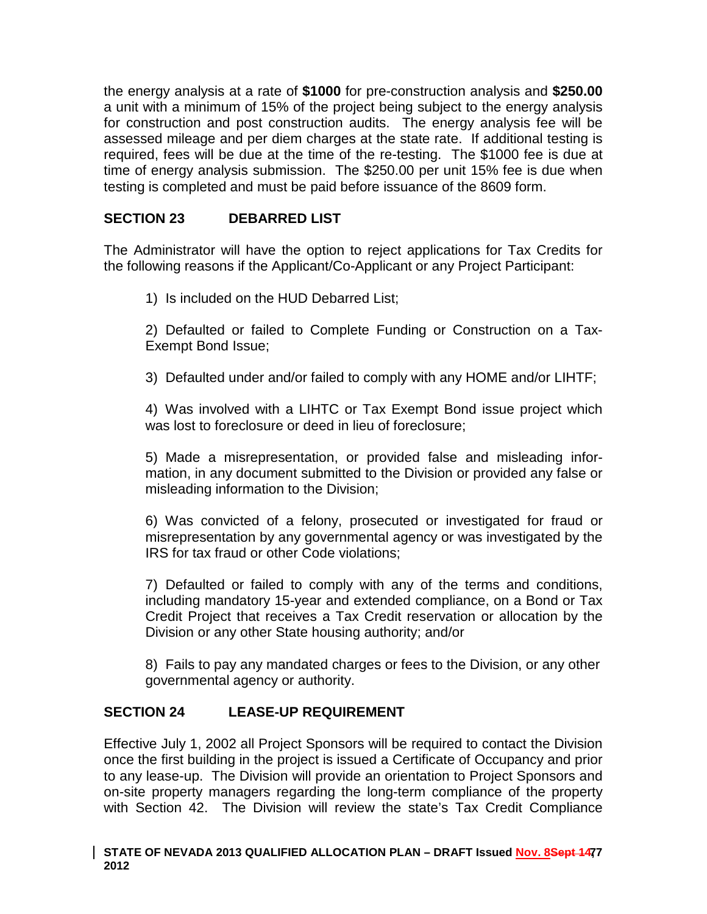the energy analysis at a rate of **\$1000** for pre-construction analysis and **\$250.00** a unit with a minimum of 15% of the project being subject to the energy analysis for construction and post construction audits. The energy analysis fee will be assessed mileage and per diem charges at the state rate. If additional testing is required, fees will be due at the time of the re-testing. The \$1000 fee is due at time of energy analysis submission. The \$250.00 per unit 15% fee is due when testing is completed and must be paid before issuance of the 8609 form.

# **SECTION 23 DEBARRED LIST**

The Administrator will have the option to reject applications for Tax Credits for the following reasons if the Applicant/Co-Applicant or any Project Participant:

1) Is included on the HUD Debarred List;

2) Defaulted or failed to Complete Funding or Construction on a Tax-Exempt Bond Issue;

3) Defaulted under and/or failed to comply with any HOME and/or LIHTF;

4) Was involved with a LIHTC or Tax Exempt Bond issue project which was lost to foreclosure or deed in lieu of foreclosure;

5) Made a misrepresentation, or provided false and misleading information, in any document submitted to the Division or provided any false or misleading information to the Division;

6) Was convicted of a felony, prosecuted or investigated for fraud or misrepresentation by any governmental agency or was investigated by the IRS for tax fraud or other Code violations;

7) Defaulted or failed to comply with any of the terms and conditions, including mandatory 15-year and extended compliance, on a Bond or Tax Credit Project that receives a Tax Credit reservation or allocation by the Division or any other State housing authority; and/or

8) Fails to pay any mandated charges or fees to the Division, or any other governmental agency or authority.

# **SECTION 24 LEASE-UP REQUIREMENT**

Effective July 1, 2002 all Project Sponsors will be required to contact the Division once the first building in the project is issued a Certificate of Occupancy and prior to any lease-up. The Division will provide an orientation to Project Sponsors and on-site property managers regarding the long-term compliance of the property with Section 42. The Division will review the state's Tax Credit Compliance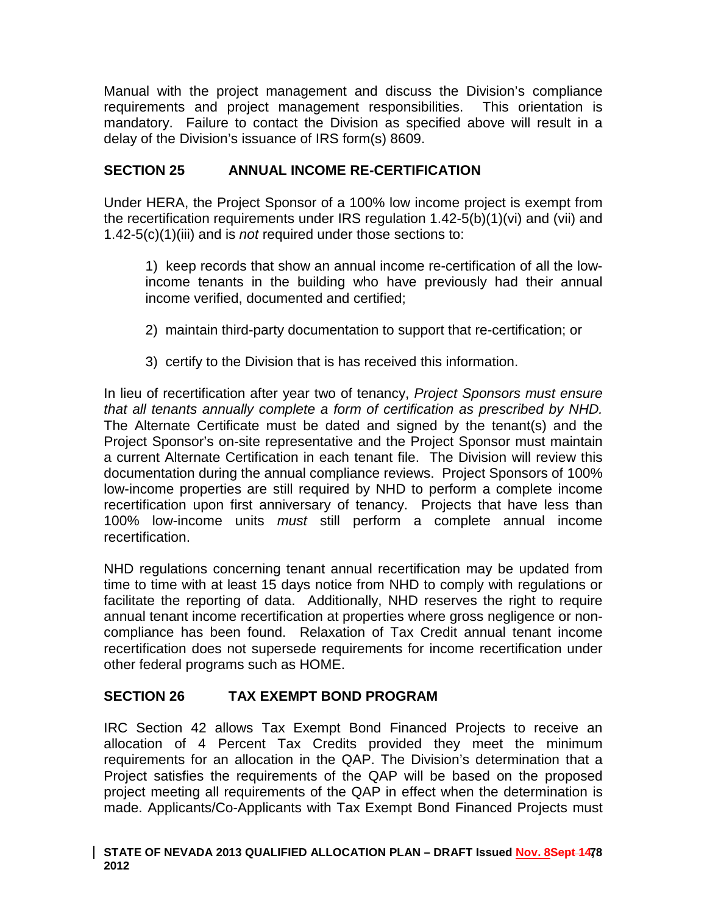Manual with the project management and discuss the Division's compliance requirements and project management responsibilities. This orientation is mandatory. Failure to contact the Division as specified above will result in a delay of the Division's issuance of IRS form(s) 8609.

# **SECTION 25 ANNUAL INCOME RE-CERTIFICATION**

Under HERA, the Project Sponsor of a 100% low income project is exempt from the recertification requirements under IRS regulation 1.42-5(b)(1)(vi) and (vii) and 1.42-5(c)(1)(iii) and is *not* required under those sections to:

1) keep records that show an annual income re-certification of all the lowincome tenants in the building who have previously had their annual income verified, documented and certified;

- 2) maintain third-party documentation to support that re-certification; or
- 3) certify to the Division that is has received this information.

In lieu of recertification after year two of tenancy, *Project Sponsors must ensure that all tenants annually complete a form of certification as prescribed by NHD.* The Alternate Certificate must be dated and signed by the tenant(s) and the Project Sponsor's on-site representative and the Project Sponsor must maintain a current Alternate Certification in each tenant file. The Division will review this documentation during the annual compliance reviews. Project Sponsors of 100% low-income properties are still required by NHD to perform a complete income recertification upon first anniversary of tenancy. Projects that have less than 100% low-income units *must* still perform a complete annual income recertification.

NHD regulations concerning tenant annual recertification may be updated from time to time with at least 15 days notice from NHD to comply with regulations or facilitate the reporting of data. Additionally, NHD reserves the right to require annual tenant income recertification at properties where gross negligence or noncompliance has been found. Relaxation of Tax Credit annual tenant income recertification does not supersede requirements for income recertification under other federal programs such as HOME.

# **SECTION 26 TAX EXEMPT BOND PROGRAM**

IRC Section 42 allows Tax Exempt Bond Financed Projects to receive an allocation of 4 Percent Tax Credits provided they meet the minimum requirements for an allocation in the QAP. The Division's determination that a Project satisfies the requirements of the QAP will be based on the proposed project meeting all requirements of the QAP in effect when the determination is made. Applicants/Co-Applicants with Tax Exempt Bond Financed Projects must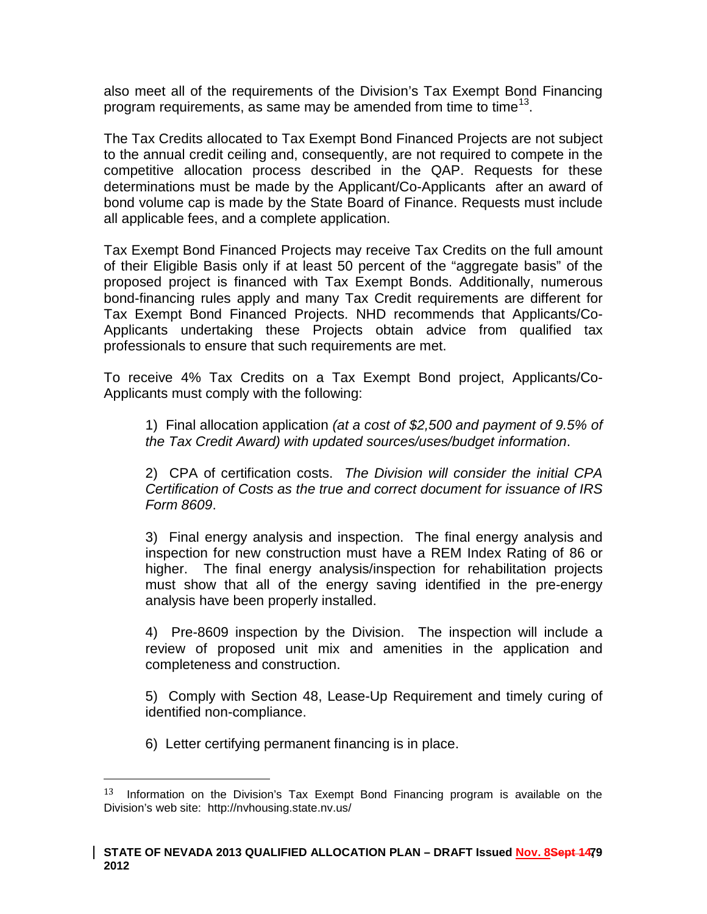also meet all of the requirements of the Division's Tax Exempt Bond Financing program requirements, as same may be amended from time to time<sup>[13](#page-70-0)</sup>.

The Tax Credits allocated to Tax Exempt Bond Financed Projects are not subject to the annual credit ceiling and, consequently, are not required to compete in the competitive allocation process described in the QAP. Requests for these determinations must be made by the Applicant/Co-Applicants after an award of bond volume cap is made by the State Board of Finance. Requests must include all applicable fees, and a complete application.

Tax Exempt Bond Financed Projects may receive Tax Credits on the full amount of their Eligible Basis only if at least 50 percent of the "aggregate basis" of the proposed project is financed with Tax Exempt Bonds. Additionally, numerous bond-financing rules apply and many Tax Credit requirements are different for Tax Exempt Bond Financed Projects. NHD recommends that Applicants/Co-Applicants undertaking these Projects obtain advice from qualified tax professionals to ensure that such requirements are met.

To receive 4% Tax Credits on a Tax Exempt Bond project, Applicants/Co-Applicants must comply with the following:

1) Final allocation application *(at a cost of \$2,500 and payment of 9.5% of the Tax Credit Award) with updated sources/uses/budget information*.

2) CPA of certification costs. *The Division will consider the initial CPA Certification of Costs as the true and correct document for issuance of IRS Form 8609*.

3) Final energy analysis and inspection. The final energy analysis and inspection for new construction must have a REM Index Rating of 86 or higher. The final energy analysis/inspection for rehabilitation projects must show that all of the energy saving identified in the pre-energy analysis have been properly installed.

4) Pre-8609 inspection by the Division. The inspection will include a review of proposed unit mix and amenities in the application and completeness and construction.

5) Comply with Section 48, Lease-Up Requirement and timely curing of identified non-compliance.

6) Letter certifying permanent financing is in place.

 $13$  Information on the Division's Tax Exempt Bond Financing program is available on the Division's web site: http://nvhousing.state.nv.us/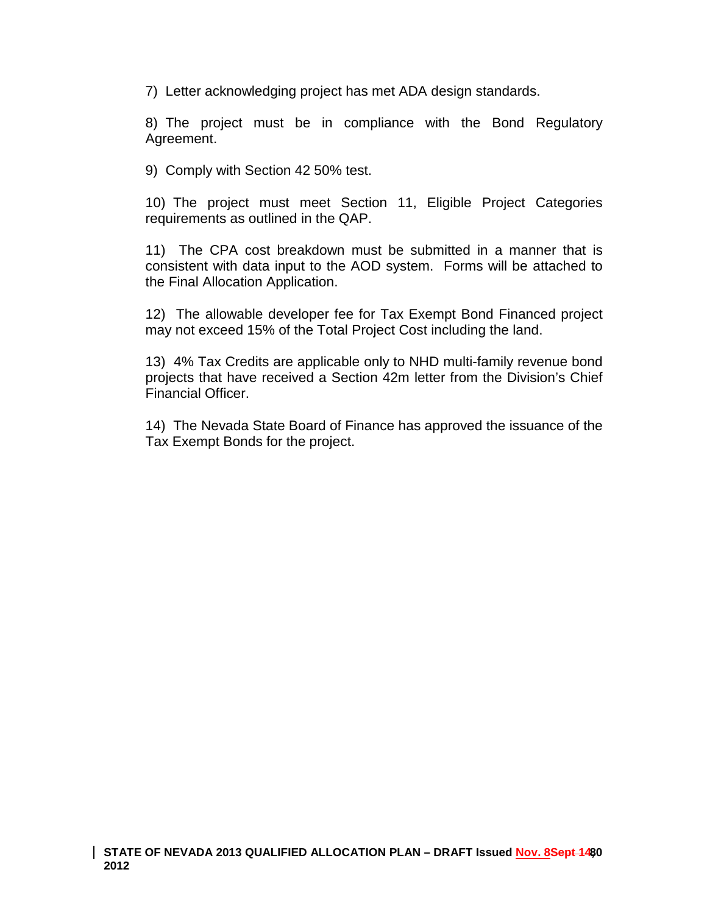7) Letter acknowledging project has met ADA design standards.

8) The project must be in compliance with the Bond Regulatory Agreement.

9) Comply with Section 42 50% test.

10) The project must meet Section 11, Eligible Project Categories requirements as outlined in the QAP.

11) The CPA cost breakdown must be submitted in a manner that is consistent with data input to the AOD system. Forms will be attached to the Final Allocation Application.

12) The allowable developer fee for Tax Exempt Bond Financed project may not exceed 15% of the Total Project Cost including the land.

13) 4% Tax Credits are applicable only to NHD multi-family revenue bond projects that have received a Section 42m letter from the Division's Chief Financial Officer.

14) The Nevada State Board of Finance has approved the issuance of the Tax Exempt Bonds for the project.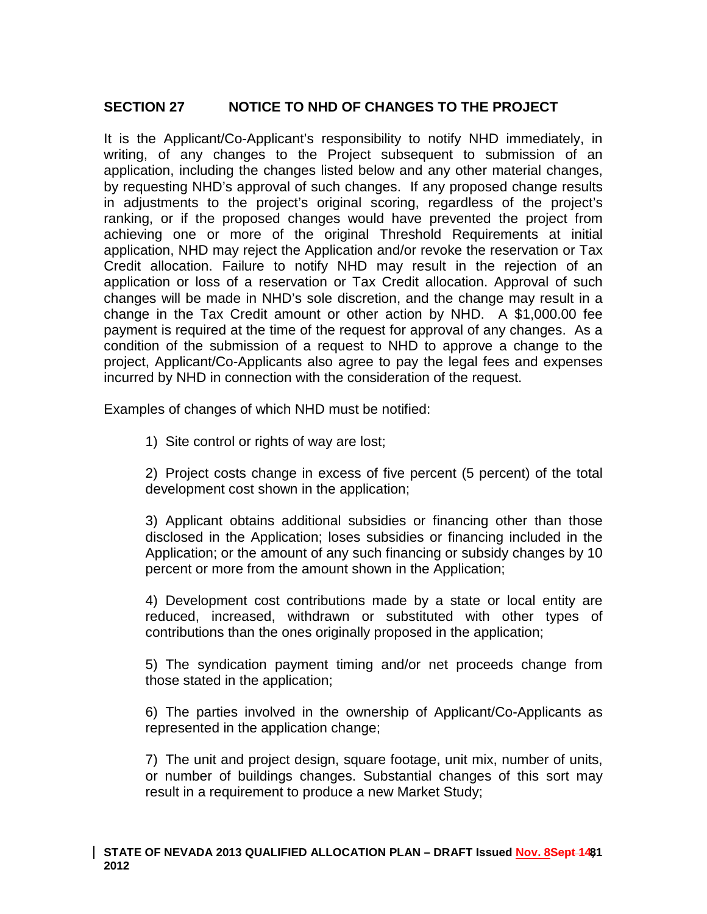# **SECTION 27 NOTICE TO NHD OF CHANGES TO THE PROJECT**

It is the Applicant/Co-Applicant's responsibility to notify NHD immediately, in writing, of any changes to the Project subsequent to submission of an application, including the changes listed below and any other material changes, by requesting NHD's approval of such changes. If any proposed change results in adjustments to the project's original scoring, regardless of the project's ranking, or if the proposed changes would have prevented the project from achieving one or more of the original Threshold Requirements at initial application, NHD may reject the Application and/or revoke the reservation or Tax Credit allocation. Failure to notify NHD may result in the rejection of an application or loss of a reservation or Tax Credit allocation. Approval of such changes will be made in NHD's sole discretion, and the change may result in a change in the Tax Credit amount or other action by NHD. A \$1,000.00 fee payment is required at the time of the request for approval of any changes. As a condition of the submission of a request to NHD to approve a change to the project, Applicant/Co-Applicants also agree to pay the legal fees and expenses incurred by NHD in connection with the consideration of the request.

Examples of changes of which NHD must be notified:

1) Site control or rights of way are lost;

2) Project costs change in excess of five percent (5 percent) of the total development cost shown in the application;

3) Applicant obtains additional subsidies or financing other than those disclosed in the Application; loses subsidies or financing included in the Application; or the amount of any such financing or subsidy changes by 10 percent or more from the amount shown in the Application;

4) Development cost contributions made by a state or local entity are reduced, increased, withdrawn or substituted with other types of contributions than the ones originally proposed in the application;

5) The syndication payment timing and/or net proceeds change from those stated in the application;

6) The parties involved in the ownership of Applicant/Co-Applicants as represented in the application change;

7) The unit and project design, square footage, unit mix, number of units, or number of buildings changes. Substantial changes of this sort may result in a requirement to produce a new Market Study;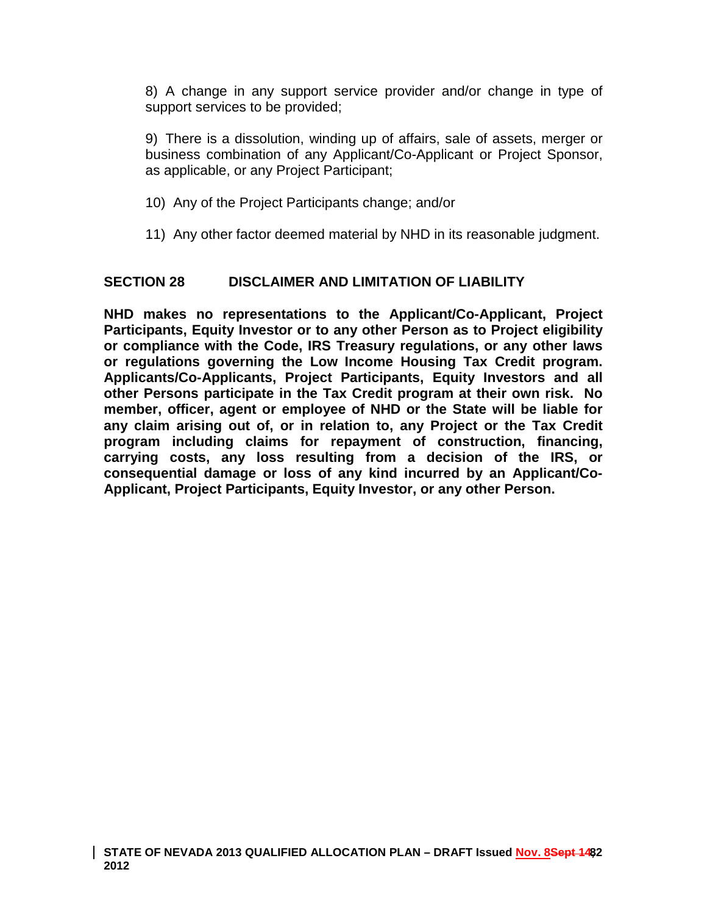8) A change in any support service provider and/or change in type of support services to be provided;

9) There is a dissolution, winding up of affairs, sale of assets, merger or business combination of any Applicant/Co-Applicant or Project Sponsor, as applicable, or any Project Participant;

- 10) Any of the Project Participants change; and/or
- 11) Any other factor deemed material by NHD in its reasonable judgment.

#### **SECTION 28 DISCLAIMER AND LIMITATION OF LIABILITY**

**NHD makes no representations to the Applicant/Co-Applicant, Project Participants, Equity Investor or to any other Person as to Project eligibility or compliance with the Code, IRS Treasury regulations, or any other laws or regulations governing the Low Income Housing Tax Credit program. Applicants/Co-Applicants, Project Participants, Equity Investors and all other Persons participate in the Tax Credit program at their own risk. No member, officer, agent or employee of NHD or the State will be liable for any claim arising out of, or in relation to, any Project or the Tax Credit program including claims for repayment of construction, financing, carrying costs, any loss resulting from a decision of the IRS, or consequential damage or loss of any kind incurred by an Applicant/Co-Applicant, Project Participants, Equity Investor, or any other Person.**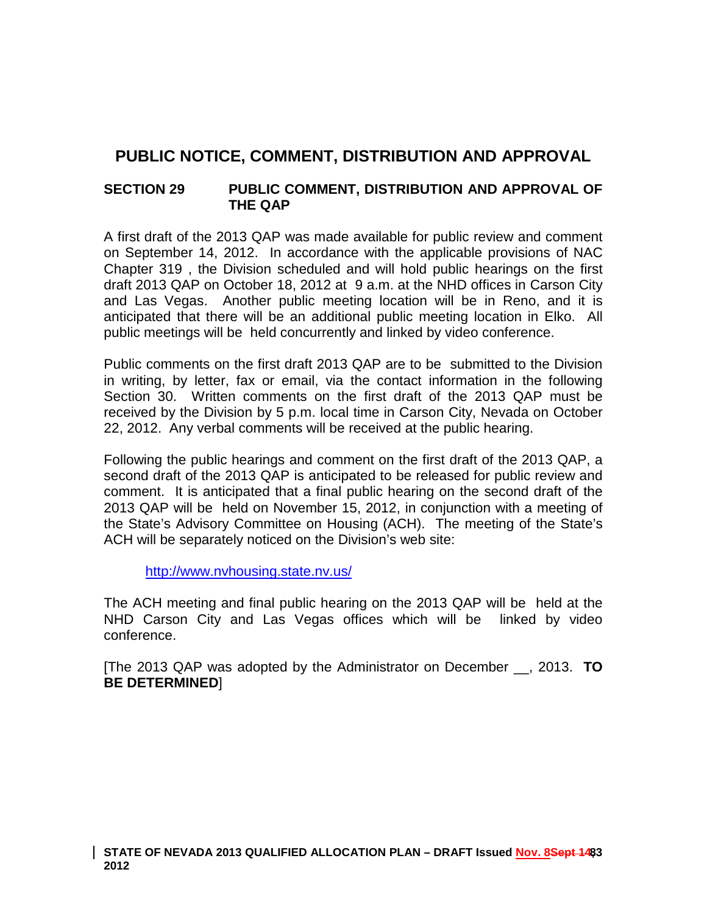# **PUBLIC NOTICE, COMMENT, DISTRIBUTION AND APPROVAL**

### **SECTION 29 PUBLIC COMMENT, DISTRIBUTION AND APPROVAL OF THE QAP**

A first draft of the 2013 QAP was made available for public review and comment on September 14, 2012. In accordance with the applicable provisions of NAC Chapter 319 , the Division scheduled and will hold public hearings on the first draft 2013 QAP on October 18, 2012 at 9 a.m. at the NHD offices in Carson City and Las Vegas. Another public meeting location will be in Reno, and it is anticipated that there will be an additional public meeting location in Elko. All public meetings will be held concurrently and linked by video conference.

Public comments on the first draft 2013 QAP are to be submitted to the Division in writing, by letter, fax or email, via the contact information in the following Section 30. Written comments on the first draft of the 2013 QAP must be received by the Division by 5 p.m. local time in Carson City, Nevada on October 22, 2012. Any verbal comments will be received at the public hearing.

Following the public hearings and comment on the first draft of the 2013 QAP, a second draft of the 2013 QAP is anticipated to be released for public review and comment. It is anticipated that a final public hearing on the second draft of the 2013 QAP will be held on November 15, 2012, in conjunction with a meeting of the State's Advisory Committee on Housing (ACH). The meeting of the State's ACH will be separately noticed on the Division's web site:

<http://www.nvhousing.state.nv.us/>

The ACH meeting and final public hearing on the 2013 QAP will be held at the NHD Carson City and Las Vegas offices which will be linked by video conference.

[The 2013 QAP was adopted by the Administrator on December \_\_, 2013. **TO BE DETERMINED**]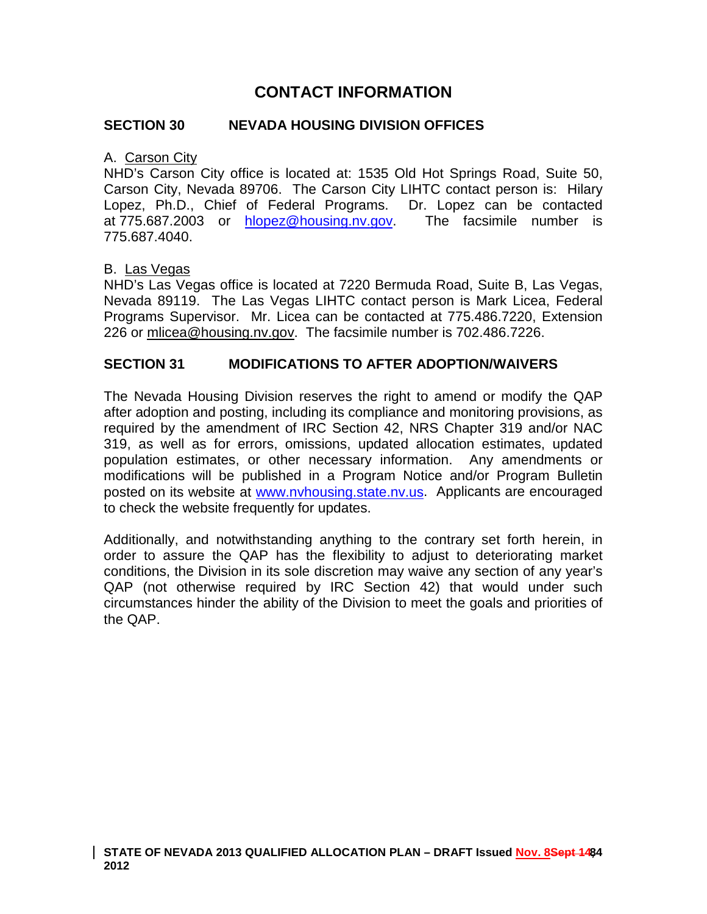# **CONTACT INFORMATION**

#### **SECTION 30 NEVADA HOUSING DIVISION OFFICES**

#### A. Carson City

NHD's Carson City office is located at: 1535 Old Hot Springs Road, Suite 50, Carson City, Nevada 89706. The Carson City LIHTC contact person is: Hilary Lopez, Ph.D., Chief of Federal Programs. Dr. Lopez can be contacted at 775.687.2003 or [hlopez@housing.nv.gov.](mailto:hlopez@housing.nv.gov) The facsimile number is 775.687.4040.

#### B. Las Vegas

NHD's Las Vegas office is located at 7220 Bermuda Road, Suite B, Las Vegas, Nevada 89119. The Las Vegas LIHTC contact person is Mark Licea, Federal Programs Supervisor. Mr. Licea can be contacted at 775.486.7220, Extension 226 or mlicea@housing.nv.gov. The facsimile number is 702.486.7226.

#### **SECTION 31 MODIFICATIONS TO AFTER ADOPTION/WAIVERS**

The Nevada Housing Division reserves the right to amend or modify the QAP after adoption and posting, including its compliance and monitoring provisions, as required by the amendment of IRC Section 42, NRS Chapter 319 and/or NAC 319, as well as for errors, omissions, updated allocation estimates, updated population estimates, or other necessary information. Any amendments or modifications will be published in a Program Notice and/or Program Bulletin posted on its website at [www.nvhousing.state.nv.us.](http://www.nvhousing.state.nv.us/) Applicants are encouraged to check the website frequently for updates.

Additionally, and notwithstanding anything to the contrary set forth herein, in order to assure the QAP has the flexibility to adjust to deteriorating market conditions, the Division in its sole discretion may waive any section of any year's QAP (not otherwise required by IRC Section 42) that would under such circumstances hinder the ability of the Division to meet the goals and priorities of the QAP.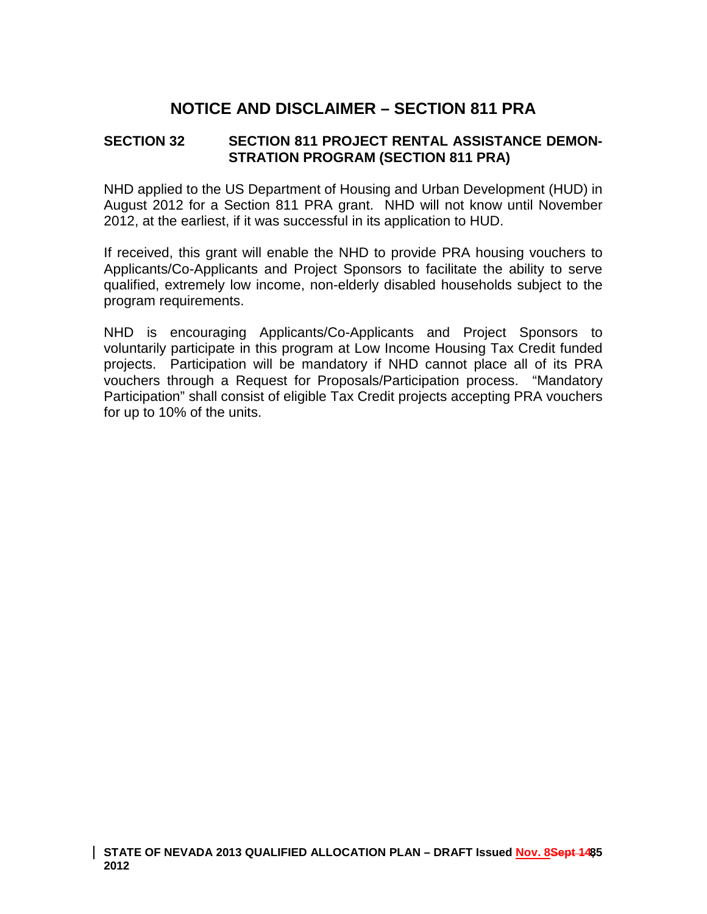# **NOTICE AND DISCLAIMER – SECTION 811 PRA**

### **SECTION 32 SECTION 811 PROJECT RENTAL ASSISTANCE DEMON-STRATION PROGRAM (SECTION 811 PRA)**

NHD applied to the US Department of Housing and Urban Development (HUD) in August 2012 for a Section 811 PRA grant. NHD will not know until November 2012, at the earliest, if it was successful in its application to HUD.

If received, this grant will enable the NHD to provide PRA housing vouchers to Applicants/Co-Applicants and Project Sponsors to facilitate the ability to serve qualified, extremely low income, non-elderly disabled households subject to the program requirements.

NHD is encouraging Applicants/Co-Applicants and Project Sponsors to voluntarily participate in this program at Low Income Housing Tax Credit funded projects. Participation will be mandatory if NHD cannot place all of its PRA vouchers through a Request for Proposals/Participation process. "Mandatory Participation" shall consist of eligible Tax Credit projects accepting PRA vouchers for up to 10% of the units.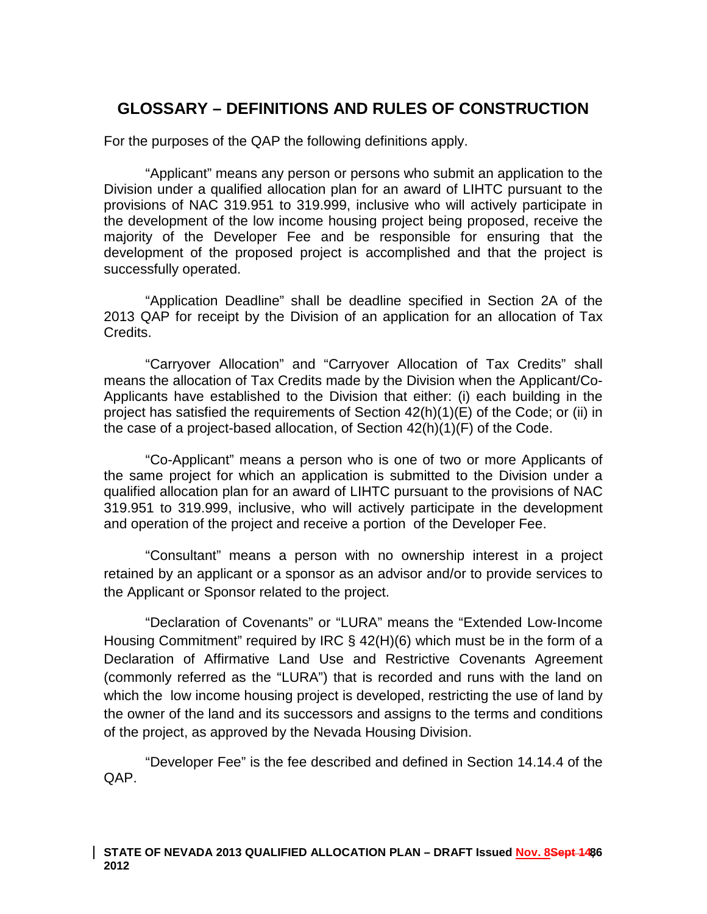# **GLOSSARY – DEFINITIONS AND RULES OF CONSTRUCTION**

For the purposes of the QAP the following definitions apply.

"Applicant" means any person or persons who submit an application to the Division under a qualified allocation plan for an award of LIHTC pursuant to the provisions of NAC 319.951 to 319.999, inclusive who will actively participate in the development of the low income housing project being proposed, receive the majority of the Developer Fee and be responsible for ensuring that the development of the proposed project is accomplished and that the project is successfully operated.

"Application Deadline" shall be deadline specified in Section 2A of the 2013 QAP for receipt by the Division of an application for an allocation of Tax **Credits** 

"Carryover Allocation" and "Carryover Allocation of Tax Credits" shall means the allocation of Tax Credits made by the Division when the Applicant/Co-Applicants have established to the Division that either: (i) each building in the project has satisfied the requirements of Section 42(h)(1)(E) of the Code; or (ii) in the case of a project-based allocation, of Section 42(h)(1)(F) of the Code.

"Co-Applicant" means a person who is one of two or more Applicants of the same project for which an application is submitted to the Division under a qualified allocation plan for an award of LIHTC pursuant to the provisions of NAC 319.951 to 319.999, inclusive, who will actively participate in the development and operation of the project and receive a portion of the Developer Fee.

"Consultant" means a person with no ownership interest in a project retained by an applicant or a sponsor as an advisor and/or to provide services to the Applicant or Sponsor related to the project.

"Declaration of Covenants" or "LURA" means the "Extended Low‐Income Housing Commitment" required by IRC § 42(H)(6) which must be in the form of a Declaration of Affirmative Land Use and Restrictive Covenants Agreement (commonly referred as the "LURA") that is recorded and runs with the land on which the low income housing project is developed, restricting the use of land by the owner of the land and its successors and assigns to the terms and conditions of the project, as approved by the Nevada Housing Division.

"Developer Fee" is the fee described and defined in Section 14.14.4 of the QAP.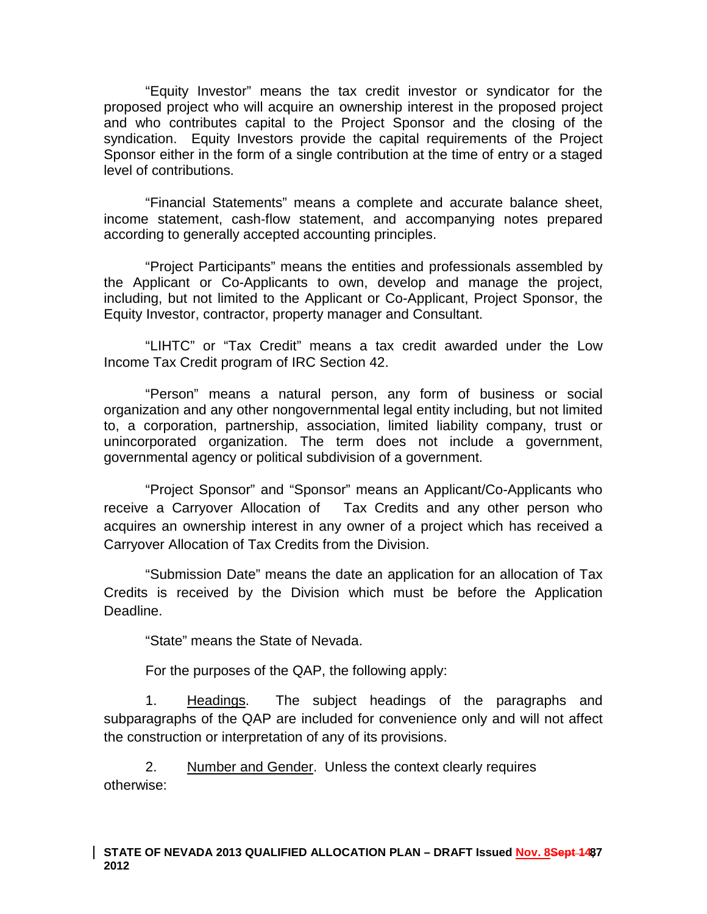"Equity Investor" means the tax credit investor or syndicator for the proposed project who will acquire an ownership interest in the proposed project and who contributes capital to the Project Sponsor and the closing of the syndication. Equity Investors provide the capital requirements of the Project Sponsor either in the form of a single contribution at the time of entry or a staged level of contributions.

"Financial Statements" means a complete and accurate balance sheet, income statement, cash‐flow statement, and accompanying notes prepared according to generally accepted accounting principles.

"Project Participants" means the entities and professionals assembled by the Applicant or Co-Applicants to own, develop and manage the project, including, but not limited to the Applicant or Co-Applicant, Project Sponsor, the Equity Investor, contractor, property manager and Consultant.

"LIHTC" or "Tax Credit" means a tax credit awarded under the Low Income Tax Credit program of IRC Section 42.

"Person" means a natural person, any form of business or social organization and any other nongovernmental legal entity including, but not limited to, a corporation, partnership, association, limited liability company, trust or unincorporated organization. The term does not include a government, governmental agency or political subdivision of a government.

"Project Sponsor" and "Sponsor" means an Applicant/Co-Applicants who receive a Carryover Allocation of Tax Credits and any other person who acquires an ownership interest in any owner of a project which has received a Carryover Allocation of Tax Credits from the Division.

"Submission Date" means the date an application for an allocation of Tax Credits is received by the Division which must be before the Application Deadline.

"State" means the State of Nevada.

For the purposes of the QAP, the following apply:

1. Headings. The subject headings of the paragraphs and subparagraphs of the QAP are included for convenience only and will not affect the construction or interpretation of any of its provisions.

2. Number and Gender. Unless the context clearly requires otherwise: